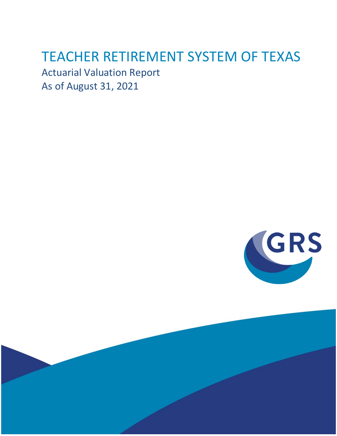# TEACHER RETIREMENT SYSTEM OF TEXAS

Actuarial Valuation Report As of August 31, 2021



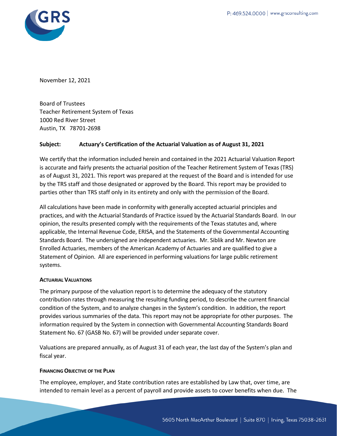

November 12, 2021

Board of Trustees Teacher Retirement System of Texas 1000 Red River Street Austin, TX 78701-2698

### **Subject: Actuary's Certification of the Actuarial Valuation as of August 31, 2021**

We certify that the information included herein and contained in the 2021 Actuarial Valuation Report is accurate and fairly presents the actuarial position of the Teacher Retirement System of Texas (TRS) as of August 31, 2021. This report was prepared at the request of the Board and is intended for use by the TRS staff and those designated or approved by the Board. This report may be provided to parties other than TRS staff only in its entirety and only with the permission of the Board.

All calculations have been made in conformity with generally accepted actuarial principles and practices, and with the Actuarial Standards of Practice issued by the Actuarial Standards Board. In our opinion, the results presented comply with the requirements of the Texas statutes and, where applicable, the Internal Revenue Code, ERISA, and the Statements of the Governmental Accounting Standards Board. The undersigned are independent actuaries. Mr. Siblik and Mr. Newton are Enrolled Actuaries, members of the American Academy of Actuaries and are qualified to give a Statement of Opinion. All are experienced in performing valuations for large public retirement systems.

#### **ACTUARIAL VALUATIONS**

The primary purpose of the valuation report is to determine the adequacy of the statutory contribution rates through measuring the resulting funding period, to describe the current financial condition of the System, and to analyze changes in the System's condition. In addition, the report provides various summaries of the data. This report may not be appropriate for other purposes. The information required by the System in connection with Governmental Accounting Standards Board Statement No. 67 (GASB No. 67) will be provided under separate cover.

Valuations are prepared annually, as of August 31 of each year, the last day of the System's plan and fiscal year.

#### **FINANCING OBJECTIVE OF THE PLAN**

The employee, employer, and State contribution rates are established by Law that, over time, are intended to remain level as a percent of payroll and provide assets to cover benefits when due. The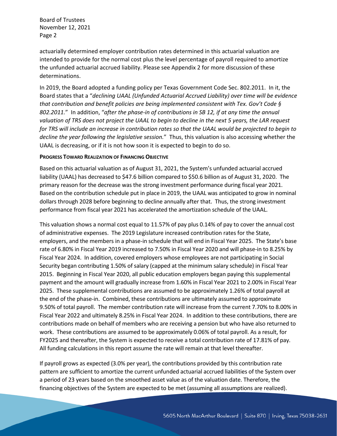actuarially determined employer contribution rates determined in this actuarial valuation are intended to provide for the normal cost plus the level percentage of payroll required to amortize the unfunded actuarial accrued liability. Please see Appendix 2 for more discussion of these determinations.

In 2019, the Board adopted a funding policy per Texas Government Code Sec. 802.2011. In it, the Board states that a "*declining UAAL (Unfunded Actuarial Accrued Liability) over time will be evidence that contribution and benefit policies are being implemented consistent with Tex. Gov't Code § 802.2011.*" In addition, "*after the phase-in of contributions in SB 12, if at any time the annual valuation of TRS does not project the UAAL to begin to decline in the next 5 years, the LAR request for TRS will include an increase in contribution rates so that the UAAL would be projected to begin to decline the year following the legislative session.*" Thus, this valuation is also accessing whether the UAAL is decreasing, or if it is not how soon it is expected to begin to do so.

#### **PROGRESS TOWARD REALIZATION OF FINANCING OBJECTIVE**

Based on this actuarial valuation as of August 31, 2021, the System's unfunded actuarial accrued liability (UAAL) has decreased to \$47.6 billion compared to \$50.6 billion as of August 31, 2020. The primary reason for the decrease was the strong investment performance during fiscal year 2021. Based on the contribution schedule put in place in 2019, the UAAL was anticipated to grow in nominal dollars through 2028 before beginning to decline annually after that. Thus, the strong investment performance from fiscal year 2021 has accelerated the amortization schedule of the UAAL.

This valuation shows a normal cost equal to 11.57% of pay plus 0.14% of pay to cover the annual cost of administrative expenses. The 2019 Legislature increased contribution rates for the State, employers, and the members in a phase-in schedule that will end in Fiscal Year 2025. The State's base rate of 6.80% in Fiscal Year 2019 increased to 7.50% in Fiscal Year 2020 and will phase-in to 8.25% by Fiscal Year 2024. In addition, covered employers whose employees are not participating in Social Security began contributing 1.50% of salary (capped at the minimum salary schedule) in Fiscal Year 2015. Beginning in Fiscal Year 2020, all public education employers began paying this supplemental payment and the amount will gradually increase from 1.60% in Fiscal Year 2021 to 2.00% in Fiscal Year 2025. These supplemental contributions are assumed to be approximately 1.26% of total payroll at the end of the phase-in. Combined, these contributions are ultimately assumed to approximate 9.50% of total payroll. The member contribution rate will increase from the current 7.70% to 8.00% in Fiscal Year 2022 and ultimately 8.25% in Fiscal Year 2024. In addition to these contributions, there are contributions made on behalf of members who are receiving a pension but who have also returned to work. These contributions are assumed to be approximately 0.06% of total payroll. As a result, for FY2025 and thereafter, the System is expected to receive a total contribution rate of 17.81% of pay. All funding calculations in this report assume the rate will remain at that level thereafter.

If payroll grows as expected (3.0% per year), the contributions provided by this contribution rate pattern are sufficient to amortize the current unfunded actuarial accrued liabilities of the System over a period of 23 years based on the smoothed asset value as of the valuation date. Therefore, the financing objectives of the System are expected to be met (assuming all assumptions are realized).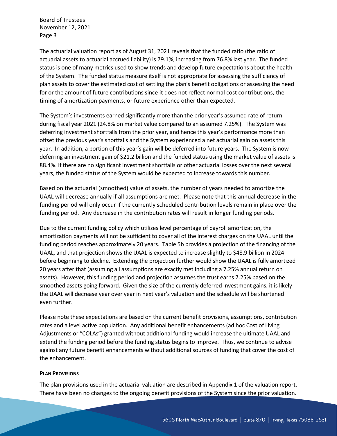The actuarial valuation report as of August 31, 2021 reveals that the funded ratio (the ratio of actuarial assets to actuarial accrued liability) is 79.1%, increasing from 76.8% last year. The funded status is one of many metrics used to show trends and develop future expectations about the health of the System. The funded status measure itself is not appropriate for assessing the sufficiency of plan assets to cover the estimated cost of settling the plan's benefit obligations or assessing the need for or the amount of future contributions since it does not reflect normal cost contributions, the timing of amortization payments, or future experience other than expected.

The System's investments earned significantly more than the prior year's assumed rate of return during fiscal year 2021 (24.8% on market value compared to an assumed 7.25%). The System was deferring investment shortfalls from the prior year, and hence this year's performance more than offset the previous year's shortfalls and the System experienced a net actuarial gain on assets this year. In addition, a portion of this year's gain will be deferred into future years. The System is now deferring an investment gain of \$21.2 billion and the funded status using the market value of assets is 88.4%. If there are no significant investment shortfalls or other actuarial losses over the next several years, the funded status of the System would be expected to increase towards this number.

Based on the actuarial (smoothed) value of assets, the number of years needed to amortize the UAAL will decrease annually if all assumptions are met. Please note that this annual decrease in the funding period will only occur if the currently scheduled contribution levels remain in place over the funding period. Any decrease in the contribution rates will result in longer funding periods.

Due to the current funding policy which utilizes level percentage of payroll amortization, the amortization payments will not be sufficient to cover all of the interest charges on the UAAL until the funding period reaches approximately 20 years. Table 5b provides a projection of the financing of the UAAL, and that projection shows the UAAL is expected to increase slightly to \$48.9 billion in 2024 before beginning to decline. Extending the projection further would show the UAAL is fully amortized 20 years after that (assuming all assumptions are exactly met including a 7.25% annual return on assets). However, this funding period and projection assumes the trust earns 7.25% based on the smoothed assets going forward. Given the size of the currently deferred investment gains, it is likely the UAAL will decrease year over year in next year's valuation and the schedule will be shortened even further.

Please note these expectations are based on the current benefit provisions, assumptions, contribution rates and a level active population. Any additional benefit enhancements (ad hoc Cost of Living Adjustments or "COLAs") granted without additional funding would increase the ultimate UAAL and extend the funding period before the funding status begins to improve. Thus, we continue to advise against any future benefit enhancements without additional sources of funding that cover the cost of the enhancement.

#### **PLAN PROVISIONS**

The plan provisions used in the actuarial valuation are described in Appendix 1 of the valuation report. There have been no changes to the ongoing benefit provisions of the System since the prior valuation.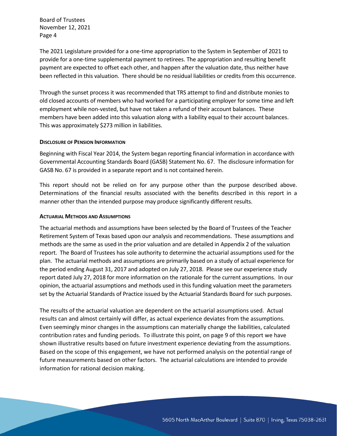The 2021 Legislature provided for a one-time appropriation to the System in September of 2021 to provide for a one-time supplemental payment to retirees. The appropriation and resulting benefit payment are expected to offset each other, and happen after the valuation date, thus neither have been reflected in this valuation. There should be no residual liabilities or credits from this occurrence.

Through the sunset process it was recommended that TRS attempt to find and distribute monies to old closed accounts of members who had worked for a participating employer for some time and left employment while non-vested, but have not taken a refund of their account balances. These members have been added into this valuation along with a liability equal to their account balances. This was approximately \$273 million in liabilities.

#### **DISCLOSURE OF PENSION INFORMATION**

Beginning with Fiscal Year 2014, the System began reporting financial information in accordance with Governmental Accounting Standards Board (GASB) Statement No. 67. The disclosure information for GASB No. 67 is provided in a separate report and is not contained herein.

This report should not be relied on for any purpose other than the purpose described above. Determinations of the financial results associated with the benefits described in this report in a manner other than the intended purpose may produce significantly different results.

#### **ACTUARIAL METHODS AND ASSUMPTIONS**

The actuarial methods and assumptions have been selected by the Board of Trustees of the Teacher Retirement System of Texas based upon our analysis and recommendations. These assumptions and methods are the same as used in the prior valuation and are detailed in Appendix 2 of the valuation report. The Board of Trustees has sole authority to determine the actuarial assumptions used for the plan. The actuarial methods and assumptions are primarily based on a study of actual experience for the period ending August 31, 2017 and adopted on July 27, 2018. Please see our experience study report dated July 27, 2018 for more information on the rationale for the current assumptions. In our opinion, the actuarial assumptions and methods used in this funding valuation meet the parameters set by the Actuarial Standards of Practice issued by the Actuarial Standards Board for such purposes.

The results of the actuarial valuation are dependent on the actuarial assumptions used. Actual results can and almost certainly will differ, as actual experience deviates from the assumptions. Even seemingly minor changes in the assumptions can materially change the liabilities, calculated contribution rates and funding periods. To illustrate this point, on page 9 of this report we have shown illustrative results based on future investment experience deviating from the assumptions. Based on the scope of this engagement, we have not performed analysis on the potential range of future measurements based on other factors. The actuarial calculations are intended to provide information for rational decision making.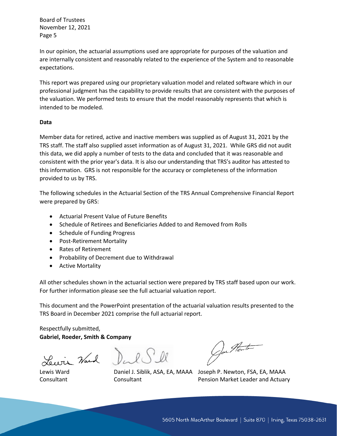In our opinion, the actuarial assumptions used are appropriate for purposes of the valuation and are internally consistent and reasonably related to the experience of the System and to reasonable expectations.

This report was prepared using our proprietary valuation model and related software which in our professional judgment has the capability to provide results that are consistent with the purposes of the valuation. We performed tests to ensure that the model reasonably represents that which is intended to be modeled.

#### **Data**

Member data for retired, active and inactive members was supplied as of August 31, 2021 by the TRS staff. The staff also supplied asset information as of August 31, 2021. While GRS did not audit this data, we did apply a number of tests to the data and concluded that it was reasonable and consistent with the prior year's data. It is also our understanding that TRS's auditor has attested to this information. GRS is not responsible for the accuracy or completeness of the information provided to us by TRS.

The following schedules in the Actuarial Section of the TRS Annual Comprehensive Financial Report were prepared by GRS:

- Actuarial Present Value of Future Benefits
- Schedule of Retirees and Beneficiaries Added to and Removed from Rolls
- Schedule of Funding Progress
- Post-Retirement Mortality
- Rates of Retirement
- Probability of Decrement due to Withdrawal
- Active Mortality

All other schedules shown in the actuarial section were prepared by TRS staff based upon our work. For further information please see the full actuarial valuation report.

This document and the PowerPoint presentation of the actuarial valuation results presented to the TRS Board in December 2021 comprise the full actuarial report.

### Respectfully submitted, **Gabriel, Roeder, Smith & Company**

Service Ward Dul Sll

Joi Hente

Lewis Ward Daniel J. Siblik, ASA, EA, MAAA Joseph P. Newton, FSA, EA, MAAA Consultant **Consultant** Consultant Pension Market Leader and Actuary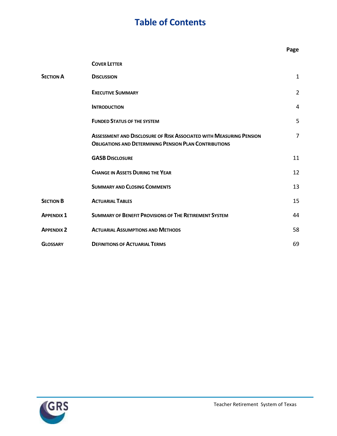# **Table of Contents**

|                   |                                                                                                                                             | Page           |
|-------------------|---------------------------------------------------------------------------------------------------------------------------------------------|----------------|
|                   | <b>COVER LETTER</b>                                                                                                                         |                |
| <b>SECTION A</b>  | <b>DISCUSSION</b>                                                                                                                           | $\mathbf{1}$   |
|                   | <b>EXECUTIVE SUMMARY</b>                                                                                                                    | $\overline{2}$ |
|                   | <b>INTRODUCTION</b>                                                                                                                         | $\overline{4}$ |
|                   | <b>FUNDED STATUS OF THE SYSTEM</b>                                                                                                          | 5              |
|                   | <b>ASSESSMENT AND DISCLOSURE OF RISK ASSOCIATED WITH MEASURING PENSION</b><br><b>OBLIGATIONS AND DETERMINING PENSION PLAN CONTRIBUTIONS</b> | 7              |
|                   | <b>GASB DISCLOSURE</b>                                                                                                                      | 11             |
|                   | <b>CHANGE IN ASSETS DURING THE YEAR</b>                                                                                                     | 12             |
|                   | <b>SUMMARY AND CLOSING COMMENTS</b>                                                                                                         | 13             |
| <b>SECTION B</b>  | <b>ACTUARIAL TABLES</b>                                                                                                                     | 15             |
| <b>APPENDIX 1</b> | <b>SUMMARY OF BENEFIT PROVISIONS OF THE RETIREMENT SYSTEM</b>                                                                               | 44             |
| <b>APPENDIX 2</b> | <b>ACTUARIAL ASSUMPTIONS AND METHODS</b>                                                                                                    | 58             |
| <b>GLOSSARY</b>   | <b>DEFINITIONS OF ACTUARIAL TERMS</b>                                                                                                       | 69             |

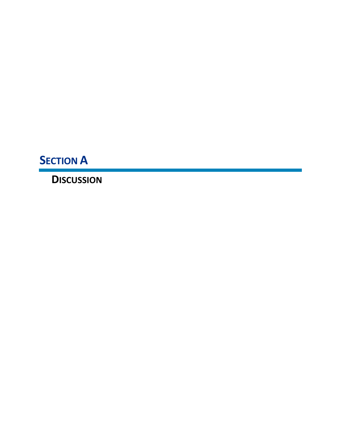**SECTION A**

**DISCUSSION**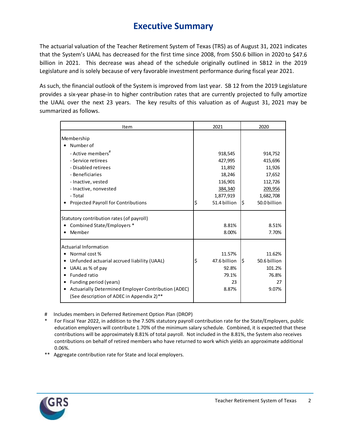### **Executive Summary**

The actuarial valuation of the Teacher Retirement System of Texas (TRS) as of August 31, 2021 indicates that the System's UAAL has decreased for the first time since 2008, from \$50.6 billion in 2020 to \$47.6 billion in 2021. This decrease was ahead of the schedule originally outlined in SB12 in the 2019 Legislature and is solely because of very favorable investment performance during fiscal year 2021.

As such, the financial outlook of the System is improved from last year. SB 12 from the 2019 Legislature provides a six-year phase-in to higher contribution rates that are currently projected to fully amortize the UAAL over the next 23 years. The key results of this valuation as of August 31, 2021 may be summarized as follows.

| Item                                                                                             | 2021               | 2020                |  |
|--------------------------------------------------------------------------------------------------|--------------------|---------------------|--|
| Membership                                                                                       |                    |                     |  |
| Number of                                                                                        |                    |                     |  |
| - Active members <sup>#</sup>                                                                    | 918,545            | 914,752             |  |
| - Service retirees                                                                               | 427,995            | 415,696             |  |
| - Disabled retirees                                                                              | 11,892             | 11,926              |  |
| - Beneficiaries                                                                                  | 18,246             | 17,652              |  |
| - Inactive, vested                                                                               | 116,901            | 112,726             |  |
| - Inactive, nonvested                                                                            | 384,340            | 209,956             |  |
| - Total                                                                                          | 1,877,919          | 1,682,708           |  |
| Projected Payroll for Contributions                                                              | \$<br>51.4 billion | l\$<br>50.0 billion |  |
| Statutory contribution rates (of payroll)                                                        |                    |                     |  |
| Combined State/Employers *                                                                       | 8.81%              | 8.51%               |  |
| Member                                                                                           | 8.00%              | 7.70%               |  |
| <b>Actuarial Information</b>                                                                     |                    |                     |  |
| Normal cost %                                                                                    | 11.57%             | 11.62%              |  |
| Unfunded actuarial accrued liability (UAAL)                                                      | \$<br>47.6 billion | l\$<br>50.6 billion |  |
| UAAL as % of pay                                                                                 | 92.8%              | 101.2%              |  |
| Funded ratio                                                                                     | 79.1%              | 76.8%               |  |
| Funding period (years)                                                                           | 23                 | 27                  |  |
| Actuarially Determined Employer Contribution (ADEC)<br>(See description of ADEC in Appendix 2)** | 8.87%              | 9.07%               |  |

- # Includes members in Deferred Retirement Option Plan (DROP)
- For Fiscal Year 2022, in addition to the 7.50% statutory payroll contribution rate for the State/Employers, public education employers will contribute 1.70% of the minimum salary schedule. Combined, it is expected that these contributions will be approximately 8.81% of total payroll. Not included in the 8.81%, the System also receives contributions on behalf of retired members who have returned to work which yields an approximate additional 0.06%.
- \*\* Aggregate contribution rate for State and local employers.

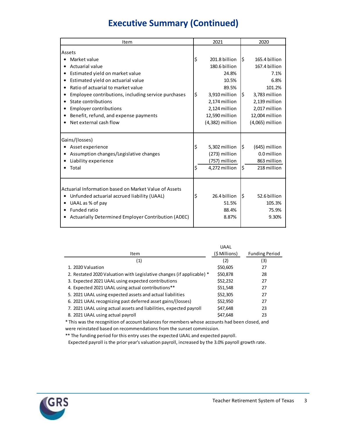# **Executive Summary (Continued)**

| Item                                                  | 2021                |      | 2020            |  |
|-------------------------------------------------------|---------------------|------|-----------------|--|
| Assets                                                |                     |      |                 |  |
| Market value                                          | \$<br>201.8 billion | Ŝ.   | 165.4 billion   |  |
| Actuarial value                                       | 180.6 billion       |      | 167.4 billion   |  |
| Estimated yield on market value                       | 24.8%               |      | 7.1%            |  |
| Estimated yield on actuarial value                    | 10.5%               |      | 6.8%            |  |
| Ratio of actuarial to market value<br>$\bullet$       | 89.5%               |      | 101.2%          |  |
| Employee contributions, including service purchases   | \$<br>3,910 million | I\$. | 3,783 million   |  |
| State contributions                                   | 2,174 million       |      | 2,139 million   |  |
| <b>Employer contributions</b>                         | 2,124 million       |      | 2,017 million   |  |
| Benefit, refund, and expense payments                 | 12,590 million      |      | 12,004 million  |  |
| Net external cash flow                                | (4,382) million     |      | (4,065) million |  |
| Gains/(losses)                                        |                     |      |                 |  |
| Asset experience                                      | \$<br>5,302 million | l\$  | (645) million   |  |
| Assumption changes/Legislative changes                | (273) million       |      | 0.0 million     |  |
| Liability experience                                  | (757) million       |      | 863 million     |  |
| Total                                                 | \$<br>4,272 million | \$   | 218 million     |  |
| Actuarial Information based on Market Value of Assets |                     |      |                 |  |
| Unfunded actuarial accrued liability (UAAL)           | \$<br>26.4 billion  | \$   | 52.6 billion    |  |
| UAAL as % of pay                                      | 51.5%               |      | 105.3%          |  |
| Funded ratio                                          | 88.4%               |      | 75.9%           |  |
| Actuarially Determined Employer Contribution (ADEC)   | 8.87%               |      | 9.30%           |  |
|                                                       |                     |      |                 |  |

|                                                                       | <b>UAAL</b>   |                       |
|-----------------------------------------------------------------------|---------------|-----------------------|
| Item                                                                  | (\$ Millions) | <b>Funding Period</b> |
| (1)                                                                   | (2)           | (3)                   |
| 1. 2020 Valuation                                                     | \$50,605      | 27                    |
| 2. Restated 2020 Valuation with Legislative changes (if applicable) * | \$50,878      | 28                    |
| 3. Expected 2021 UAAL using expected contributions                    | \$52,232      | 27                    |
| 4. Expected 2021 UAAL using actual contributions**                    | \$51,548      | 27                    |
| 5. 2021 UAAL using expected assets and actual liabilities             | \$52,305      | 27                    |
| 6. 2021 UAAL recognizing past deferred asset gains/(losses)           | \$52,950      | 27                    |
| 7. 2021 UAAL using actual assets and liabilities, expected payroll    | \$47,648      | 23                    |
| 8. 2021 UAAL using actual payroll                                     | \$47,648      | 23                    |

\* This was the recognition of account balances for members whose accounts had been closed, and were reinstated based on recommendations from the sunset commission.

\*\* The funding period for this entry uses the expected UAAL and expected payroll.

Expected payroll is the prior year's valuation payroll, increased by the 3.0% payroll growth rate.

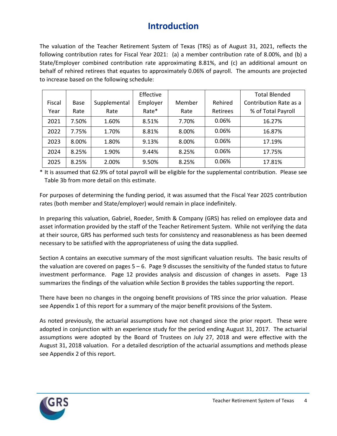### **Introduction**

The valuation of the Teacher Retirement System of Texas (TRS) as of August 31, 2021, reflects the following contribution rates for Fiscal Year 2021: (a) a member contribution rate of 8.00%, and (b) a State/Employer combined contribution rate approximating 8.81%, and (c) an additional amount on behalf of rehired retirees that equates to approximately 0.06% of payroll. The amounts are projected to increase based on the following schedule:

|        |             |              | Effective |        |          | <b>Total Blended</b>   |
|--------|-------------|--------------|-----------|--------|----------|------------------------|
| Fiscal | <b>Base</b> | Supplemental | Employer  | Member | Rehired  | Contribution Rate as a |
| Year   | Rate        | Rate         | Rate*     | Rate   | Retirees | % of Total Payroll     |
| 2021   | 7.50%       | 1.60%        | 8.51%     | 7.70%  | 0.06%    | 16.27%                 |
| 2022   | 7.75%       | 1.70%        | 8.81%     | 8.00%  | 0.06%    | 16.87%                 |
| 2023   | 8.00%       | 1.80%        | 9.13%     | 8.00%  | 0.06%    | 17.19%                 |
| 2024   | 8.25%       | 1.90%        | 9.44%     | 8.25%  | 0.06%    | 17.75%                 |
| 2025   | 8.25%       | 2.00%        | 9.50%     | 8.25%  | 0.06%    | 17.81%                 |

\* It is assumed that 62.9% of total payroll will be eligible for the supplemental contribution. Please see Table 3b from more detail on this estimate.

For purposes of determining the funding period, it was assumed that the Fiscal Year 2025 contribution rates (both member and State/employer) would remain in place indefinitely.

In preparing this valuation, Gabriel, Roeder, Smith & Company (GRS) has relied on employee data and asset information provided by the staff of the Teacher Retirement System. While not verifying the data at their source, GRS has performed such tests for consistency and reasonableness as has been deemed necessary to be satisfied with the appropriateness of using the data supplied.

Section A contains an executive summary of the most significant valuation results. The basic results of the valuation are covered on pages  $5 - 6$ . Page 9 discusses the sensitivity of the funded status to future investment performance. Page 12 provides analysis and discussion of changes in assets. Page 13 summarizes the findings of the valuation while Section B provides the tables supporting the report.

There have been no changes in the ongoing benefit provisions of TRS since the prior valuation. Please see Appendix 1 of this report for a summary of the major benefit provisions of the System.

As noted previously, the actuarial assumptions have not changed since the prior report. These were adopted in conjunction with an experience study for the period ending August 31, 2017. The actuarial assumptions were adopted by the Board of Trustees on July 27, 2018 and were effective with the August 31, 2018 valuation. For a detailed description of the actuarial assumptions and methods please see Appendix 2 of this report.

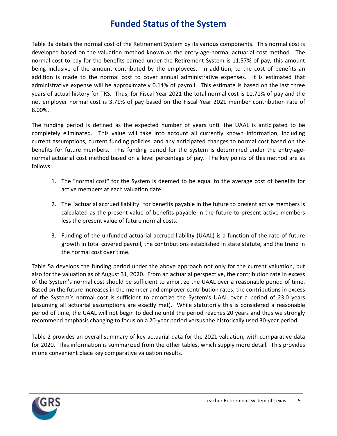### **Funded Status of the System**

Table 3a details the normal cost of the Retirement System by its various components. This normal cost is developed based on the valuation method known as the entry-age-normal actuarial cost method. The normal cost to pay for the benefits earned under the Retirement System is 11.57% of pay, this amount being inclusive of the amount contributed by the employees. In addition, to the cost of benefits an addition is made to the normal cost to cover annual administrative expenses. It is estimated that administrative expense will be approximately 0.14% of payroll. This estimate is based on the last three years of actual history for TRS. Thus, for Fiscal Year 2021 the total normal cost is 11.71% of pay and the net employer normal cost is 3.71% of pay based on the Fiscal Year 2021 member contribution rate of 8.00%.

The funding period is defined as the expected number of years until the UAAL is anticipated to be completely eliminated. This value will take into account all currently known information, including current assumptions, current funding policies, and any anticipated changes to normal cost based on the benefits for future members. This funding period for the System is determined under the entry-agenormal actuarial cost method based on a level percentage of pay. The key points of this method are as follows:

- 1. The "normal cost" for the System is deemed to be equal to the average cost of benefits for active members at each valuation date.
- 2. The "actuarial accrued liability" for benefits payable in the future to present active members is calculated as the present value of benefits payable in the future to present active members less the present value of future normal costs.
- 3. Funding of the unfunded actuarial accrued liability (UAAL) is a function of the rate of future growth in total covered payroll, the contributions established in state statute, and the trend in the normal cost over time.

Table 5a develops the funding period under the above approach not only for the current valuation, but also for the valuation as of August 31, 2020. From an actuarial perspective, the contribution rate in excess of the System's normal cost should be sufficient to amortize the UAAL over a reasonable period of time. Based on the future increases in the member and employer contribution rates, the contributions in excess of the System's normal cost is sufficient to amortize the System's UAAL over a period of 23.0 years (assuming all actuarial assumptions are exactly met). While statutorily this is considered a reasonable period of time, the UAAL will not begin to decline until the period reaches 20 years and thus we strongly recommend emphasis changing to focus on a 20-year period versus the historically used 30-year period.

Table 2 provides an overall summary of key actuarial data for the 2021 valuation, with comparative data for 2020. This information is summarized from the other tables, which supply more detail. This provides in one convenient place key comparative valuation results.

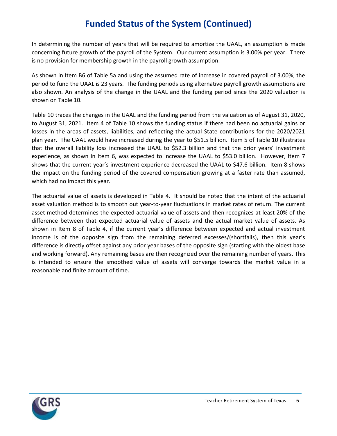# **Funded Status of the System (Continued)**

In determining the number of years that will be required to amortize the UAAL, an assumption is made concerning future growth of the payroll of the System. Our current assumption is 3.00% per year. There is no provision for membership growth in the payroll growth assumption.

As shown in Item B6 of Table 5a and using the assumed rate of increase in covered payroll of 3.00%, the period to fund the UAAL is 23 years. The funding periods using alternative payroll growth assumptions are also shown. An analysis of the change in the UAAL and the funding period since the 2020 valuation is shown on Table 10.

Table 10 traces the changes in the UAAL and the funding period from the valuation as of August 31, 2020, to August 31, 2021. Item 4 of Table 10 shows the funding status if there had been no actuarial gains or losses in the areas of assets, liabilities, and reflecting the actual State contributions for the 2020/2021 plan year. The UAAL would have increased during the year to \$51.5 billion. Item 5 of Table 10 illustrates that the overall liability loss increased the UAAL to \$52.3 billion and that the prior years' investment experience, as shown in Item 6, was expected to increase the UAAL to \$53.0 billion. However, Item 7 shows that the current year's investment experience decreased the UAAL to \$47.6 billion. Item 8 shows the impact on the funding period of the covered compensation growing at a faster rate than assumed, which had no impact this year.

The actuarial value of assets is developed in Table 4. It should be noted that the intent of the actuarial asset valuation method is to smooth out year-to-year fluctuations in market rates of return. The current asset method determines the expected actuarial value of assets and then recognizes at least 20% of the difference between that expected actuarial value of assets and the actual market value of assets. As shown in Item 8 of Table 4, if the current year's difference between expected and actual investment income is of the opposite sign from the remaining deferred excesses/(shortfalls), then this year's difference is directly offset against any prior year bases of the opposite sign (starting with the oldest base and working forward). Any remaining bases are then recognized over the remaining number of years. This is intended to ensure the smoothed value of assets will converge towards the market value in a reasonable and finite amount of time.

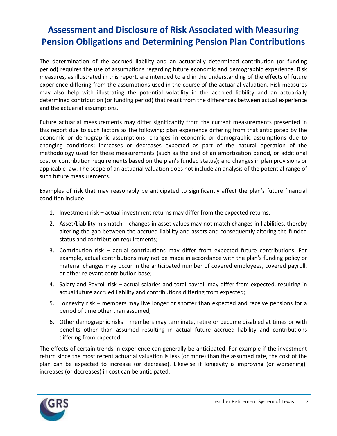# **Assessment and Disclosure of Risk Associated with Measuring Pension Obligations and Determining Pension Plan Contributions**

The determination of the accrued liability and an actuarially determined contribution (or funding period) requires the use of assumptions regarding future economic and demographic experience. Risk measures, as illustrated in this report, are intended to aid in the understanding of the effects of future experience differing from the assumptions used in the course of the actuarial valuation. Risk measures may also help with illustrating the potential volatility in the accrued liability and an actuarially determined contribution (or funding period) that result from the differences between actual experience and the actuarial assumptions.

Future actuarial measurements may differ significantly from the current measurements presented in this report due to such factors as the following: plan experience differing from that anticipated by the economic or demographic assumptions; changes in economic or demographic assumptions due to changing conditions; increases or decreases expected as part of the natural operation of the methodology used for these measurements (such as the end of an amortization period, or additional cost or contribution requirements based on the plan's funded status); and changes in plan provisions or applicable law. The scope of an actuarial valuation does not include an analysis of the potential range of such future measurements.

Examples of risk that may reasonably be anticipated to significantly affect the plan's future financial condition include:

- 1. Investment risk actual investment returns may differ from the expected returns;
- 2. Asset/Liability mismatch changes in asset values may not match changes in liabilities, thereby altering the gap between the accrued liability and assets and consequently altering the funded status and contribution requirements;
- 3. Contribution risk actual contributions may differ from expected future contributions. For example, actual contributions may not be made in accordance with the plan's funding policy or material changes may occur in the anticipated number of covered employees, covered payroll, or other relevant contribution base;
- 4. Salary and Payroll risk actual salaries and total payroll may differ from expected, resulting in actual future accrued liability and contributions differing from expected;
- 5. Longevity risk members may live longer or shorter than expected and receive pensions for a period of time other than assumed;
- 6. Other demographic risks members may terminate, retire or become disabled at times or with benefits other than assumed resulting in actual future accrued liability and contributions differing from expected.

The effects of certain trends in experience can generally be anticipated. For example if the investment return since the most recent actuarial valuation is less (or more) than the assumed rate, the cost of the plan can be expected to increase (or decrease). Likewise if longevity is improving (or worsening), increases (or decreases) in cost can be anticipated.

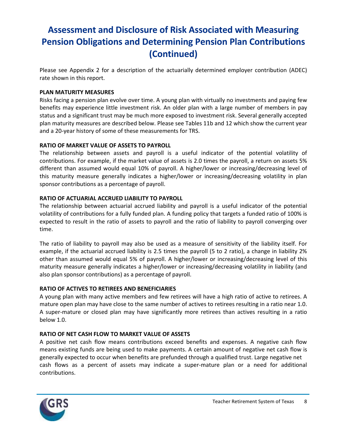# **Assessment and Disclosure of Risk Associated with Measuring Pension Obligations and Determining Pension Plan Contributions (Continued)**

Please see Appendix 2 for a description of the actuarially determined employer contribution (ADEC) rate shown in this report.

### **PLAN MATURITY MEASURES**

Risks facing a pension plan evolve over time. A young plan with virtually no investments and paying few benefits may experience little investment risk. An older plan with a large number of members in pay status and a significant trust may be much more exposed to investment risk. Several generally accepted plan maturity measures are described below. Please see Tables 11b and 12 which show the current year and a 20-year history of some of these measurements for TRS.

### **RATIO OF MARKET VALUE OF ASSETS TO PAYROLL**

The relationship between assets and payroll is a useful indicator of the potential volatility of contributions. For example, if the market value of assets is 2.0 times the payroll, a return on assets 5% different than assumed would equal 10% of payroll. A higher/lower or increasing/decreasing level of this maturity measure generally indicates a higher/lower or increasing/decreasing volatility in plan sponsor contributions as a percentage of payroll.

### **RATIO OF ACTUARIAL ACCRUED LIABILITY TO PAYROLL**

The relationship between actuarial accrued liability and payroll is a useful indicator of the potential volatility of contributions for a fully funded plan. A funding policy that targets a funded ratio of 100% is expected to result in the ratio of assets to payroll and the ratio of liability to payroll converging over time.

The ratio of liability to payroll may also be used as a measure of sensitivity of the liability itself. For example, if the actuarial accrued liability is 2.5 times the payroll (5 to 2 ratio), a change in liability 2% other than assumed would equal 5% of payroll. A higher/lower or increasing/decreasing level of this maturity measure generally indicates a higher/lower or increasing/decreasing volatility in liability (and also plan sponsor contributions) as a percentage of payroll.

### **RATIO OF ACTIVES TO RETIREES AND BENEFICIARIES**

A young plan with many active members and few retirees will have a high ratio of active to retirees. A mature open plan may have close to the same number of actives to retirees resulting in a ratio near 1.0. A super-mature or closed plan may have significantly more retirees than actives resulting in a ratio below 1.0.

### **RATIO OF NET CASH FLOW TO MARKET VALUE OF ASSETS**

A positive net cash flow means contributions exceed benefits and expenses. A negative cash flow means existing funds are being used to make payments. A certain amount of negative net cash flow is generally expected to occur when benefits are prefunded through a qualified trust. Large negative net cash flows as a percent of assets may indicate a super-mature plan or a need for additional contributions.

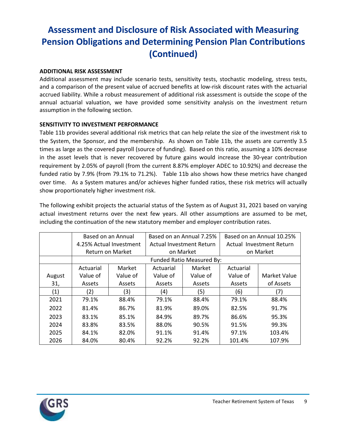# **Assessment and Disclosure of Risk Associated with Measuring Pension Obligations and Determining Pension Plan Contributions (Continued)**

### **ADDITIONAL RISK ASSESSMENT**

Additional assessment may include scenario tests, sensitivity tests, stochastic modeling, stress tests, and a comparison of the present value of accrued benefits at low-risk discount rates with the actuarial accrued liability. While a robust measurement of additional risk assessment is outside the scope of the annual actuarial valuation, we have provided some sensitivity analysis on the investment return assumption in the following section.

### **SENSITIVITY TO INVESTMENT PERFORMANCE**

Table 11b provides several additional risk metrics that can help relate the size of the investment risk to the System, the Sponsor, and the membership. As shown on Table 11b, the assets are currently 3.5 times as large as the covered payroll (source of funding). Based on this ratio, assuming a 10% decrease in the asset levels that is never recovered by future gains would increase the 30-year contribution requirement by 2.05% of payroll (from the current 8.87% employer ADEC to 10.92%) and decrease the funded ratio by 7.9% (from 79.1% to 71.2%). Table 11b also shows how these metrics have changed over time. As a System matures and/or achieves higher funded ratios, these risk metrics will actually show proportionately higher investment risk.

The following exhibit projects the actuarial status of the System as of August 31, 2021 based on varying actual investment returns over the next few years. All other assumptions are assumed to be met, including the continuation of the new statutory member and employer contribution rates.

|        | Based on an Annual                       |                  |           | Based on an Annual 7.25%        |           | Based on an Annual 10.25% |
|--------|------------------------------------------|------------------|-----------|---------------------------------|-----------|---------------------------|
|        | 4.25% Actual Investment                  |                  |           | <b>Actual Investment Return</b> |           | Actual Investment Return  |
|        |                                          | Return on Market |           | on Market                       |           | on Market                 |
|        |                                          |                  |           | Funded Ratio Measured By:       |           |                           |
|        | Actuarial                                | Market           | Actuarial | Market                          | Actuarial |                           |
| August | Value of                                 | Value of         | Value of  | Value of                        | Value of  | Market Value              |
| 31,    | Assets                                   | Assets           | Assets    | Assets                          | Assets    | of Assets                 |
| (1)    | (2)                                      | (3)              | (4)       | (5)                             | (6)       | (7)                       |
| 2021   | 88.4%<br>79.1%<br>2022<br>86.7%<br>81.4% |                  | 79.1%     | 88.4%                           | 79.1%     | 88.4%                     |
|        |                                          |                  | 81.9%     | 89.0%                           | 82.5%     | 91.7%                     |
| 2023   | 83.1%                                    | 85.1%            | 84.9%     | 89.7%                           | 86.6%     | 95.3%                     |
| 2024   | 83.8%                                    | 83.5%            | 88.0%     | 90.5%                           | 91.5%     | 99.3%                     |
| 2025   | 84.1%                                    | 82.0%            | 91.1%     | 91.4%                           | 97.1%     | 103.4%                    |
| 2026   | 84.0%                                    | 80.4%            | 92.2%     | 92.2%                           | 101.4%    | 107.9%                    |

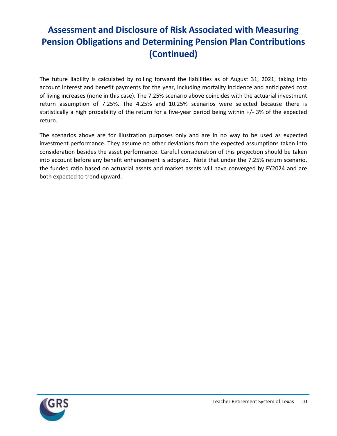# **Assessment and Disclosure of Risk Associated with Measuring Pension Obligations and Determining Pension Plan Contributions (Continued)**

The future liability is calculated by rolling forward the liabilities as of August 31, 2021, taking into account interest and benefit payments for the year, including mortality incidence and anticipated cost of living increases (none in this case). The 7.25% scenario above coincides with the actuarial investment return assumption of 7.25%. The 4.25% and 10.25% scenarios were selected because there is statistically a high probability of the return for a five-year period being within +/- 3% of the expected return.

The scenarios above are for illustration purposes only and are in no way to be used as expected investment performance. They assume no other deviations from the expected assumptions taken into consideration besides the asset performance. Careful consideration of this projection should be taken into account before any benefit enhancement is adopted. Note that under the 7.25% return scenario, the funded ratio based on actuarial assets and market assets will have converged by FY2024 and are both expected to trend upward.

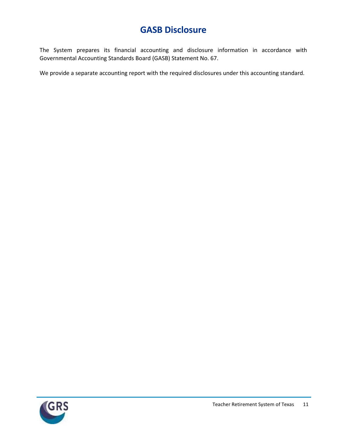### **GASB Disclosure**

The System prepares its financial accounting and disclosure information in accordance with Governmental Accounting Standards Board (GASB) Statement No. 67.

We provide a separate accounting report with the required disclosures under this accounting standard.

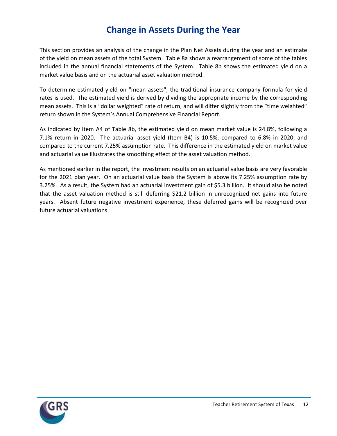### **Change in Assets During the Year**

This section provides an analysis of the change in the Plan Net Assets during the year and an estimate of the yield on mean assets of the total System. Table 8a shows a rearrangement of some of the tables included in the annual financial statements of the System. Table 8b shows the estimated yield on a market value basis and on the actuarial asset valuation method.

To determine estimated yield on "mean assets", the traditional insurance company formula for yield rates is used. The estimated yield is derived by dividing the appropriate income by the corresponding mean assets. This is a "dollar weighted" rate of return, and will differ slightly from the "time weighted" return shown in the System's Annual Comprehensive Financial Report.

As indicated by Item A4 of Table 8b, the estimated yield on mean market value is 24.8%, following a 7.1% return in 2020. The actuarial asset yield (Item B4) is 10.5%, compared to 6.8% in 2020, and compared to the current 7.25% assumption rate. This difference in the estimated yield on market value and actuarial value illustrates the smoothing effect of the asset valuation method.

As mentioned earlier in the report, the investment results on an actuarial value basis are very favorable for the 2021 plan year. On an actuarial value basis the System is above its 7.25% assumption rate by 3.25%. As a result, the System had an actuarial investment gain of \$5.3 billion. It should also be noted that the asset valuation method is still deferring \$21.2 billion in unrecognized net gains into future years. Absent future negative investment experience, these deferred gains will be recognized over future actuarial valuations.

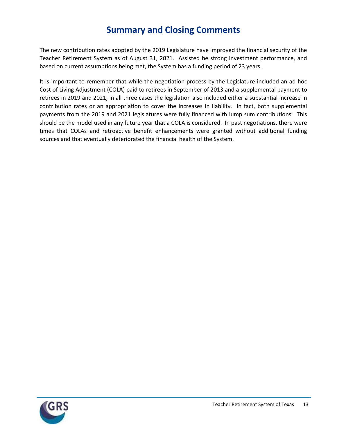### **Summary and Closing Comments**

The new contribution rates adopted by the 2019 Legislature have improved the financial security of the Teacher Retirement System as of August 31, 2021. Assisted be strong investment performance, and based on current assumptions being met, the System has a funding period of 23 years.

It is important to remember that while the negotiation process by the Legislature included an ad hoc Cost of Living Adjustment (COLA) paid to retirees in September of 2013 and a supplemental payment to retirees in 2019 and 2021, in all three cases the legislation also included either a substantial increase in contribution rates or an appropriation to cover the increases in liability. In fact, both supplemental payments from the 2019 and 2021 legislatures were fully financed with lump sum contributions. This should be the model used in any future year that a COLA is considered. In past negotiations, there were times that COLAs and retroactive benefit enhancements were granted without additional funding sources and that eventually deteriorated the financial health of the System.

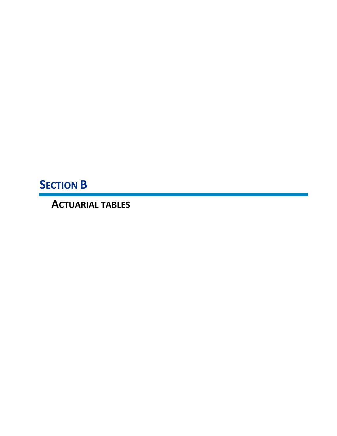**SECTION B**

**ACTUARIAL TABLES**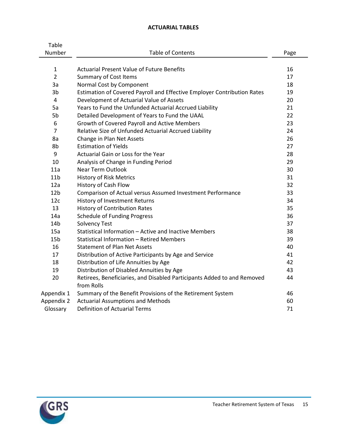### **ACTUARIAL TABLES**

| Table           |                                                                         |          |  |  |
|-----------------|-------------------------------------------------------------------------|----------|--|--|
| Number          | <b>Table of Contents</b>                                                | Page     |  |  |
|                 |                                                                         |          |  |  |
| $\mathbf{1}$    | <b>Actuarial Present Value of Future Benefits</b>                       | 16<br>17 |  |  |
| $\overline{2}$  | <b>Summary of Cost Items</b>                                            |          |  |  |
| 3a              | Normal Cost by Component                                                | 18       |  |  |
| 3b              | Estimation of Covered Payroll and Effective Employer Contribution Rates | 19       |  |  |
| $\overline{4}$  | Development of Actuarial Value of Assets                                | 20       |  |  |
| 5a              | Years to Fund the Unfunded Actuarial Accrued Liability                  | 21       |  |  |
| 5b              | Detailed Development of Years to Fund the UAAL                          | 22       |  |  |
| 6               | Growth of Covered Payroll and Active Members                            | 23       |  |  |
| $\overline{7}$  | Relative Size of Unfunded Actuarial Accrued Liability                   | 24       |  |  |
| 8a              | Change in Plan Net Assets                                               | 26       |  |  |
| 8b              | <b>Estimation of Yields</b>                                             | 27       |  |  |
| 9               | Actuarial Gain or Loss for the Year                                     | 28       |  |  |
| 10              | Analysis of Change in Funding Period                                    | 29       |  |  |
| 11a             | <b>Near Term Outlook</b>                                                | 30       |  |  |
| 11 <sub>b</sub> | <b>History of Risk Metrics</b>                                          | 31       |  |  |
| 12a             | History of Cash Flow                                                    | 32       |  |  |
| 12 <sub>b</sub> | Comparison of Actual versus Assumed Investment Performance              | 33       |  |  |
| 12c             | History of Investment Returns                                           | 34       |  |  |
| 13              | <b>History of Contribution Rates</b>                                    | 35       |  |  |
| 14a             | <b>Schedule of Funding Progress</b>                                     | 36       |  |  |
| 14 <sub>b</sub> | <b>Solvency Test</b>                                                    | 37       |  |  |
| 15a             | Statistical Information - Active and Inactive Members                   | 38       |  |  |
| 15 <sub>b</sub> | Statistical Information - Retired Members                               | 39       |  |  |
| 16              | <b>Statement of Plan Net Assets</b>                                     | 40       |  |  |
| 17              | Distribution of Active Participants by Age and Service                  | 41       |  |  |
| 18              | Distribution of Life Annuities by Age                                   | 42       |  |  |
| 19              | Distribution of Disabled Annuities by Age                               | 43       |  |  |
| 20              | Retirees, Beneficiaries, and Disabled Participants Added to and Removed | 44       |  |  |
|                 | from Rolls                                                              |          |  |  |
| Appendix 1      | Summary of the Benefit Provisions of the Retirement System              | 46       |  |  |
| Appendix 2      | <b>Actuarial Assumptions and Methods</b>                                | 60       |  |  |
| Glossary        | <b>Definition of Actuarial Terms</b>                                    | 71       |  |  |

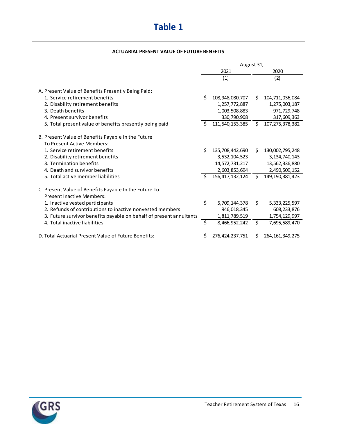# **Table 1**

#### **ACTUARIAL PRESENT VALUE OF FUTURE BENEFITS**

|                                                                     | August 31,    |                 |    |                    |  |
|---------------------------------------------------------------------|---------------|-----------------|----|--------------------|--|
|                                                                     | 2021          |                 |    | 2020               |  |
|                                                                     |               | (1)             |    | (2)                |  |
| A. Present Value of Benefits Presently Being Paid:                  |               |                 |    |                    |  |
| 1. Service retirement benefits                                      | Ś.            | 108,948,080,707 | Ŝ. | 104,711,036,084    |  |
| 2. Disability retirement benefits                                   |               | 1,257,772,887   |    | 1,275,003,187      |  |
| 3. Death benefits                                                   |               | 1,003,508,883   |    | 971,729,748        |  |
| 4. Present survivor benefits                                        |               | 330,790,908     |    | 317,609,363        |  |
| 5. Total present value of benefits presently being paid             | Ŝ.            | 111,540,153,385 | \$ | 107, 275, 378, 382 |  |
| B. Present Value of Benefits Payable In the Future                  |               |                 |    |                    |  |
| To Present Active Members:                                          |               |                 |    |                    |  |
| 1. Service retirement benefits                                      | Ś.            | 135,708,442,690 | Ś. | 130,002,795,248    |  |
| 2. Disability retirement benefits                                   |               | 3,532,104,523   |    | 3, 134, 740, 143   |  |
| 3. Termination benefits                                             |               | 14,572,731,217  |    | 13,562,336,880     |  |
| 4. Death and survivor benefits                                      |               | 2,603,853,694   |    | 2,490,509,152      |  |
| 5. Total active member liabilities                                  | <sup>\$</sup> | 156,417,132,124 | \$ | 149, 190, 381, 423 |  |
| C. Present Value of Benefits Payable In the Future To               |               |                 |    |                    |  |
| <b>Present Inactive Members:</b>                                    |               |                 |    |                    |  |
| 1. Inactive vested participants                                     | \$            | 5,709,144,378   | Ś. | 5,333,225,597      |  |
| 2. Refunds of contributions to inactive nonvested members           |               | 946,018,345     |    | 608, 233, 876      |  |
| 3. Future survivor benefits payable on behalf of present annuitants |               | 1,811,789,519   |    | 1,754,129,997      |  |
| 4. Total inactive liabilities                                       | \$            | 8,466,952,242   | \$ | 7,695,589,470      |  |
| D. Total Actuarial Present Value of Future Benefits:                | Ś.            | 276,424,237,751 | S  | 264, 161, 349, 275 |  |

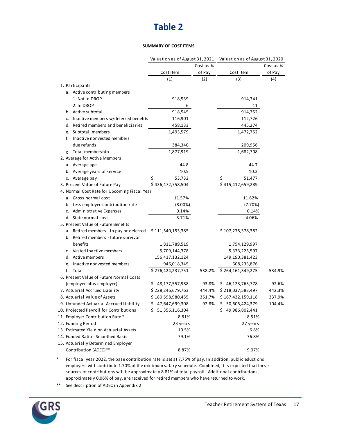### **Table 2**

#### **SUMMARY OF COST ITEMS**

|                                              | Valuation as of August 31, 2021 Valuation as of August 31, 2020 |           |                   |           |
|----------------------------------------------|-----------------------------------------------------------------|-----------|-------------------|-----------|
|                                              |                                                                 | Cost as % |                   | Cost as % |
|                                              | Cost Item                                                       | of Pay    | Cost Item         | of Pay    |
|                                              | (1)                                                             | (2)       | (3)               | (4)       |
| 1. Participants                              |                                                                 |           |                   |           |
| a. Active contributing members               |                                                                 |           |                   |           |
| 1. Not in DROP                               | 918,539                                                         |           | 914,741           |           |
| 2. In DROP                                   | 6                                                               |           | 11                |           |
| b. Active subtotal                           | 918,545                                                         |           | 914,752           |           |
| c. Inactive members w/deferred benefits      | 116,901                                                         |           | 112,726           |           |
| d. Retired members and beneficiaries         | 458,133                                                         |           | 445,274           |           |
| e. Subtotal, members                         | 1,493,579                                                       |           | 1,472,752         |           |
| f. Inactive nonvested members                |                                                                 |           |                   |           |
| due refunds                                  | 384,340                                                         |           | 209,956           |           |
| g. Total membership                          | 1,877,919                                                       |           | 1,682,708         |           |
| 2. Average for Active Members                |                                                                 |           |                   |           |
| a. Average age                               | 44.8                                                            |           | 44.7              |           |
| b. Average years of service                  | 10.5                                                            |           | 10.3              |           |
| c. Average pay                               | \$<br>53,732                                                    |           | \$<br>51,477      |           |
| 3. Present Value of Future Pay               | \$436,472,758,504                                               |           | \$415,412,659,289 |           |
| 4. Normal Cost Rate for Upcoming Fiscal Year |                                                                 |           |                   |           |
| a. Gross normal cost                         | 11.57%                                                          |           | 11.62%            |           |
| b. Less employee contribution rate           | $(8.00\%)$                                                      |           | (7.70%)           |           |
| c. Administrative Expenses                   | 0.14%                                                           |           | 0.14%             |           |
| d. State normal cost                         | 3.71%                                                           |           | 4.06%             |           |
| 5. Present Value of Future Benefits          |                                                                 |           |                   |           |
| a. Retired members - in pay or deferred      | \$111,540,153,385                                               |           | \$107,275,378,382 |           |
| b. Retired members - future survivor         |                                                                 |           |                   |           |
| benefits                                     | 1,811,789,519                                                   |           | 1,754,129,997     |           |
| c. Vested inactive members                   | 5,709,144,378                                                   |           | 5,333,225,597     |           |
| d. Active members                            | 156,417,132,124                                                 |           | 149,190,381,423   |           |
| e. Inactive nonvested members                | 946,018,345                                                     |           | 608,233,876       |           |
| f. Total                                     | \$276,424,237,751                                               | 538.2%    | \$264,161,349,275 | 534.9%    |
| 6. Present Value of Future Normal Costs      |                                                                 |           |                   |           |
| (employee plus employer)                     | \$48,177,557,988                                                | 93.8%     | \$46,123,765,778  | 92.6%     |
| 7. Actuarial Accrued Liability               | \$228,246,679,763                                               | 444.4%    | \$218,037,583,497 | 442.3%    |
| 8. Actuarial Value of Assets                 | \$180,598,980,455                                               | 351.7%    | \$167,432,159,118 | 337.9%    |
| 9. Unfunded Actuarial Accrued Liability      | \$47,647,699,308                                                | 92.8%     | \$50,605,424,379  | 104.4%    |
| 10. Projected Payroll for Contributions      | \$ 51,356,116,304                                               |           | \$49,986,802,441  |           |
| 11. Employer Contribution Rate *             | 8.81%                                                           |           | 8.51%             |           |
| 12. Funding Period                           | 23 years                                                        |           | 27 years          |           |
| 13. Estimated Yield on Actuarial Assets      | 10.5%                                                           |           | 6.8%              |           |
| 14. Funded Ratio - Smoothed Basis            | 79.1%                                                           |           | 76.8%             |           |
| 15. Actuarially Determined Employer          |                                                                 |           |                   |           |
| Contribution (ADEC)**                        | 8.87%                                                           |           | 9.07%             |           |

\* For fiscal year 2022, the base contribution rate is set at 7.75% of pay. In addition, public eductions employers will contribute 1.70% of the minimum salary schedule. Combined, it is expected that these sources of contributions will be approximately 8.81% of total payroll. Additional contributions, approximately 0.06% of pay, are received for retired members who have returned to work.

\*\* See description of ADEC in Appendix 2

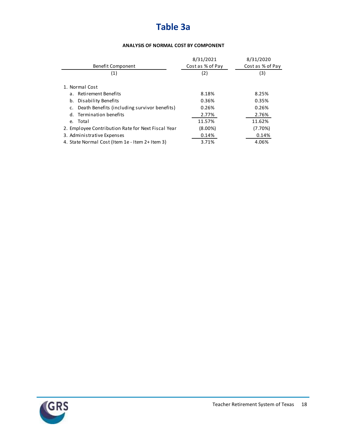# **Table 3a**

#### **ANALYSIS OF NORMAL COST BY COMPONENT**

|                                                    | 8/31/2021        | 8/31/2020        |
|----------------------------------------------------|------------------|------------------|
| <b>Benefit Component</b>                           | Cost as % of Pay | Cost as % of Pay |
| (1)                                                | (2)              | (3)              |
| 1. Normal Cost                                     |                  |                  |
| a. Retirement Benefits                             | 8.18%            | 8.25%            |
| b. Disability Benefits                             | 0.36%            | 0.35%            |
| c. Death Benefits (including survivor benefits)    | 0.26%            | 0.26%            |
| d. Termination benefits                            | 2.77%            | 2.76%            |
| e. Total                                           | 11.57%           | 11.62%           |
| 2. Employee Contribution Rate for Next Fiscal Year | $(8.00\%)$       | (7.70%)          |
| 3. Administrative Expenses                         | 0.14%            | 0.14%            |
| 4. State Normal Cost (Item 1e - Item 2+ Item 3)    | 3.71%            | 4.06%            |

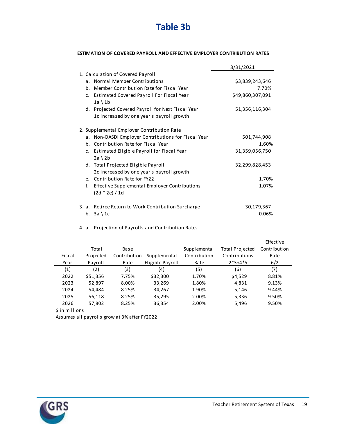

#### **ESTIMATION OF COVERED PAYROLL AND EFFECTIVE EMPLOYER CONTRIBUTION RATES**

|                                                                         | 8/31/2021        |
|-------------------------------------------------------------------------|------------------|
| 1. Calculation of Covered Payroll                                       |                  |
| Normal Member Contributions<br>a <sub>1</sub>                           | \$3,839,243,646  |
| b. Member Contribution Rate for Fiscal Year                             | 7.70%            |
| Estimated Covered Payroll For Fiscal Year<br>c.<br>$1a \setminus 1b$    | \$49,860,307,091 |
| d. Projected Covered Payroll for Next Fiscal Year                       | 51,356,116,304   |
| 1c increased by one year's payroll growth                               |                  |
| 2. Supplemental Employer Contribution Rate                              |                  |
| a. Non-OASDI Employer Contributions for Fiscal Year                     | 501,744,908      |
| b. Contribution Rate for Fiscal Year                                    | 1.60%            |
| c. Estimated Eligible Payroll for Fiscal Year<br>$2a \setminus 2b$      | 31,359,056,750   |
| d. Total Projected Eligible Payroll                                     | 32,299,828,453   |
| 2c increased by one year's payroll growth                               |                  |
| e. Contribution Rate for FY22                                           | 1.70%            |
| f.<br>Effective Supplemental Employer Contributions<br>$(2d * 2e) / 1d$ | 1.07%            |
| 3. a. Retiree Return to Work Contribution Surcharge                     | 30,179,367       |
| b. $3a \setminus 1c$                                                    | 0.06%            |

4. a. Projection of Payrolls and Contribution Rates

|        |           |              |                  |              |                        | Effective    |
|--------|-----------|--------------|------------------|--------------|------------------------|--------------|
|        | Total     | Base         |                  | Supplemental | <b>Total Projected</b> | Contribution |
| Fiscal | Projected | Contribution | Supplemental     | Contribution | Contributions          | Rate         |
| Year   | Payroll   | Rate         | Eligible Payroll | Rate         | $2*3+4*5$              | 6/2          |
| (1)    | (2)       | (3)          | (4)              | (5)          | (6)                    | (7)          |
| 2022   | \$51,356  | 7.75%        | \$32,300         | 1.70%        | \$4,529                | 8.81%        |
| 2023   | 52,897    | 8.00%        | 33,269           | 1.80%        | 4,831                  | 9.13%        |
| 2024   | 54,484    | 8.25%        | 34,267           | 1.90%        | 5,146                  | 9.44%        |
| 2025   | 56,118    | 8.25%        | 35,295           | 2.00%        | 5,336                  | 9.50%        |
| 2026   | 57,802    | 8.25%        | 36,354           | 2.00%        | 5,496                  | 9.50%        |
|        |           |              |                  |              |                        |              |

\$ in millions

Assumes all payrolls grow at 3% after FY2022

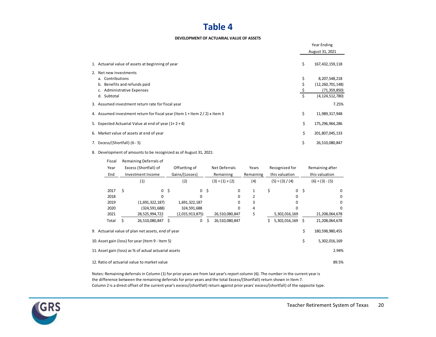### **Table 4**

#### **DEVELOPMENT OF ACTUARIAL VALUE OF ASSETS**

|                                                                             |    | Year Ending         |
|-----------------------------------------------------------------------------|----|---------------------|
|                                                                             |    | August 31, 2021     |
| 1. Actuarial value of assets at beginning of year                           | \$ | 167, 432, 159, 118  |
| 2. Net new investments                                                      |    |                     |
| a. Contributions                                                            | \$ | 8,207,548,218       |
| b. Benefits and refunds paid                                                |    | (12, 260, 701, 148) |
| c. Administrative Expenses                                                  |    | (71, 359, 850)      |
| d. Subtotal                                                                 | \$ | (4, 124, 512, 780)  |
| 3. Assumed investment return rate for fiscal year                           |    | 7.25%               |
| 4. Assumed investment return for fiscal year (Item 1 + Item 2 / 2) x Item 3 | \$ | 11,989,317,948      |
| 5. Expected Actuarial Value at end of year $(1+2+4)$                        | \$ | 175,296,964,286     |
| 6. Market value of assets at end of year                                    | \$ | 201,807,045,133     |
| 7. Excess/(Shortfall) (6 - 5)                                               | \$ | 26,510,080,847      |

8. Development of amounts to be recognized as of August 31, 2021:

| Fiscal |                          | Remaining Deferrals of                                |                |                          |      |                        |                   |    |                   |      |                 |  |
|--------|--------------------------|-------------------------------------------------------|----------------|--------------------------|------|------------------------|-------------------|----|-------------------|------|-----------------|--|
| Year   |                          | Excess (Shortfall) of                                 |                | Offsetting of            |      | Net Deferrals<br>Years |                   |    | Recognized for    |      | Remaining after |  |
| End    | Investment Income<br>(1) |                                                       |                | Gains/(Losses)           |      | Remaining              | Remaining         |    | this valuation    |      | this valuation  |  |
|        |                          |                                                       |                | (2)<br>$(3) = (1) + (2)$ |      | (4)                    | $(5) = (3) / (4)$ |    | $(6) = (3) - (5)$ |      |                 |  |
| 2017   | Ś                        |                                                       | $0\frac{1}{2}$ | $\mathsf{O}$             | - \$ | $\Omega$               | 1                 | \$ | $\mathbf 0$       | - \$ | 0               |  |
| 2018   |                          | 0                                                     |                | <sup>0</sup>             |      |                        | 2                 |    | <sup>0</sup>      |      | 0               |  |
| 2019   |                          | (1,691,322,187)                                       |                | 1,691,322,187            |      |                        | 3                 |    |                   |      | 0               |  |
| 2020   |                          | (324,591,688)                                         |                | 324,591,688              |      | ŋ                      | 4                 |    |                   |      | 0               |  |
| 2021   |                          | 28,525,994,722                                        |                | (2,015,913,875)          |      | 26,510,080,847         | 5                 |    | 5,302,016,169     |      | 21,208,064,678  |  |
| Total  |                          | 26,510,080,847 \$                                     |                | $\mathbf 0$              | s    | 26,510,080,847         |                   | \$ | 5,302,016,169 \$  |      | 21,208,064,678  |  |
|        |                          | 9. Actuarial value of plan net assets, end of year    |                |                          |      |                        |                   |    |                   | Ś    | 180,598,980,455 |  |
|        |                          | 10. Asset gain (loss) for year (Item 9 - Item 5)      |                |                          |      |                        |                   |    |                   | \$   | 5,302,016,169   |  |
|        |                          | 11. Asset gain (loss) as % of actual actuarial assets |                |                          |      |                        |                   |    |                   |      | 2.94%           |  |
|        |                          | 12. Ratio of actuarial value to market value          |                |                          |      |                        |                   |    |                   |      | 89.5%           |  |

Notes: Remaining deferrals in Column (1) for prior years are from last year's report column (6). The number in the current year is the difference between the remaining deferrals for prior years and the total Excess/(Shortfall) return shown in Item 7. Column 2 is a direct offset of the current year's excess/(shortfall) return against prior years' excess/(shortfall) of the opposite type.

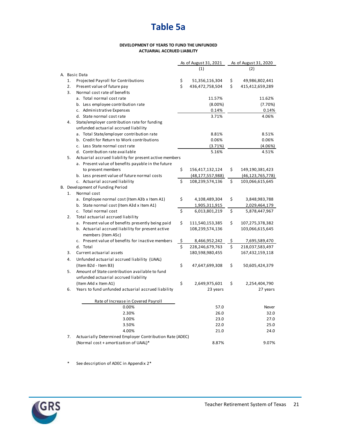#### **DEVELOPMENT OF YEARS TO FUND THE UNFUNDED ACTUARIAL ACCRUED LIABILITY**

|    |                                                          |    | As of August 31, 2021 | As of August 31, 2020 |                     |  |
|----|----------------------------------------------------------|----|-----------------------|-----------------------|---------------------|--|
|    |                                                          |    | (1)                   |                       | (2)                 |  |
|    | A. Basic Data                                            |    |                       |                       |                     |  |
| 1. | Projected Payroll for Contributions                      | \$ | 51,356,116,304        | \$                    | 49,986,802,441      |  |
| 2. | Present value of future pay                              | \$ | 436,472,758,504       | \$                    | 415,412,659,289     |  |
| 3. | Normal cost rate of benefits                             |    |                       |                       |                     |  |
|    | a. Total normal cost rate                                |    | 11.57%                |                       | 11.62%              |  |
|    | b. Less employee contribution rate                       |    | $(8.00\%)$            |                       | (7.70%)             |  |
|    | c. Administrative Expenses                               |    | 0.14%                 |                       | 0.14%               |  |
|    | d. State normal cost rate                                |    | 3.71%                 |                       | 4.06%               |  |
| 4. | State/employer contribution rate for funding             |    |                       |                       |                     |  |
|    | unfunded actuarial accrued liability                     |    |                       |                       |                     |  |
|    | a. Total State/employer contribution rate                |    | 8.81%                 |                       | 8.51%               |  |
|    | b. Credit for Return to Work contributions               |    | 0.06%                 |                       | 0.06%               |  |
|    | c. Less State normal cost rate                           |    | (3.71%)               |                       | (4.06%)             |  |
|    | d. Contribution rate available                           |    | 5.16%                 |                       | 4.51%               |  |
| 5. | Actuarial accrued liability for present active members   |    |                       |                       |                     |  |
|    | a. Present value of benefits payable in the future       |    |                       |                       |                     |  |
|    | to present members                                       | \$ | 156,417,132,124       | \$                    | 149,190,381,423     |  |
|    | b. Less present value of future normal costs             |    | (48, 177, 557, 988)   |                       | (46, 123, 765, 778) |  |
|    | c. Actuarial accrued liability                           | Ś. | 108,239,574,136       | \$                    | 103,066,615,645     |  |
|    | B. Development of Funding Period                         |    |                       |                       |                     |  |
| 1. | Normal cost                                              |    |                       |                       |                     |  |
|    | a. Employee normal cost (Item A3b x Item A1)             | \$ | 4,108,489,304         | \$                    | 3,848,983,788       |  |
|    | b. State normal cost (Item A3d x Item A1)                |    | 1,905,311,915         |                       | 2,029,464,179       |  |
|    | c. Total normal cost                                     | \$ | 6,013,801,219         | \$                    | 5,878,447,967       |  |
| 2. | Total actuarial accrued liability                        |    |                       |                       |                     |  |
|    | a. Present value of benefits presently being paid        | \$ | 111,540,153,385       | \$                    | 107,275,378,382     |  |
|    | b. Actuarial accrued liability for present active        |    | 108,239,574,136       |                       | 103,066,615,645     |  |
|    | members (Item A5c)                                       |    |                       |                       |                     |  |
|    | c. Present value of benefits for inactive members        | \$ | 8,466,952,242         | \$                    | 7,695,589,470       |  |
|    | d. Total                                                 | \$ | 228,246,679,763       | \$                    | 218,037,583,497     |  |
| 3. | Current actuarial assets                                 |    | 180,598,980,455       |                       | 167,432,159,118     |  |
| 4. | Unfunded actuarial accrued liability (UAAL)              |    |                       |                       |                     |  |
|    | (Item B2d - Item B3)                                     | \$ | 47,647,699,308        | \$                    | 50,605,424,379      |  |
| 5. | Amount of State contribution available to fund           |    |                       |                       |                     |  |
|    | unfunded actuarial accrued liability                     |    |                       |                       |                     |  |
|    | (Item A4d x Item A1)                                     | \$ | 2,649,975,601         | \$                    | 2,254,404,790       |  |
| 6. | Years to fund unfunded actuarial accrued liability       |    | 23 years              |                       | 27 years            |  |
|    |                                                          |    |                       |                       |                     |  |
|    | Rate of Increase in Covered Payroll                      |    |                       |                       |                     |  |
|    | 0.00%                                                    |    | 57.0                  |                       | Never               |  |
|    | 2.30%                                                    |    | 26.0                  |                       | 32.0                |  |
|    | 3.00%                                                    |    | 23.0                  |                       | 27.0                |  |
|    | 3.50%                                                    |    | 22.0                  |                       | 25.0                |  |
|    | 4.00%                                                    |    | 21.0                  |                       | 24.0                |  |
| 7. | Actuarially Determined Employer Contribution Rate (ADEC) |    |                       |                       |                     |  |
|    | (Normal cost + amortization of UAAL)*                    |    | 8.87%                 |                       | 9.07%               |  |
|    |                                                          |    |                       |                       |                     |  |

\* See description of ADEC in Appendix 2\*

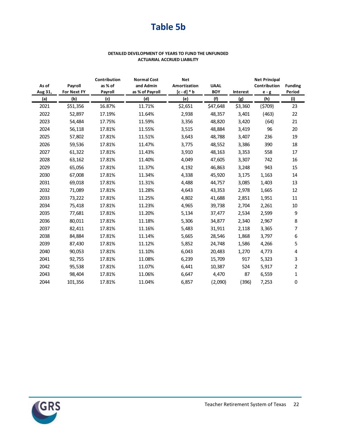# **Table 5b**

#### **DETAILED DEVELOPMENT OF YEARS TO FUND THE UNFUNDED ACTUARIAL ACCRUED LIABILITY**

|         |             | Contribution<br><b>Normal Cost</b><br><b>Net</b><br><b>Net Principal</b> |                 |              |             |          |              |                |
|---------|-------------|--------------------------------------------------------------------------|-----------------|--------------|-------------|----------|--------------|----------------|
| As of   | Payroll     | as % of                                                                  | and Admin       | Amortization | <b>UAAL</b> |          | Contribution | <b>Funding</b> |
| Aug 31, | For Next FY | Payroll                                                                  | as % of Payroll | $[c-d]*b$    | <b>BOY</b>  | Interest | $e - g$      | Period         |
| (a)     | (b)         | (c)                                                                      | (d)             | <u>(e)</u>   | (f)         | (g)      | (h)          | (i)            |
| 2021    | \$51,356    | 16.87%                                                                   | 11.71%          | \$2,651      | \$47,648    | \$3,360  | (5709)       | 23             |
| 2022    | 52,897      | 17.19%                                                                   | 11.64%          | 2,938        | 48,357      | 3,401    | (463)        | 22             |
| 2023    | 54,484      | 17.75%                                                                   | 11.59%          | 3,356        | 48,820      | 3,420    | (64)         | 21             |
| 2024    | 56,118      | 17.81%                                                                   | 11.55%          | 3,515        | 48,884      | 3,419    | 96           | 20             |
| 2025    | 57,802      | 17.81%                                                                   | 11.51%          | 3,643        | 48,788      | 3,407    | 236          | 19             |
| 2026    | 59,536      | 17.81%                                                                   | 11.47%          | 3,775        | 48,552      | 3,386    | 390          | 18             |
| 2027    | 61,322      | 17.81%                                                                   | 11.43%          | 3,910        | 48,163      | 3,353    | 558          | 17             |
| 2028    | 63,162      | 17.81%                                                                   | 11.40%          | 4,049        | 47,605      | 3,307    | 742          | 16             |
| 2029    | 65,056      | 17.81%                                                                   | 11.37%          | 4,192        | 46,863      | 3,248    | 943          | 15             |
| 2030    | 67,008      | 17.81%                                                                   | 11.34%          | 4,338        | 45,920      | 3,175    | 1,163        | 14             |
| 2031    | 69,018      | 17.81%                                                                   | 11.31%          | 4,488        | 44,757      | 3,085    | 1,403        | 13             |
| 2032    | 71,089      | 17.81%                                                                   | 11.28%          | 4,643        | 43,353      | 2,978    | 1,665        | 12             |
| 2033    | 73,222      | 17.81%                                                                   | 11.25%          | 4,802        | 41,688      | 2,851    | 1,951        | 11             |
| 2034    | 75,418      | 17.81%                                                                   | 11.23%          | 4,965        | 39,738      | 2,704    | 2,261        | 10             |
| 2035    | 77,681      | 17.81%                                                                   | 11.20%          | 5,134        | 37,477      | 2,534    | 2,599        | 9              |
| 2036    | 80,011      | 17.81%                                                                   | 11.18%          | 5,306        | 34,877      | 2,340    | 2,967        | 8              |
| 2037    | 82,411      | 17.81%                                                                   | 11.16%          | 5,483        | 31,911      | 2,118    | 3,365        | 7              |
| 2038    | 84,884      | 17.81%                                                                   | 11.14%          | 5,665        | 28,546      | 1,868    | 3,797        | 6              |
| 2039    | 87,430      | 17.81%                                                                   | 11.12%          | 5,852        | 24,748      | 1,586    | 4,266        | 5              |
| 2040    | 90,053      | 17.81%                                                                   | 11.10%          | 6,043        | 20,483      | 1,270    | 4,773        | 4              |
| 2041    | 92,755      | 17.81%                                                                   | 11.08%          | 6,239        | 15,709      | 917      | 5,323        | 3              |
| 2042    | 95,538      | 17.81%                                                                   | 11.07%          | 6,441        | 10,387      | 524      | 5,917        | $\overline{2}$ |
| 2043    | 98,404      | 17.81%                                                                   | 11.06%          | 6,647        | 4,470       | 87       | 6,559        | 1              |
| 2044    | 101,356     | 17.81%                                                                   | 11.04%          | 6,857        | (2,090)     | (396)    | 7,253        | 0              |

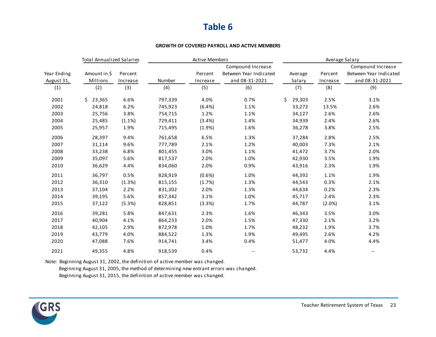### **Table 6**

#### **GROWTH OF COVERED PAYROLL AND ACTIVE MEMBERS**

|             | <b>Total Annualized Salaries</b> |          | <b>Active Members</b> |          |                        |    | Average Salary |          |                        |  |  |
|-------------|----------------------------------|----------|-----------------------|----------|------------------------|----|----------------|----------|------------------------|--|--|
|             |                                  |          |                       |          | Compound Increase      |    |                |          | Compound Increase      |  |  |
| Year Ending | Amount in \$                     | Percent  |                       | Percent  | Between Year Indicated |    | Average        | Percent  | Between Year Indicated |  |  |
| August 31,  | Millions                         | Increase | Number                | Increase | and 08-31-2021         |    | Salary         | Increase | and 08-31-2021         |  |  |
| (1)         | (2)                              | (3)      | (4)                   | (5)      | (6)                    |    | (7)            | (8)      | (9)                    |  |  |
| 2001        | 23,365<br>Ś.                     | 6.6%     | 797,339               | 4.0%     | 0.7%                   | Ś. | 29,303         | 2.5%     | 3.1%                   |  |  |
| 2002        | 24,818                           | 6.2%     | 745,923               | (6.4%)   | 1.1%                   |    | 33,272         | 13.5%    | 2.6%                   |  |  |
| 2003        | 25,756                           | 3.8%     | 754,715               | 1.2%     | 1.1%                   |    | 34,127         | 2.6%     | 2.6%                   |  |  |
| 2004        | 25,485                           | (1.1%)   | 729,411               | (3.4%)   | 1.4%                   |    | 34,939         | 2.4%     | 2.6%                   |  |  |
| 2005        | 25,957                           | 1.9%     | 715,495               | (1.9%)   | 1.6%                   |    | 36,278         | 3.8%     | 2.5%                   |  |  |
| 2006        | 28,397                           | 9.4%     | 761,658               | 6.5%     | 1.3%                   |    | 37,284         | 2.8%     | 2.5%                   |  |  |
| 2007        | 31,114                           | 9.6%     | 777,789               | 2.1%     | 1.2%                   |    | 40,003         | 7.3%     | 2.1%                   |  |  |
| 2008        | 33,238                           | 6.8%     | 801,455               | 3.0%     | 1.1%                   |    | 41,472         | 3.7%     | 2.0%                   |  |  |
| 2009        | 35,097                           | 5.6%     | 817,537               | 2.0%     | 1.0%                   |    | 42,930         | 3.5%     | 1.9%                   |  |  |
| 2010        | 36,629                           | 4.4%     | 834,060               | 2.0%     | 0.9%                   |    | 43,916         | 2.3%     | 1.9%                   |  |  |
| 2011        | 36,797                           | 0.5%     | 828,919               | (0.6%    | 1.0%                   |    | 44,392         | 1.1%     | 1.9%                   |  |  |
| 2012        | 36,310                           | (1.3%)   | 815,155               | (1.7%)   | 1.3%                   |    | 44,543         | 0.3%     | 2.1%                   |  |  |
| 2013        | 37,104                           | 2.2%     | 831,302               | 2.0%     | 1.3%                   |    | 44,634         | 0.2%     | 2.3%                   |  |  |
| 2014        | 39,195                           | 5.6%     | 857,342               | 3.1%     | 1.0%                   |    | 45,717         | 2.4%     | 2.3%                   |  |  |
| 2015        | 37,122                           | (5.3%)   | 828,851               | (3.3%)   | 1.7%                   |    | 44,787         | (2.0%)   | 3.1%                   |  |  |
| 2016        | 39,281                           | 5.8%     | 847,631               | 2.3%     | 1.6%                   |    | 46,343         | 3.5%     | 3.0%                   |  |  |
| 2017        | 40,904                           | 4.1%     | 864,233               | 2.0%     | 1.5%                   |    | 47,330         | 2.1%     | 3.2%                   |  |  |
| 2018        | 42,105                           | 2.9%     | 872,978               | 1.0%     | 1.7%                   |    | 48,232         | 1.9%     | 3.7%                   |  |  |
| 2019        | 43,779                           | 4.0%     | 884,522               | 1.3%     | 1.9%                   |    | 49,495         | 2.6%     | 4.2%                   |  |  |
| 2020        | 47,088                           | 7.6%     | 914,741               | 3.4%     | 0.4%                   |    | 51,477         | 4.0%     | 4.4%                   |  |  |
| 2021        | 49,355                           | 4.8%     | 918,539               | 0.4%     | $-\,-$                 |    | 53,732         | 4.4%     | --                     |  |  |

Note: Beginning August 31, 2002, the definition of active member was changed.

Beginning August 31, 2005, the method of determining new entrant errors was changed.

Beginning August 31, 2015, the definition of active member was changed.

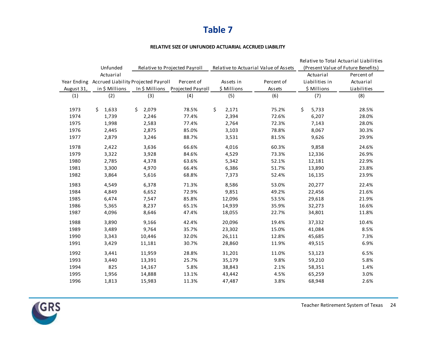### **Table 7**

#### **RELATIVE SIZE OF UNFUNDED ACTUARIAL ACCRUED LIABILITY**

|             |                                     |             |                                  |             |                                       |                                    | Relative to Total Actuarial Liabilities |  |  |
|-------------|-------------------------------------|-------------|----------------------------------|-------------|---------------------------------------|------------------------------------|-----------------------------------------|--|--|
|             | Unfunded                            |             | Relative to Projected Payroll    |             | Relative to Actuarial Value of Assets | (Present Value of Future Benefits) |                                         |  |  |
|             | Actuarial                           |             |                                  |             |                                       | Actuarial                          | Percent of                              |  |  |
| Year Ending | Accrued Liability Projected Payroll |             | Percent of                       | Assets in   | Percent of                            | Liabilities in                     | Actuarial                               |  |  |
| August 31,  | in \$ Millions                      |             | In \$ Millions Projected Payroll | \$ Millions | Assets                                | \$ Millions                        | Liabilities                             |  |  |
| (1)         | (2)                                 | (3)         | (4)                              | (5)         | (6)                                   | (7)                                | (8)                                     |  |  |
| 1973        | Ŝ.<br>1,633                         | Ŝ.<br>2,079 | 78.5%                            | \$<br>2,171 | 75.2%                                 | Ŝ.<br>5,733                        | 28.5%                                   |  |  |
| 1974        | 1,739                               | 2,246       | 77.4%                            | 2,394       | 72.6%                                 | 6,207                              | 28.0%                                   |  |  |
| 1975        | 1,998                               | 2,583       | 77.4%                            | 2,764       | 72.3%                                 | 7,143                              | 28.0%                                   |  |  |
| 1976        | 2,445                               | 2,875       | 85.0%                            | 3,103       | 78.8%                                 | 8,067                              | 30.3%                                   |  |  |
| 1977        | 2,879                               | 3,246       | 88.7%                            | 3,531       | 81.5%                                 | 9,626                              | 29.9%                                   |  |  |
| 1978        | 2,422                               | 3,636       | 66.6%                            | 4,016       | 60.3%                                 | 9,858                              | 24.6%                                   |  |  |
| 1979        | 3,322                               | 3,928       | 84.6%                            | 4,529       | 73.3%                                 | 12,336                             | 26.9%                                   |  |  |
| 1980        | 2,785                               | 4,378       | 63.6%                            | 5,342       | 52.1%                                 | 12,181                             | 22.9%                                   |  |  |
| 1981        | 3,300                               | 4,970       | 66.4%                            | 6,386       | 51.7%                                 | 13,890                             | 23.8%                                   |  |  |
| 1982        | 3,864                               | 5,616       | 68.8%                            | 7,373       | 52.4%                                 | 16,135                             | 23.9%                                   |  |  |
| 1983        | 4,549                               | 6,378       | 71.3%                            | 8,586       | 53.0%                                 | 20,277                             | 22.4%                                   |  |  |
| 1984        | 4,849                               | 6,652       | 72.9%                            | 9,851       | 49.2%                                 | 22,456                             | 21.6%                                   |  |  |
| 1985        | 6,474                               | 7,547       | 85.8%                            | 12,096      | 53.5%                                 | 29,618                             | 21.9%                                   |  |  |
| 1986        | 5,365                               | 8,237       | 65.1%                            | 14,939      | 35.9%                                 | 32,273                             | 16.6%                                   |  |  |
| 1987        | 4,096                               | 8,646       | 47.4%                            | 18,055      | 22.7%                                 | 34,801                             | 11.8%                                   |  |  |
| 1988        | 3,890                               | 9,166       | 42.4%                            | 20,096      | 19.4%                                 | 37,332                             | 10.4%                                   |  |  |
| 1989        | 3,489                               | 9,764       | 35.7%                            | 23,302      | 15.0%                                 | 41,084                             | 8.5%                                    |  |  |
| 1990        | 3,343                               | 10,446      | 32.0%                            | 26,111      | 12.8%                                 | 45,685                             | 7.3%                                    |  |  |
| 1991        | 3,429                               | 11,181      | 30.7%                            | 28,860      | 11.9%                                 | 49,515                             | 6.9%                                    |  |  |
| 1992        | 3,441                               | 11,959      | 28.8%                            | 31,201      | 11.0%                                 | 53,123                             | 6.5%                                    |  |  |
| 1993        | 3,440                               | 13,391      | 25.7%                            | 35,179      | 9.8%                                  | 59,210                             | 5.8%                                    |  |  |
| 1994        | 825                                 | 14,167      | 5.8%                             | 38,843      | 2.1%                                  | 58,351                             | 1.4%                                    |  |  |
| 1995        | 1,956                               | 14,888      | 13.1%                            | 43,442      | 4.5%                                  | 65,259                             | 3.0%                                    |  |  |
| 1996        | 1,813                               | 15,983      | 11.3%                            | 47,487      | 3.8%                                  | 68,948                             | 2.6%                                    |  |  |

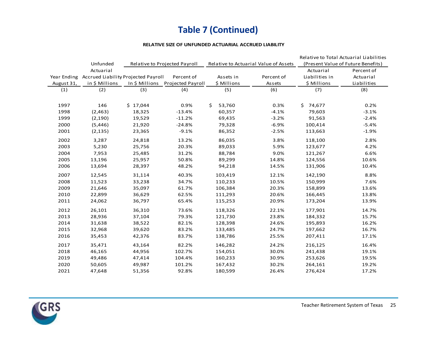# **Table 7 (Continued)**

#### **RELATIVE SIZE OF UNFUNDED ACTUARIAL ACCRUED LIABILITY**

|            |                                                 |          |                                  |              |                                       |                | Relative to Total Actuarial Liabilities |
|------------|-------------------------------------------------|----------|----------------------------------|--------------|---------------------------------------|----------------|-----------------------------------------|
|            | Unfunded                                        |          | Relative to Projected Payroll    |              | Relative to Actuarial Value of Assets |                | (Present Value of Future Benefits)      |
|            | Actuarial                                       |          |                                  |              |                                       | Actuarial      | Percent of                              |
|            | Year Ending Accrued Liability Projected Payroll |          | Percent of                       | Assets in    | Percent of                            | Liabilities in | Actuarial                               |
| August 31, | in \$ Millions                                  |          | In \$ Millions Projected Payroll | \$ Millions  | Assets                                | \$ Millions    | Liabilities                             |
| (1)        | (2)                                             | (3)      | (4)                              | (5)          | (6)                                   | (7)            | (8)                                     |
|            |                                                 |          |                                  |              |                                       |                |                                         |
| 1997       | 146                                             | \$17,044 | 0.9%                             | Ś.<br>53,760 | 0.3%                                  | \$74,677       | 0.2%                                    |
| 1998       | (2,463)                                         | 18,325   | $-13.4%$                         | 60,357       | $-4.1%$                               | 79,603         | $-3.1%$                                 |
| 1999       | (2, 190)                                        | 19,529   | $-11.2%$                         | 69,435       | $-3.2%$                               | 91,563         | $-2.4%$                                 |
| 2000       | (5, 446)                                        | 21,920   | $-24.8%$                         | 79,328       | $-6.9%$                               | 100,414        | $-5.4%$                                 |
| 2001       | (2, 135)                                        | 23,365   | $-9.1%$                          | 86,352       | $-2.5%$                               | 113,663        | $-1.9%$                                 |
| 2002       | 3,287                                           | 24,818   | 13.2%                            | 86,035       | 3.8%                                  | 118,100        | 2.8%                                    |
| 2003       | 5,230                                           | 25,756   | 20.3%                            | 89,033       | 5.9%                                  | 123,677        | 4.2%                                    |
| 2004       | 7,953                                           | 25,485   | 31.2%                            | 88,784       | 9.0%                                  | 121,267        | 6.6%                                    |
| 2005       | 13,196                                          | 25,957   | 50.8%                            | 89,299       | 14.8%                                 | 124,556        | 10.6%                                   |
| 2006       | 13,694                                          | 28,397   | 48.2%                            | 94,218       | 14.5%                                 | 131,906        | 10.4%                                   |
| 2007       | 12,545                                          | 31,114   | 40.3%                            | 103,419      | 12.1%                                 | 142,190        | 8.8%                                    |
| 2008       | 11,523                                          | 33,238   | 34.7%                            | 110,233      | 10.5%                                 | 150,999        | 7.6%                                    |
| 2009       | 21,646                                          | 35,097   | 61.7%                            | 106,384      | 20.3%                                 | 158,899        | 13.6%                                   |
| 2010       | 22,899                                          | 36,629   | 62.5%                            | 111,293      | 20.6%                                 | 166,445        | 13.8%                                   |
| 2011       | 24,062                                          | 36,797   | 65.4%                            | 115,253      | 20.9%                                 | 173,204        | 13.9%                                   |
| 2012       | 26,101                                          | 36,310   | 73.6%                            | 118,326      | 22.1%                                 | 177,901        | 14.7%                                   |
| 2013       | 28,936                                          | 37,104   | 79.3%                            | 121,730      | 23.8%                                 | 184,332        | 15.7%                                   |
| 2014       | 31,638                                          | 38,522   | 82.1%                            | 128,398      | 24.6%                                 | 195,893        | 16.2%                                   |
| 2015       | 32,968                                          | 39,620   | 83.2%                            | 133,485      | 24.7%                                 | 197,662        | 16.7%                                   |
| 2016       | 35,453                                          | 42,376   | 83.7%                            | 138,786      | 25.5%                                 | 207,411        | 17.1%                                   |
| 2017       | 35,471                                          | 43,164   | 82.2%                            | 146,282      | 24.2%                                 | 216,125        | 16.4%                                   |
| 2018       | 46,165                                          | 44,956   | 102.7%                           | 154,051      | 30.0%                                 | 241,438        | 19.1%                                   |
| 2019       | 49,486                                          | 47,414   | 104.4%                           | 160,233      | 30.9%                                 | 253,626        | 19.5%                                   |
| 2020       | 50,605                                          | 49,987   | 101.2%                           | 167,432      | 30.2%                                 | 264,161        | 19.2%                                   |
| 2021       | 47,648                                          | 51,356   | 92.8%                            | 180,599      | 26.4%                                 | 276,424        | 17.2%                                   |

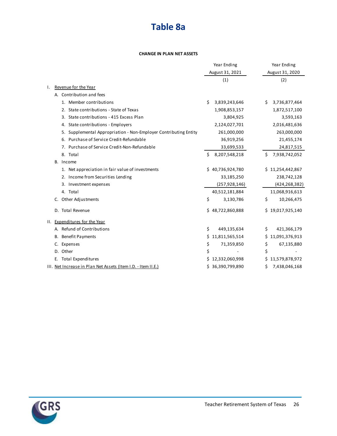# **Table 8a**

#### **CHANGE IN PLAN NET ASSETS**

|                                                                  | Year Ending           | Year Ending          |
|------------------------------------------------------------------|-----------------------|----------------------|
|                                                                  | August 31, 2021       | August 31, 2020      |
|                                                                  | (1)                   | (2)                  |
| Revenue for the Year<br>Τ.                                       |                       |                      |
| A. Contribution and fees                                         |                       |                      |
| 1. Member contributions                                          | Ś.<br>3,839,243,646   | 3,736,877,464<br>S   |
| 2. State contributions - State of Texas                          | 1,908,853,157         | 1,872,517,100        |
| State contributions - 415 Excess Plan<br>3.                      | 3,804,925             | 3,593,163            |
| 4. State contributions - Employers                               | 2,124,027,701         | 2,016,481,636        |
| 5. Supplemental Appropriation - Non-Employer Contributing Entity | 261,000,000           | 263,000,000          |
| 6. Purchase of Service Credit-Refundable                         | 36,919,256            | 21,455,174           |
| 7. Purchase of Service Credit-Non-Refundable                     | 33,699,533            | 24,817,515           |
| 8. Total                                                         | 8,207,548,218<br>Ś.   | Ś<br>7,938,742,052   |
| B. Income                                                        |                       |                      |
| 1. Net appreciation in fair value of investments                 | \$40,736,924,780      | 11,254,442,867<br>Ś. |
| 2. Income from Securities Lending                                | 33,185,250            | 238,742,128          |
| 3. Investment expenses                                           | (257, 928, 146)       | (424, 268, 382)      |
| 4. Total                                                         | 40,512,181,884        | 11,068,916,613       |
| Other Adjustments                                                | \$<br>3,130,786       | \$<br>10,266,475     |
| D. Total Revenue                                                 | \$48,722,860,888      | \$19,017,925,140     |
| <b>Expenditures for the Year</b><br>Ш.                           |                       |                      |
| A. Refund of Contributions                                       | \$<br>449,135,634     | \$<br>421,366,179    |
| <b>Benefit Payments</b><br>В.                                    | 11,811,565,514<br>Ś.  | 11,091,376,913<br>Ś  |
| Expenses                                                         | \$<br>71,359,850      | \$<br>67,135,880     |
| Other<br>D.                                                      | \$                    | \$                   |
| E. Total Expenditures                                            | 12,332,060,998        | Ś<br>11,579,878,972  |
| III. Net Increase in Plan Net Assets (Item I.D. - Item II.E.)    | 36,390,799,890<br>\$. | 7,438,046,168<br>\$  |

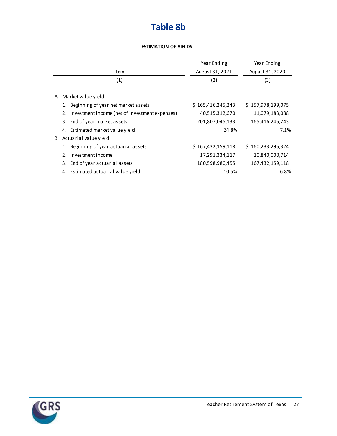# **Table 8b**

#### **ESTIMATION OF YIELDS**

|                                                   | Year Ending       | Year Ending       |
|---------------------------------------------------|-------------------|-------------------|
| Item                                              | August 31, 2021   | August 31, 2020   |
| (1)                                               | (2)               | (3)               |
| Market value yield<br>А.                          |                   |                   |
| 1. Beginning of year net market assets            | \$165,416,245,243 | \$157,978,199,075 |
| 2. Investment income (net of investment expenses) | 40,515,312,670    | 11,079,183,088    |
| 3. End of year market assets                      | 201,807,045,133   | 165,416,245,243   |
| 4. Estimated market value yield                   | 24.8%             | 7.1%              |
| B. Actuarial value yield                          |                   |                   |
| 1. Beginning of year actuarial assets             | \$167,432,159,118 | \$160,233,295,324 |
| 2. Investment income                              | 17,291,334,117    | 10,840,000,714    |
| 3. End of year actuarial assets                   | 180,598,980,455   | 167,432,159,118   |
| 4. Estimated actuarial value yield                | 10.5%             | 6.8%              |

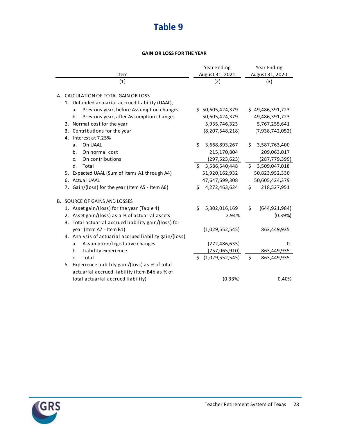# **Table 9**

#### **GAIN OR LOSS FOR THE YEAR**

|                                                        | Year Ending         | Year Ending           |
|--------------------------------------------------------|---------------------|-----------------------|
| Item                                                   | August 31, 2021     | August 31, 2020       |
| (1)                                                    | (2)                 | (3)                   |
|                                                        |                     |                       |
| A. CALCULATION OF TOTAL GAIN OR LOSS                   |                     |                       |
| 1. Unfunded actuarial accrued liability (UAAL),        |                     |                       |
| Previous year, before Assumption changes<br>a.         | \$50,605,424,379    | \$49,486,391,723      |
| Previous year, after Assumption changes<br>b.          | 50,605,424,379      | 49,486,391,723        |
| 2. Normal cost for the year                            | 5,935,746,323       | 5,767,255,641         |
| Contributions for the year<br>3.                       | (8, 207, 548, 218)  | (7,938,742,052)       |
| 4. Interest at 7.25%                                   |                     |                       |
| On UAAL<br>a.                                          | \$<br>3,668,893,267 | 3,587,763,400<br>Ś.   |
| On normal cost<br>b <sub>1</sub>                       | 215,170,804         | 209,063,017           |
| On contributions<br>$\mathsf{C}$ .                     | (297, 523, 623)     | (287, 779, 399)       |
| d.<br>Total                                            | 3,586,540,448<br>Ŝ. | \$.<br>3,509,047,018  |
| 5. Expected UAAL (Sum of Items A1 through A4)          | 51,920,162,932      | 50,823,952,330        |
| 6. Actual UAAL                                         | 47,647,699,308      | 50,605,424,379        |
| 7. Gain/(loss) for the year (Item A5 - Item A6)        | 4,272,463,624<br>Ś. | \$<br>218,527,951     |
| <b>B. SOURCE OF GAINS AND LOSSES</b>                   |                     |                       |
| 1. Asset gain/(loss) for the year (Table 4)            | 5,302,016,169<br>Ś. | \$<br>(644, 921, 984) |
| 2. Asset gain/(loss) as a % of actuarial assets        | 2.94%               | (0.39%)               |
| 3. Total actuarial accrued liability gain/(loss) for   |                     |                       |
| year (Item A7 - Item B1)                               | (1,029,552,545)     | 863,449,935           |
| 4. Analysis of actuarial accrued liability gain/(loss) |                     |                       |
| Assumption/Legislative changes<br>а.                   | (272, 486, 635)     | 0                     |
| Liability experience<br>b.                             | (757,065,910)       | 863,449,935           |
| Total<br>c.                                            | \$(1,029,552,545)   | \$<br>863,449,935     |
| 5. Experience liability gain/(loss) as % of total      |                     |                       |
| actuarial accrued liability (Item B4b as % of          |                     |                       |
| total actuarial accrued liability)                     | (0.33%)             | 0.40%                 |
|                                                        |                     |                       |

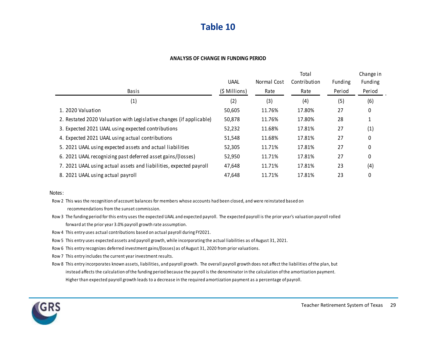### **Table 10**

#### **ANALYSIS OF CHANGE IN FUNDING PERIOD**

|                                                                     |               |             | Total        |         | Change in |
|---------------------------------------------------------------------|---------------|-------------|--------------|---------|-----------|
|                                                                     | <b>UAAL</b>   | Normal Cost | Contribution | Funding | Funding   |
| Basis                                                               | (\$ Millions) | Rate        | Rate         | Period  | Period    |
| (1)                                                                 | (2)           | (3)         | (4)          | (5)     | (6)       |
| 1. 2020 Valuation                                                   | 50,605        | 11.76%      | 17.80%       | 27      | 0         |
| 2. Restated 2020 Valuation with Legislative changes (if applicable) | 50,878        | 11.76%      | 17.80%       | 28      | 1         |
| 3. Expected 2021 UAAL using expected contributions                  | 52,232        | 11.68%      | 17.81%       | 27      | (1)       |
| 4. Expected 2021 UAAL using actual contributions                    | 51,548        | 11.68%      | 17.81%       | 27      | 0         |
| 5. 2021 UAAL using expected assets and actual liabilities           | 52,305        | 11.71%      | 17.81%       | 27      | 0         |
| 6. 2021 UAAL recognizing past deferred asset gains/(losses)         | 52,950        | 11.71%      | 17.81%       | 27      | 0         |
| 7. 2021 UAAL using actual assets and liabilities, expected payroll  | 47,648        | 11.71%      | 17.81%       | 23      | (4)       |
| 8. 2021 UAAL using actual payroll                                   | 47.648        | 11.71%      | 17.81%       | 23      | 0         |

#### Notes:

- Row 2 This was the recognition of account balances for members whose accounts had been closed, and were reinstated based on recommendations from the sunset commission.
- Row 3 The funding period for this entry uses the expected UAAL and expected payroll. The expected payroll is the prior year's valuation payroll rolled forward at the prior year 3.0% payroll growth rate assumption.
- Row 4 This entry uses actual contributions based on actual payroll during FY2021.
- Row 5 This entry uses expected assets and payroll growth, while incorporating the actual liabilities as of August 31, 2021.
- Row 6 This entry recognizes deferred investment gains/(losses) as of August 31, 2020 from prior valuations.
- Row 7 This entry includes the current year investment results.
- Row 8 This entry incorporates known assets, liabilities, and payroll growth. The overall payroll growth does not affect the liabilities of the plan, but instead affects the calculation of the funding period because the payroll is the denominator in the calculation of the amortization payment. Higher than expected payroll growth leads to a decrease in the required amortization payment as a percentage of payroll.

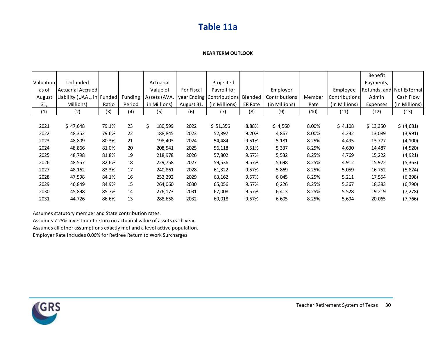### **Table 11a**

#### **NEAR TERM OUTLOOK**

|           |                     |        |         |               |                   |                             |                |               |        |               | Benefit                   |               |
|-----------|---------------------|--------|---------|---------------|-------------------|-----------------------------|----------------|---------------|--------|---------------|---------------------------|---------------|
| Valuation | Unfunded            |        |         | Actuarial     |                   | Projected                   |                |               |        |               | Payments,                 |               |
| as of     | Actuarial Accrued   |        |         | Value of      | <b>For Fiscal</b> | Payroll for                 |                | Employer      |        | Employee      | Refunds, and Net External |               |
| August    | Liability (UAAL, in | Funded | Funding | Assets (AVA,  |                   | year Ending   Contributions | Blended        | Contributions | Member | Contributions | Admin                     | Cash Flow     |
| 31,       | Millions)           | Ratio  | Period  | in Millions)  | August 31,        | (in Millions)               | <b>ER Rate</b> | (in Millions) | Rate   | (in Millions) | Expenses                  | (in Millions) |
| (1)       | (2)                 | (3)    | (4)     | (5)           | (6)               | (7)                         | (8)            | (9)           | (10)   | (11)          | (12)                      | (13)          |
|           |                     |        |         |               |                   |                             |                |               |        |               |                           |               |
| 2021      | \$47,648            | 79.1%  | 23      | \$<br>180,599 | 2022              | \$ 51,356                   | 8.88%          | \$4,560       | 8.00%  | \$4,108       | \$13,350                  | \$ (4,681)    |
| 2022      | 48,352              | 79.6%  | 22      | 188,845       | 2023              | 52,897                      | 9.20%          | 4,867         | 8.00%  | 4,232         | 13,089                    | (3,991)       |
| 2023      | 48,809              | 80.3%  | 21      | 198,403       | 2024              | 54,484                      | 9.51%          | 5,181         | 8.25%  | 4,495         | 13,777                    | (4, 100)      |
| 2024      | 48,866              | 81.0%  | 20      | 208,541       | 2025              | 56,118                      | 9.51%          | 5,337         | 8.25%  | 4,630         | 14,487                    | (4,520)       |
| 2025      | 48,798              | 81.8%  | 19      | 218,978       | 2026              | 57,802                      | 9.57%          | 5,532         | 8.25%  | 4,769         | 15,222                    | (4, 921)      |
| 2026      | 48,557              | 82.6%  | 18      | 229,758       | 2027              | 59,536                      | 9.57%          | 5,698         | 8.25%  | 4,912         | 15,972                    | (5, 363)      |
| 2027      | 48,162              | 83.3%  | 17      | 240,861       | 2028              | 61,322                      | 9.57%          | 5,869         | 8.25%  | 5,059         | 16,752                    | (5,824)       |
| 2028      | 47,598              | 84.1%  | 16      | 252,292       | 2029              | 63,162                      | 9.57%          | 6,045         | 8.25%  | 5,211         | 17,554                    | (6, 298)      |
| 2029      | 46,849              | 84.9%  | 15      | 264,060       | 2030              | 65,056                      | 9.57%          | 6,226         | 8.25%  | 5,367         | 18,383                    | (6, 790)      |
| 2030      | 45,898              | 85.7%  | 14      | 276,173       | 2031              | 67,008                      | 9.57%          | 6,413         | 8.25%  | 5,528         | 19,219                    | (7, 278)      |
| 2031      | 44,726              | 86.6%  | 13      | 288,658       | 2032              | 69,018                      | 9.57%          | 6,605         | 8.25%  | 5,694         | 20,065                    | (7, 766)      |

Assumes statutory member and State contribution rates.

Assumes 7.25% investment return on actuarial value of assets each year. Assumes all other assumptions exactly met and a level active population. Employer Rate includes 0.06% for Retiree Return to Work Surcharges

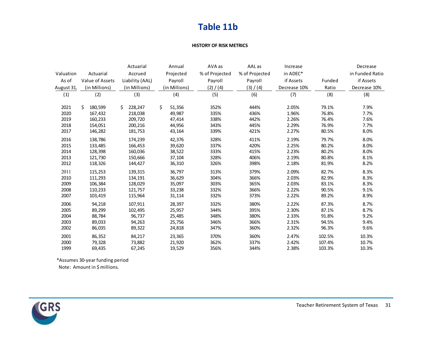### **Table 11b**

#### **HISTORY OF RISK METRICS**

|            |                 | Actuarial       | Annual        | AVA as         | AAL as         | Increase     |        | Decrease        |
|------------|-----------------|-----------------|---------------|----------------|----------------|--------------|--------|-----------------|
| Valuation  | Actuarial       | Accrued         | Projected     | % of Projected | % of Projected | in ADEC*     |        | in Funded Ratio |
| As of      | Value of Assets | Liability (AAL) | Payroll       | Payroll        | Payroll        | if Assets    | Funded | if Assets       |
| August 31, | (in Millions)   | (in Millions)   | (in Millions) | (2) / (4)      | (3) / (4)      | Decrease 10% | Ratio  | Decrease 10%    |
| (1)        | (2)             | (3)             | (4)           | (5)            | (6)            | (7)          | (8)    | (8)             |
| 2021       | Ś<br>180,599    | Ś.<br>228,247   | Ś.<br>51,356  | 352%           | 444%           | 2.05%        | 79.1%  | 7.9%            |
| 2020       | 167,432         | 218,038         | 49,987        | 335%           | 436%           | 1.96%        | 76.8%  | 7.7%            |
| 2019       | 160,233         | 209,720         | 47,414        | 338%           | 442%           | 2.26%        | 76.4%  | 7.6%            |
| 2018       | 154,051         | 200,216         | 44,956        | 343%           | 445%           | 2.29%        | 76.9%  | 7.7%            |
| 2017       | 146,282         | 181,753         | 43,164        | 339%           | 421%           | 2.27%        | 80.5%  | 8.0%            |
| 2016       | 138,786         | 174,239         | 42,376        | 328%           | 411%           | 2.19%        | 79.7%  | 8.0%            |
| 2015       | 133,485         | 166,453         | 39,620        | 337%           | 420%           | 2.25%        | 80.2%  | 8.0%            |
| 2014       | 128,398         | 160,036         | 38,522        | 333%           | 415%           | 2.23%        | 80.2%  | 8.0%            |
| 2013       | 121,730         | 150,666         | 37,104        | 328%           | 406%           | 2.19%        | 80.8%  | 8.1%            |
| 2012       | 118,326         | 144,427         | 36,310        | 326%           | 398%           | 2.18%        | 81.9%  | 8.2%            |
| 2011       | 115,253         | 139,315         | 36,797        | 313%           | 379%           | 2.09%        | 82.7%  | 8.3%            |
| 2010       | 111,293         | 134,191         | 36,629        | 304%           | 366%           | 2.03%        | 82.9%  | 8.3%            |
| 2009       | 106,384         | 128,029         | 35,097        | 303%           | 365%           | 2.03%        | 83.1%  | 8.3%            |
| 2008       | 110,233         | 121,757         | 33,238        | 332%           | 366%           | 2.22%        | 90.5%  | 9.1%            |
| 2007       | 103,419         | 115,964         | 31,114        | 332%           | 373%           | 2.22%        | 89.2%  | 8.9%            |
| 2006       | 94,218          | 107,911         | 28,397        | 332%           | 380%           | 2.22%        | 87.3%  | 8.7%            |
| 2005       | 89,299          | 102,495         | 25,957        | 344%           | 395%           | 2.30%        | 87.1%  | 8.7%            |
| 2004       | 88,784          | 96,737          | 25,485        | 348%           | 380%           | 2.33%        | 91.8%  | 9.2%            |
| 2003       | 89,033          | 94,263          | 25,756        | 346%           | 366%           | 2.31%        | 94.5%  | 9.4%            |
| 2002       | 86,035          | 89,322          | 24,818        | 347%           | 360%           | 2.32%        | 96.3%  | 9.6%            |
| 2001       | 86,352          | 84,217          | 23,365        | 370%           | 360%           | 2.47%        | 102.5% | 10.3%           |
| 2000       | 79,328          | 73,882          | 21,920        | 362%           | 337%           | 2.42%        | 107.4% | 10.7%           |
| 1999       | 69,435          | 67,245          | 19,529        | 356%           | 344%           | 2.38%        | 103.3% | 10.3%           |

\*Assumes 30-year funding period

Note: Amount in \$ millions.

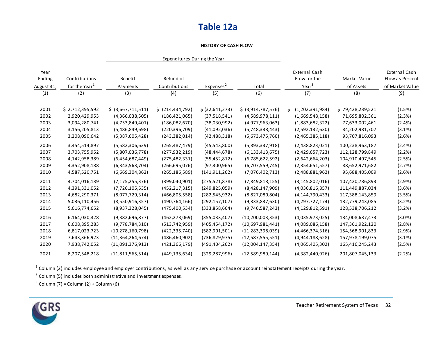### **Table 12a**

#### **HISTORY OF CASH FLOW**

|                              |                                            |                     | Expenditures During the Year |                      |                     |                                                           |                           |                                                     |
|------------------------------|--------------------------------------------|---------------------|------------------------------|----------------------|---------------------|-----------------------------------------------------------|---------------------------|-----------------------------------------------------|
| Year<br>Ending<br>August 31, | Contributions<br>for the Year <sup>1</sup> | Benefit<br>Payments | Refund of<br>Contributions   | Express <sup>2</sup> | Total               | <b>External Cash</b><br>Flow for the<br>Year <sup>3</sup> | Market Value<br>of Assets | External Cash<br>Flow as Percent<br>of Market Value |
| (1)                          | (2)                                        | (3)                 | (4)                          | (5)                  | (6)                 | (7)                                                       | (8)                       | (9)                                                 |
|                              |                                            |                     |                              |                      |                     |                                                           |                           |                                                     |
| 2001                         | \$2,712,395,592                            | \$ (3,667,711,511)  | \$ (214, 434, 792)           | \$ (32,641,273)      | \$ (3,914,787,576)  | Ś.<br>(1,202,391,984)                                     | \$79,428,239,521          | (1.5%)                                              |
| 2002                         | 2,920,429,953                              | (4,366,038,505)     | (186, 421, 065)              | (37,518,541)         | (4,589,978,111)     | (1,669,548,158)                                           | 71,695,802,361            | (2.3%)                                              |
| 2003                         | 3,094,280,741                              | (4,753,849,401)     | (186,082,670)                | (38,030,992)         | (4,977,963,063)     | (1,883,682,322)                                           | 77,633,002,461            | (2.4%)                                              |
| 2004                         | 3,156,205,813                              | (5,486,849,698)     | (220, 396, 709)              | (41,092,036)         | (5,748,338,443)     | (2,592,132,630)                                           | 84,202,981,707            | (3.1%)                                              |
| 2005                         | 3,208,090,642                              | (5,387,605,428)     | (243, 382, 014)              | (42, 488, 318)       | (5,673,475,760)     | (2,465,385,118)                                           | 93,707,816,093            | (2.6%)                                              |
| 2006                         | 3,454,514,897                              | (5,582,306,639)     | (265, 487, 479)              | (45,543,800)         | (5,893,337,918)     | (2,438,823,021)                                           | 100,238,963,187           | (2.4%)                                              |
| 2007                         | 3,703,755,952                              | (5,807,036,778)     | (277, 932, 219)              | (48, 444, 678)       | (6, 133, 413, 675)  | (2,429,657,723)                                           | 112,128,799,849           | (2.2%)                                              |
| 2008                         | 4,142,958,389                              | (6,454,687,449)     | (275, 482, 331)              | (55, 452, 812)       | (6,785,622,592)     | (2,642,664,203)                                           | 104,910,497,545           | (2.5%)                                              |
| 2009                         | 4,352,908,188                              | (6,343,563,704)     | (266, 695, 076)              | (97,300,965)         | (6,707,559,745)     | (2,354,651,557)                                           | 88,652,971,682            | (2.7%)                                              |
| 2010                         | 4,587,520,751                              | (6,669,304,862)     | (265, 186, 589)              | (141, 911, 262)      | (7,076,402,713)     | (2,488,881,962)                                           | 95,688,405,009            | (2.6%)                                              |
| 2011                         | 4,704,016,139                              | (7, 175, 255, 376)  | (399,040,901)                | (275, 521, 878)      | (7,849,818,155)     | (3, 145, 802, 016)                                        | 107,420,786,893           | (2.9%)                                              |
| 2012                         | 4,391,331,052                              | (7,726,105,535)     | (452, 217, 315)              | (249,825,059)        | (8,428,147,909)     | (4,036,816,857)                                           | 111,449,887,034           | (3.6%)                                              |
| 2013                         | 4,682,290,371                              | (8,077,729,314)     | (466,805,558)                | (282, 545, 932)      | (8,827,080,804)     | (4, 144, 790, 433)                                        | 117,388,143,859           | (3.5%)                                              |
| 2014                         | 5,036,110,456                              | (8,550,916,357)     | (490, 764, 166)              | (292, 157, 107)      | (9,333,837,630)     | (4,297,727,174)                                           | 132,779,243,085           | (3.2%)                                              |
| 2015                         | 5,616,774,652                              | (8,937,328,045)     | (475, 400, 534)              | (333,858,664)        | (9,746,587,243)     | (4, 129, 812, 591)                                        | 128,538,706,212           | (3.2%)                                              |
| 2016                         | 6,164,030,328                              | (9,382,696,877)     | (462, 273, 069)              | (355,033,407)        | (10, 200, 003, 353) | (4,035,973,025)                                           | 134,008,637,473           | $(3.0\%)$                                           |
| 2017                         | 6,608,895,283                              | (9,778,784,310)     | (513, 742, 959)              | (405, 454, 172)      | (10,697,981,441)    | (4,089,086,158)                                           | 147,361,922,120           | (2.8%)                                              |
| 2018                         | 6,817,023,723                              | (10, 278, 160, 798) | (422, 335, 740)              | (582,901,501)        | (11, 283, 398, 039) | (4,466,374,316)                                           | 154,568,901,833           | (2.9%)                                              |
| 2019                         | 7,643,366,923                              | (11,364,264,674)    | (486, 460, 902)              | (736, 829, 975)      | (12,587,555,551)    | (4,944,188,628)                                           | 157,978,199,075           | (3.1%)                                              |
| 2020                         | 7,938,742,052                              | (11,091,376,913)    | (421, 366, 179)              | (491, 404, 262)      | (12,004,147,354)    | (4,065,405,302)                                           | 165,416,245,243           | (2.5%)                                              |
| 2021                         | 8,207,548,218                              | (11,811,565,514)    | (449, 135, 634)              | (329, 287, 996)      | (12,589,989,144)    | (4,382,440,926)                                           | 201,807,045,133           | (2.2%)                                              |

 $^1$  Column (2) includes employee and employer contributions, as well as any service purchase or account reinstatement receipts during the year.

 $2$  Column (5) includes both administrative and investment expenses.

 $3$  Column (7) = Column (2) + Column (6)

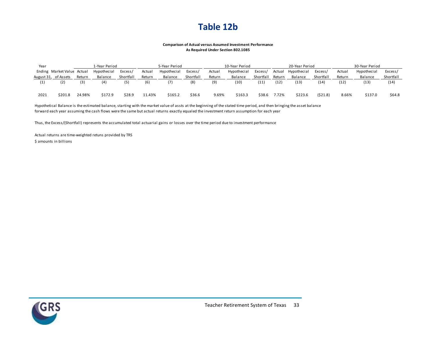### **Table 12b**

#### **Comparison of Actual versus Assumed Investment Performance As Required Under Section 802.1085**

| Year |                            |        | 1-Year Period |           |        | 5-Year Period |           |        | 10-Year Period |           |        | 20-Year Period |           |        | 30-Year Period |           |
|------|----------------------------|--------|---------------|-----------|--------|---------------|-----------|--------|----------------|-----------|--------|----------------|-----------|--------|----------------|-----------|
|      | Ending Market Value Actual |        | Hypothecial   | Excess/   | Actual | Hypothecial   | Excess/   | Actual | Hypothecial    | Excess,   | Actual | Hypothecial    | Excess,   | Actual | Hypothecial    | Excess/   |
|      | August 31, of Assets       | Return | Balance       | Shortfall | Return | Balance       | Shortfall | Return | Balance        | Shortfall | Return | Balance        | Shortfall | Return | Balance        | Shortfall |
|      | (2)                        | (3)    | (4)           |           | (6)    |               | (8)       | (9)    | (10)           | (11)      | (12)   | (13)           | (14)      | (12)   | (13)           | (14)      |
| 2021 | \$201.8                    | 24.98% | \$172.9       | \$28.9    | 11.43% | \$165.2       | \$36.6    | 9.69%  | \$163.3        | \$38.6    | 7.72%  | \$223.6        | (521.8)   | 8.66%  | \$137.0        | \$64.8    |

Hypothetical Balance is the estimated balance, starting with the market value of assts at the beginning of the stated time period, and then bringing the asset balance forward each year assuming the cash flows were the same but actual returns exactly equaled the investment return assumption for each year

Thus, the Excess/(Shortfall) represents the accumulated total actuarial gains or losses over the time period due to investment performance

Actual returns are time-weighted retuns provided by TRS \$ amounts in billions

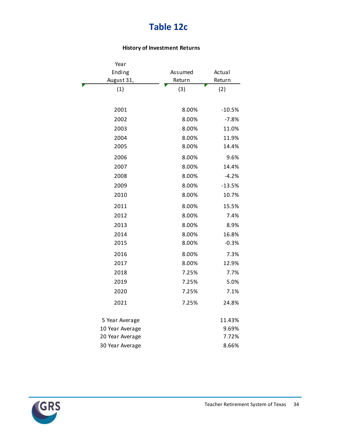## **Table 12c**

### **History of Investment Returns**

| Year            |         |          |
|-----------------|---------|----------|
| Ending          | Assumed | Actual   |
| August 31,      | Return  | Return   |
| (1)             | (3)     | (2)      |
|                 |         |          |
| 2001            | 8.00%   | $-10.5%$ |
| 2002            | 8.00%   | $-7.8%$  |
| 2003            | 8.00%   | 11.0%    |
| 2004            | 8.00%   | 11.9%    |
| 2005            | 8.00%   | 14.4%    |
| 2006            | 8.00%   | 9.6%     |
| 2007            | 8.00%   | 14.4%    |
| 2008            | 8.00%   | $-4.2%$  |
| 2009            | 8.00%   | $-13.5%$ |
| 2010            | 8.00%   | 10.7%    |
| 2011            | 8.00%   | 15.5%    |
| 2012            | 8.00%   | 7.4%     |
| 2013            | 8.00%   | 8.9%     |
| 2014            | 8.00%   | 16.8%    |
| 2015            | 8.00%   | $-0.3%$  |
| 2016            | 8.00%   | 7.3%     |
| 2017            | 8.00%   | 12.9%    |
| 2018            | 7.25%   | 7.7%     |
| 2019            | 7.25%   | 5.0%     |
| 2020            | 7.25%   | 7.1%     |
| 2021            | 7.25%   | 24.8%    |
| 5 Year Average  |         | 11.43%   |
| 10 Year Average |         | 9.69%    |
| 20 Year Average |         | 7.72%    |
| 30 Year Average |         | 8.66%    |

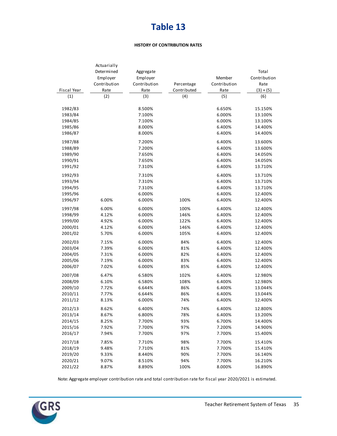#### **HISTORY OF CONTRIBUTION RATES**

|             | Actuarially  |              |             |              |              |
|-------------|--------------|--------------|-------------|--------------|--------------|
|             | Determined   | Aggregate    |             |              | Total        |
|             | Employer     | Employer     |             | Member       | Contribution |
|             | Contribution | Contribution | Percentage  | Contribution | Rate         |
| Fiscal Year | Rate         | Rate         | Contributed | Rate         | $(3) + (5)$  |
| (1)         | (2)          | (3)          | (4)         | (5)          | (6)          |
|             |              |              |             |              |              |
| 1982/83     |              | 8.500%       |             | 6.650%       | 15.150%      |
| 1983/84     |              | 7.100%       |             | 6.000%       | 13.100%      |
| 1984/85     |              | 7.100%       |             | 6.000%       | 13.100%      |
| 1985/86     |              | 8.000%       |             | 6.400%       | 14.400%      |
| 1986/87     |              | 8.000%       |             | 6.400%       | 14.400%      |
| 1987/88     |              | 7.200%       |             | 6.400%       | 13.600%      |
| 1988/89     |              | 7.200%       |             | 6.400%       | 13.600%      |
| 1989/90     |              | 7.650%       |             | 6.400%       | 14.050%      |
| 1990/91     |              | 7.650%       |             | 6.400%       | 14.050%      |
| 1991/92     |              | 7.310%       |             | 6.400%       | 13.710%      |
| 1992/93     |              | 7.310%       |             | 6.400%       | 13.710%      |
| 1993/94     |              | 7.310%       |             | 6.400%       | 13.710%      |
| 1994/95     |              | 7.310%       |             | 6.400%       | 13.710%      |
| 1995/96     |              | 6.000%       |             | 6.400%       | 12.400%      |
| 1996/97     |              |              |             |              |              |
|             | 6.00%        | 6.000%       | 100%        | 6.400%       | 12.400%      |
| 1997/98     | 6.00%        | 6.000%       | 100%        | 6.400%       | 12.400%      |
| 1998/99     | 4.12%        | 6.000%       | 146%        | 6.400%       | 12.400%      |
| 1999/00     | 4.92%        | 6.000%       | 122%        | 6.400%       | 12.400%      |
| 2000/01     | 4.12%        | 6.000%       | 146%        | 6.400%       | 12.400%      |
| 2001/02     | 5.70%        | 6.000%       | 105%        | 6.400%       | 12.400%      |
| 2002/03     | 7.15%        | 6.000%       | 84%         | 6.400%       | 12.400%      |
| 2003/04     | 7.39%        | 6.000%       | 81%         | 6.400%       | 12.400%      |
| 2004/05     | 7.31%        | 6.000%       | 82%         | 6.400%       | 12.400%      |
| 2005/06     | 7.19%        | 6.000%       | 83%         | 6.400%       | 12.400%      |
| 2006/07     | 7.02%        | 6.000%       | 85%         | 6.400%       | 12.400%      |
| 2007/08     | 6.47%        | 6.580%       | 102%        | 6.400%       | 12.980%      |
| 2008/09     | 6.10%        | 6.580%       | 108%        | 6.400%       | 12.980%      |
| 2009/10     | 7.72%        | 6.644%       | 86%         | 6.400%       | 13.044%      |
| 2010/11     | 7.77%        | 6.644%       | 86%         | 6.400%       | 13.044%      |
| 2011/12     | 8.13%        | 6.000%       | 74%         | 6.400%       | 12.400%      |
| 2012/13     | 8.62%        | 6.400%       | 74%         | 6.400%       | 12.800%      |
|             |              |              |             |              |              |
| 2013/14     | 8.67%        | 6.800%       | 78%         | 6.400%       | 13.200%      |
| 2014/15     | 8.25%        | 7.700%       | 93%         | 6.700%       | 14.400%      |
| 2015/16     | 7.92%        | 7.700%       | 97%         | 7.200%       | 14.900%      |
| 2016/17     | 7.94%        | 7.700%       | 97%         | 7.700%       | 15.400%      |
| 2017/18     | 7.85%        | 7.710%       | 98%         | 7.700%       | 15.410%      |
| 2018/19     | 9.48%        | 7.710%       | 81%         | 7.700%       | 15.410%      |
| 2019/20     | 9.33%        | 8.440%       | 90%         | 7.700%       | 16.140%      |
| 2020/21     | 9.07%        | 8.510%       | 94%         | 7.700%       | 16.210%      |
| 2021/22     | 8.87%        | 8.890%       | 100%        | 8.000%       | 16.890%      |

Note: Aggregate employer contribution rate and total contribution rate for fiscal year 2020/2021 is estimated.

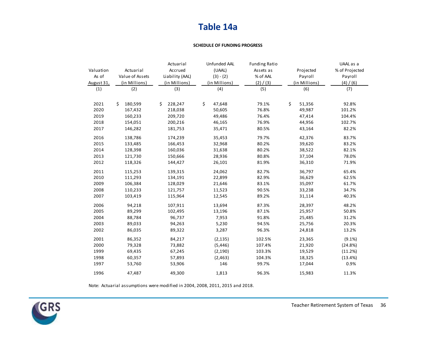### **Table 14a**

#### **SCHEDULE OF FUNDING PROGRESS**

|            |                 | Actuarial       | Unfunded AAL  | <b>Funding Ratio</b> |               | UAAL as a      |
|------------|-----------------|-----------------|---------------|----------------------|---------------|----------------|
| Valuation  | Actuarial       | Accrued         | (UAAL)        | Assets as            | Projected     | % of Projected |
| As of      | Value of Assets | Liability (AAL) | $(3) - (2)$   | % of AAL             | Payroll       | Payroll        |
| August 31, | (in Millions)   | (in Millions)   | (in Millions) | (2) / (3)            | (in Millions) | (4) / (6)      |
| (1)        | (2)             | (3)             | (4)           | (5)                  | (6)           | (7)            |
| 2021       | Ś.<br>180,599   | Ś.<br>228,247   | \$<br>47,648  | 79.1%                | \$<br>51,356  | 92.8%          |
| 2020       | 167,432         | 218,038         | 50,605        | 76.8%                | 49,987        | 101.2%         |
| 2019       | 160,233         | 209,720         | 49,486        | 76.4%                | 47,414        | 104.4%         |
| 2018       | 154,051         | 200,216         | 46,165        | 76.9%                | 44,956        | 102.7%         |
| 2017       | 146,282         | 181,753         | 35,471        | 80.5%                | 43,164        | 82.2%          |
| 2016       | 138,786         | 174,239         | 35,453        | 79.7%                | 42,376        | 83.7%          |
| 2015       | 133,485         | 166,453         | 32,968        | 80.2%                | 39,620        | 83.2%          |
| 2014       | 128,398         | 160,036         | 31,638        | 80.2%                | 38,522        | 82.1%          |
| 2013       | 121,730         | 150,666         | 28,936        | 80.8%                | 37,104        | 78.0%          |
| 2012       | 118,326         | 144,427         | 26,101        | 81.9%                | 36,310        | 71.9%          |
| 2011       | 115,253         | 139,315         | 24,062        | 82.7%                | 36,797        | 65.4%          |
| 2010       | 111,293         | 134,191         | 22,899        | 82.9%                | 36,629        | 62.5%          |
| 2009       | 106,384         | 128,029         | 21,646        | 83.1%                | 35,097        | 61.7%          |
| 2008       | 110,233         | 121,757         | 11,523        | 90.5%                | 33,238        | 34.7%          |
| 2007       | 103,419         | 115,964         | 12,545        | 89.2%                | 31,114        | 40.3%          |
| 2006       | 94,218          | 107,911         | 13,694        | 87.3%                | 28,397        | 48.2%          |
| 2005       | 89,299          | 102,495         | 13,196        | 87.1%                | 25,957        | 50.8%          |
| 2004       | 88,784          | 96,737          | 7,953         | 91.8%                | 25,485        | 31.2%          |
| 2003       | 89,033          | 94,263          | 5,230         | 94.5%                | 25,756        | 20.3%          |
| 2002       | 86,035          | 89,322          | 3,287         | 96.3%                | 24,818        | 13.2%          |
| 2001       | 86,352          | 84,217          | (2, 135)      | 102.5%               | 23,365        | $(9.1\%)$      |
| 2000       | 79,328          | 73,882          | (5, 446)      | 107.4%               | 21,920        | (24.8%)        |
| 1999       | 69,435          | 67,245          | (2, 190)      | 103.3%               | 19,529        | (11.2%)        |
| 1998       | 60,357          | 57,893          | (2, 463)      | 104.3%               | 18,325        | (13.4%)        |
| 1997       | 53,760          | 53,906          | 146           | 99.7%                | 17,044        | 0.9%           |
| 1996       | 47,487          | 49,300          | 1,813         | 96.3%                | 15,983        | 11.3%          |

Note: Actuarial assumptions were modified in 2004, 2008, 2011, 2015 and 2018.

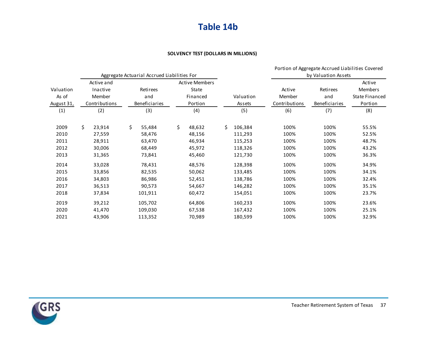### **Table 14b**

#### **SOLVENCY TEST (DOLLARS IN MILLIONS)**

|            |               |                                             |                       |               |               | Portion of Aggregate Accrued Liabilities Covered |                       |  |
|------------|---------------|---------------------------------------------|-----------------------|---------------|---------------|--------------------------------------------------|-----------------------|--|
|            |               | Aggregate Actuarial Accrued Liabilities For |                       |               |               | by Valuation Assets                              |                       |  |
|            | Active and    |                                             | <b>Active Members</b> |               |               |                                                  | Active                |  |
| Valuation  | Inactive      | <b>Retirees</b>                             | State                 |               | Active        | <b>Retirees</b>                                  | <b>Members</b>        |  |
| As of      | Member        | and                                         | Financed              | Valuation     | Member        | and                                              | <b>State Financed</b> |  |
| August 31, | Contributions | Beneficiaries                               | Portion               | Assets        | Contributions | Beneficiaries                                    | Portion               |  |
| (1)        | (2)           | (3)                                         | (4)                   | (5)           | (6)           | (7)                                              | (8)                   |  |
| 2009       | \$<br>23,914  | \$<br>55,484                                | \$<br>48,632          | Ś.<br>106,384 | 100%          | 100%                                             | 55.5%                 |  |
| 2010       | 27,559        | 58,476                                      | 48,156                | 111,293       | 100%          | 100%                                             | 52.5%                 |  |
| 2011       | 28,911        | 63,470                                      | 46,934                | 115,253       | 100%          | 100%                                             | 48.7%                 |  |
| 2012       | 30,006        | 68,449                                      | 45,972                | 118,326       | 100%          | 100%                                             | 43.2%                 |  |
| 2013       | 31,365        | 73,841                                      | 45,460                | 121,730       | 100%          | 100%                                             | 36.3%                 |  |
| 2014       | 33,028        | 78,431                                      | 48,576                | 128,398       | 100%          | 100%                                             | 34.9%                 |  |
| 2015       | 33,856        | 82,535                                      | 50,062                | 133,485       | 100%          | 100%                                             | 34.1%                 |  |
| 2016       | 34,803        | 86,986                                      | 52,451                | 138,786       | 100%          | 100%                                             | 32.4%                 |  |
| 2017       | 36,513        | 90,573                                      | 54,667                | 146,282       | 100%          | 100%                                             | 35.1%                 |  |
| 2018       | 37,834        | 101,911                                     | 60,472                | 154,051       | 100%          | 100%                                             | 23.7%                 |  |
| 2019       | 39,212        | 105,702                                     | 64,806                | 160,233       | 100%          | 100%                                             | 23.6%                 |  |
| 2020       | 41,470        | 109,030                                     | 67,538                | 167,432       | 100%          | 100%                                             | 25.1%                 |  |
| 2021       | 43,906        | 113,352                                     | 70,989                | 180,599       | 100%          | 100%                                             | 32.9%                 |  |

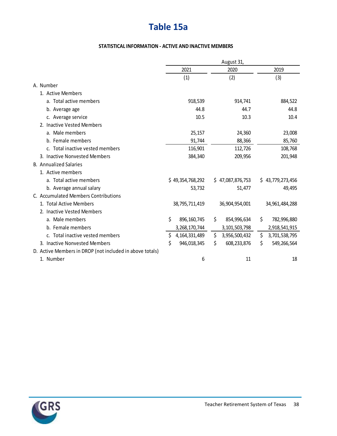## **Table 15a**

### **STATISTICAL INFORMATION - ACTIVE AND INACTIVE MEMBERS**

|                                                          |                        | August 31,           |                     |
|----------------------------------------------------------|------------------------|----------------------|---------------------|
|                                                          | 2021                   | 2020                 | 2019                |
|                                                          | (1)                    | (2)                  | (3)                 |
| A. Number                                                |                        |                      |                     |
| 1. Active Members                                        |                        |                      |                     |
| a. Total active members                                  | 918,539                | 914,741              | 884,522             |
| b. Average age                                           | 44.8                   | 44.7                 | 44.8                |
| c. Average service                                       | 10.5                   | 10.3                 | 10.4                |
| 2. Inactive Vested Members                               |                        |                      |                     |
| a. Male members                                          | 25,157                 | 24,360               | 23,008              |
| b. Female members                                        | 91,744                 | 88,366               | 85,760              |
| c. Total inactive vested members                         | 116,901                | 112,726              | 108,768             |
| 3. Inactive Nonvested Members                            | 384,340                | 209,956              | 201,948             |
| <b>B.</b> Annualized Salaries                            |                        |                      |                     |
| 1. Active members                                        |                        |                      |                     |
| a. Total active members                                  | \$49,354,768,292       | \$47,087,876,753     | \$43,779,273,456    |
| b. Average annual salary                                 | 53,732                 | 51,477               | 49,495              |
| C. Accumulated Members Contributions                     |                        |                      |                     |
| 1. Total Active Members                                  | 38,795,711,419         | 36,904,954,001       | 34,961,484,288      |
| 2. Inactive Vested Members                               |                        |                      |                     |
| a. Male members                                          | \$<br>896, 160, 745    | \$<br>854,996,634    | \$<br>782,996,880   |
| b. Female members                                        | 3,268,170,744          | 3,101,503,798        | 2,918,541,915       |
| c. Total inactive vested members                         | \$<br>4, 164, 331, 489 | \$.<br>3,956,500,432 | \$<br>3,701,538,795 |
| 3. Inactive Nonvested Members                            | \$<br>946,018,345      | \$<br>608,233,876    | \$<br>549,266,564   |
| D. Active Members in DROP (not included in above totals) |                        |                      |                     |
| 1. Number                                                | 6                      | 11                   | 18                  |

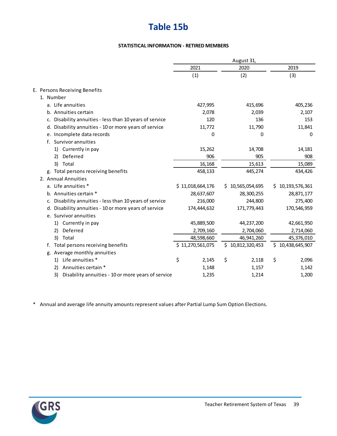## **Table 15b**

#### **STATISTICAL INFORMATION - RETIRED MEMBERS**

|                                                            |                  |         | August 31,       |             |                  |
|------------------------------------------------------------|------------------|---------|------------------|-------------|------------------|
|                                                            | 2021             |         | 2020             |             | 2019             |
|                                                            | (1)              |         | (2)              |             | (3)              |
| E. Persons Receiving Benefits                              |                  |         |                  |             |                  |
| 1. Number                                                  |                  |         |                  |             |                  |
| a. Life annuities                                          |                  | 427,995 |                  | 415,696     | 405,236          |
| b. Annuities certain                                       |                  | 2,078   |                  | 2,039       | 2,107            |
| Disability annuities - less than 10 years of service<br>c. |                  | 120     |                  | 136         | 153              |
| d. Disability annuities - 10 or more years of service      |                  | 11,772  |                  | 11,790      | 11,841           |
| e. Incomplete data records                                 |                  | 0       |                  | 0           | 0                |
| f. Survivor annuities                                      |                  |         |                  |             |                  |
| 1) Currently in pay                                        |                  | 15,262  |                  | 14,708      | 14,181           |
| Deferred<br>2)                                             |                  | 906     |                  | 905         | 908              |
| 3)<br>Total                                                |                  | 16,168  |                  | 15,613      | 15,089           |
| g. Total persons receiving benefits                        |                  | 458,133 |                  | 445,274     | 434,426          |
| 2. Annual Annuities                                        |                  |         |                  |             |                  |
| a. Life annuities *                                        | \$11,018,664,176 |         | \$10,565,054,695 |             | \$10,193,576,361 |
| b. Annuities certain *                                     | 28,637,607       |         |                  | 28,300,255  | 28,871,177       |
| Disability annuities - less than 10 years of service<br>c. |                  | 216,000 |                  | 244,800     | 275,400          |
| d. Disability annuities - 10 or more years of service      | 174,444,632      |         |                  | 171,779,443 | 170,546,959      |
| e. Survivor annuities                                      |                  |         |                  |             |                  |
| 1) Currently in pay                                        | 45,889,500       |         |                  | 44,237,200  | 42,661,950       |
| Deferred<br>2)                                             | 2,709,160        |         |                  | 2,704,060   | 2,714,060        |
| 3) Total                                                   | 48,598,660       |         |                  | 46,941,260  | 45,376,010       |
| f. Total persons receiving benefits                        | \$11,270,561,075 |         | \$10,812,320,453 |             | \$10,438,645,907 |
| g. Average monthly annuities                               |                  |         |                  |             |                  |
| Life annuities *<br>1)                                     | \$               | 2,145   | \$               | 2,118       | \$<br>2,096      |
| Annuities certain *<br>2)                                  |                  | 1,148   |                  | 1,157       | 1,142            |
| 3)<br>Disability annuities - 10 or more years of service   |                  | 1,235   |                  | 1,214       | 1,200            |

\* Annual and average life annuity amounts represent values after Partial Lump Sum Option Elections.

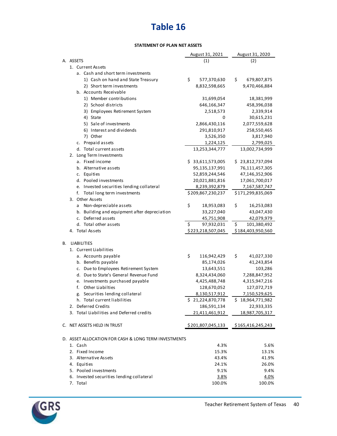#### **STATEMENT OF PLAN NET ASSETS**

|    |                    |                                                      | August 31, 2021   |     | August 31, 2020   |
|----|--------------------|------------------------------------------------------|-------------------|-----|-------------------|
|    | A. ASSETS          |                                                      | (1)               |     | (2)               |
|    |                    | 1. Current Assets                                    |                   |     |                   |
|    |                    | a. Cash and short term investments                   |                   |     |                   |
|    |                    | 1) Cash on hand and State Treasury                   | \$<br>577,370,630 | \$. | 679,807,875       |
|    |                    | 2) Short term investments                            | 8,832,598,665     |     | 9,470,466,884     |
|    |                    | b. Accounts Receivable                               |                   |     |                   |
|    |                    | 1) Member contributions                              | 31,699,054        |     | 18,381,999        |
|    |                    | 2) School districts                                  | 646,166,347       |     | 458,396,038       |
|    |                    | 3) Employees Retirement System                       | 2,518,573         |     | 2,339,914         |
|    |                    | 4) State                                             | 0                 |     | 30,615,231        |
|    |                    | 5) Sale of investments                               | 2,866,430,116     |     | 2,077,559,628     |
|    |                    | 6) Interest and dividends                            | 291,810,917       |     | 258,550,465       |
|    |                    | 7) Other                                             | 3,526,350         |     | 3,817,940         |
|    |                    | c. Prepaid assets                                    | 1,224,125         |     | 2,799,025         |
|    |                    | d. Total current assets                              | 13,253,344,777    |     | 13,002,734,999    |
|    |                    | 2. Long Term Investments                             |                   |     |                   |
|    |                    | a. Fixed income                                      | \$33,611,573,005  |     | \$23,812,737,094  |
|    |                    | b. Alternative assets                                | 95,135,137,991    |     | 76,111,457,305    |
|    |                    | c. Equities                                          | 52,859,244,546    |     | 47,146,352,906    |
|    |                    | d. Pooled investments                                | 20,021,881,816    |     | 17,061,700,017    |
|    |                    | e. Invested securities lending collateral            | 8,239,392,879     |     | 7,167,587,747     |
|    | f.                 | Total long term investments                          | \$209,867,230,237 |     | \$171,299,835,069 |
|    |                    | 3. Other Assets                                      |                   |     |                   |
|    | a                  | Non-depreciable assets                               | \$<br>18,953,083  | \$  | 16,253,083        |
|    |                    | b. Building and equipment after depreciation         | 33,227,040        |     | 43,047,430        |
|    |                    | c. Deferred assets                                   | 45,751,908        |     | 42,079,979        |
|    |                    | d. Total other assets                                | \$<br>97,932,031  | \$  | 101,380,492       |
|    |                    | 4. Total Assets                                      | \$223,218,507,045 |     | \$184,403,950,560 |
|    |                    |                                                      |                   |     |                   |
| В. | <b>LIABILITIES</b> |                                                      |                   |     |                   |
|    |                    | 1. Current Liabilities                               |                   |     |                   |
|    |                    | a. Accounts payable                                  | \$<br>116,942,429 | \$  | 41,027,330        |
|    |                    | b. Benefits payable                                  | 85,174,026        |     | 41,243,854        |
|    |                    | c. Due to Employees Retirement System                | 13,643,551        |     | 103,286           |
|    |                    | d. Due to State's General Revenue Fund               | 8,324,434,060     |     | 7,288,847,952     |
|    |                    | e. Investments purchased payable                     | 4,425,488,748     |     | 4,315,947,216     |
|    | f.                 | Other Liabilties                                     | 128,670,052       |     | 127,072,719       |
|    | g.                 | Securities lending collateral                        | 8,130,517,912     |     | 7,150,529,625     |
|    |                    | h. Total current liabilities                         | \$21,224,870,778  |     | \$18,964,771,982  |
|    |                    | 2. Deferred Credits                                  | 186,591,134       |     | 22,933,335        |
|    |                    | 3. Total Liabilities and Deferred credits            | 21,411,461,912    |     | 18,987,705,317    |
|    |                    |                                                      |                   |     |                   |
|    |                    | C. NET ASSETS HELD IN TRUST                          | \$201,807,045,133 |     | \$165,416,245,243 |
|    |                    |                                                      |                   |     |                   |
|    |                    | D. ASSET ALLOCATION FOR CASH & LONG TERM INVESTMENTS |                   |     |                   |
|    | 1. Cash            |                                                      | 4.3%              |     | 5.6%              |
|    |                    | 2. Fixed Income                                      | 15.3%             |     | 13.1%             |
|    |                    | 3. Alternative Assets                                | 43.4%             |     | 41.9%             |
|    | 4. Equities        |                                                      | 24.1%             |     | 26.0%             |
|    |                    | 5. Pooled investments                                | 9.1%              |     | 9.4%              |
|    |                    | 6. Invested securities lending collateral            | 3.8%              |     | 4.0%              |
|    | 7. Total           |                                                      | 100.0%            |     | 100.0%            |

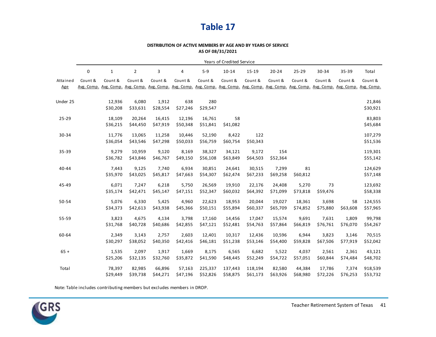#### **DISTRIBUTION OF ACTIVE MEMBERS BY AGE AND BY YEARS OF SERVICE AS OF 08/31/2021**

|           |            |              |                |          |                                                                                                                          |          | Years of Credited Service |          |           |          |          |          |            |
|-----------|------------|--------------|----------------|----------|--------------------------------------------------------------------------------------------------------------------------|----------|---------------------------|----------|-----------|----------|----------|----------|------------|
|           | 0          | $\mathbf{1}$ | $\overline{2}$ | 3        | 4                                                                                                                        | $5-9$    | 10-14                     | 15-19    | $20 - 24$ | 25-29    | 30-34    | 35-39    | Total      |
| Attained  | Count &    | Count &      | Count &        | Count &  | Count &                                                                                                                  | Count &  | Count &                   | Count &  | Count &   | Count &  | Count &  | Count &  | Count &    |
| Age       | Avg. Comp. |              |                |          | Avg. Comp. Avg. Comp. Avg. Comp. Avg. Comp. Avg. Comp. Avg. Comp. Avg. Comp. Avg. Comp. Avg. Comp. Avg. Comp. Avg. Comp. |          |                           |          |           |          |          |          | Avg. Comp. |
| Under 25  |            | 12,936       | 6,080          | 1,912    | 638                                                                                                                      | 280      |                           |          |           |          |          |          | 21,846     |
|           |            | \$30,208     | \$33,631       | \$28,554 | \$27,246                                                                                                                 | \$29,547 |                           |          |           |          |          |          | \$30,921   |
| $25 - 29$ |            | 18,109       | 20,264         | 16,415   | 12,196                                                                                                                   | 16,761   | 58                        |          |           |          |          |          | 83,803     |
|           |            | \$36,215     | \$44,450       | \$47,919 | \$50,348                                                                                                                 | \$51,841 | \$41,082                  |          |           |          |          |          | \$45,684   |
| 30-34     |            | 11,776       | 13,065         | 11,258   | 10,446                                                                                                                   | 52,190   | 8,422                     | 122      |           |          |          |          | 107,279    |
|           |            | \$36,054     | \$43,546       | \$47,298 | \$50,033                                                                                                                 | \$56,759 | \$60,754                  | \$50,343 |           |          |          |          | \$51,536   |
| 35-39     |            | 9,279        | 10,959         | 9,120    | 8,169                                                                                                                    | 38,327   | 34,121                    | 9,172    | 154       |          |          |          | 119,301    |
|           |            | \$36,782     | \$43,846       | \$46,767 | \$49,150                                                                                                                 | \$56,108 | \$63,849                  | \$64,503 | \$52,364  |          |          |          | \$55,142   |
| 40-44     |            | 7,443        | 9,125          | 7,740    | 6,934                                                                                                                    | 30,851   | 24,641                    | 30,515   | 7,299     | 81       |          |          | 124,629    |
|           |            | \$35,970     | \$43,025       | \$45,817 | \$47,663                                                                                                                 | \$54,307 | \$62,474                  | \$67,233 | \$69,258  | \$60,812 |          |          | \$57,148   |
| 45-49     |            | 6,071        | 7,247          | 6,218    | 5,750                                                                                                                    | 26,569   | 19,910                    | 22,176   | 24,408    | 5,270    | 73       |          | 123,692    |
|           |            | \$35,174     | \$42,471       | \$45,147 | \$47,151                                                                                                                 | \$52,347 | \$60,032                  | \$64,392 | \$71,099  | \$73,818 | \$59,476 |          | \$58,338   |
| 50-54     |            | 5,076        | 6,330          | 5,425    | 4,960                                                                                                                    | 22,623   | 18,953                    | 20,044   | 19,027    | 18,361   | 3,698    | 58       | 124,555    |
|           |            | \$34,373     | \$42,613       | \$43,938 | \$45,366                                                                                                                 | \$50,151 | \$55,894                  | \$60,337 | \$65,709  | \$74,852 | \$75,880 | \$63,608 | \$57,965   |
| 55-59     |            | 3,823        | 4,675          | 4,134    | 3,798                                                                                                                    | 17,160   | 14,456                    | 17,047   | 15,574    | 9,691    | 7,631    | 1,809    | 99,798     |
|           |            | \$31,768     | \$40,728       | \$40,686 | \$42,855                                                                                                                 | \$47,121 | \$52,481                  | \$54,763 | \$57,864  | \$66,819 | \$76,761 | \$76,070 | \$54,267   |
| 60-64     |            | 2,349        | 3,143          | 2,757    | 2,603                                                                                                                    | 12,401   | 10,317                    | 12,436   | 10,596    | 6,944    | 3,823    | 3,146    | 70,515     |
|           |            | \$30,297     | \$38,052       | \$40,350 | \$42,416                                                                                                                 | \$46,181 | \$51,238                  | \$53,146 | \$54,400  | \$59,828 | \$67,506 | \$77,919 | \$52,042   |
| $65 +$    |            | 1,535        | 2,097          | 1,917    | 1,669                                                                                                                    | 8,175    | 6,565                     | 6,682    | 5,522     | 4,037    | 2,561    | 2,361    | 43,121     |
|           |            | \$25,206     | \$32,135       | \$32,760 | \$35,872                                                                                                                 | \$41,590 | \$48,445                  | \$52,249 | \$54,722  | \$57,051 | \$60,844 | \$74,484 | \$48,702   |
| Total     |            | 78,397       | 82,985         | 66,896   | 57,163                                                                                                                   | 225,337  | 137,443                   | 118,194  | 82,580    | 44,384   | 17,786   | 7,374    | 918,539    |
|           |            | \$29,449     | \$39,738       | \$44,271 | \$47,196                                                                                                                 | \$52,826 | \$58,875                  | \$61,173 | \$63,926  | \$68,980 | \$72,226 | \$76,253 | \$53,732   |

Note: Table includes contributing members but excludes members in DROP.

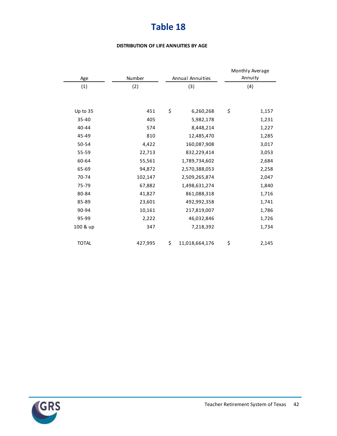#### **DISTRIBUTION OF LIFE ANNUITIES BY AGE**

|              |         |                      | Monthly Average |         |
|--------------|---------|----------------------|-----------------|---------|
| Age          | Number  | Annual Annuities     |                 | Annuity |
| (1)          | (2)     | (3)                  |                 | (4)     |
|              |         |                      |                 |         |
| Up to 35     | 451     | \$<br>6,260,268      | \$              | 1,157   |
| 35-40        | 405     | 5,982,178            |                 | 1,231   |
| 40-44        | 574     | 8,448,214            |                 | 1,227   |
| 45-49        | 810     | 12,485,470           |                 | 1,285   |
| 50-54        | 4,422   | 160,087,908          |                 | 3,017   |
| 55-59        | 22,713  | 832,229,414          |                 | 3,053   |
| 60-64        | 55,561  | 1,789,734,602        |                 | 2,684   |
| 65-69        | 94,872  | 2,570,388,053        |                 | 2,258   |
| 70-74        | 102,147 | 2,509,265,874        |                 | 2,047   |
| 75-79        | 67,882  | 1,498,631,274        |                 | 1,840   |
| 80-84        | 41,827  | 861,088,318          |                 | 1,716   |
| 85-89        | 23,601  | 492,992,358          |                 | 1,741   |
| 90-94        | 10,161  | 217,819,007          |                 | 1,786   |
| 95-99        | 2,222   | 46,032,846           |                 | 1,726   |
| 100 & up     | 347     | 7,218,392            |                 | 1,734   |
|              |         |                      |                 |         |
| <b>TOTAL</b> | 427,995 | \$<br>11,018,664,176 | \$              | 2,145   |

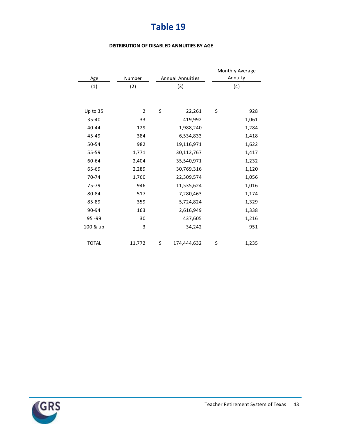#### **DISTRIBUTION OF DISABLED ANNUITIES BY AGE**

|              |                |                   | Monthly Average |       |  |
|--------------|----------------|-------------------|-----------------|-------|--|
| Age          | Number         | Annual Annuities  | Annuity         |       |  |
| (1)          | (2)            | (3)               |                 | (4)   |  |
|              |                |                   |                 |       |  |
| Up to 35     | $\overline{2}$ | \$<br>22,261      | \$              | 928   |  |
| 35-40        | 33             | 419,992           |                 | 1,061 |  |
| 40-44        | 129            | 1,988,240         |                 | 1,284 |  |
| 45-49        | 384            | 6,534,833         |                 | 1,418 |  |
| 50-54        | 982            | 19,116,971        |                 | 1,622 |  |
| 55-59        | 1,771          | 30,112,767        |                 | 1,417 |  |
| 60-64        | 2,404          | 35,540,971        |                 | 1,232 |  |
| 65-69        | 2,289          | 30,769,316        |                 | 1,120 |  |
| 70-74        | 1,760          | 22,309,574        |                 | 1,056 |  |
| 75-79        | 946            | 11,535,624        |                 | 1,016 |  |
| 80-84        | 517            | 7,280,463         |                 | 1,174 |  |
| 85-89        | 359            | 5,724,824         |                 | 1,329 |  |
| 90-94        | 163            | 2,616,949         |                 | 1,338 |  |
| 95-99        | 30             | 437,605           |                 | 1,216 |  |
| 100 & up     | 3              | 34,242            |                 | 951   |  |
|              |                |                   |                 |       |  |
| <b>TOTAL</b> | 11,772         | \$<br>174,444,632 | \$              | 1,235 |  |

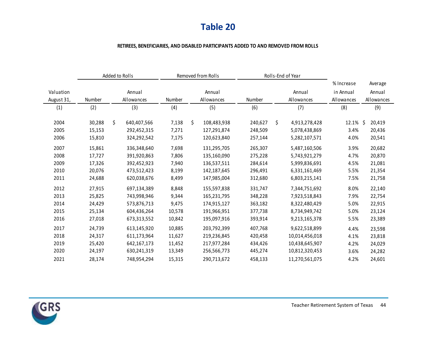#### **RETIREES, BENEFICIARIES, AND DISABLED PARTICIPANTS ADDED TO AND REMOVED FROM ROLLS**

|            |        | Added to Rolls    | Removed from Rolls |    |             | Rolls-End of Year |              |                |            |              |
|------------|--------|-------------------|--------------------|----|-------------|-------------------|--------------|----------------|------------|--------------|
|            |        |                   |                    |    |             |                   |              |                | % Increase | Average      |
| Valuation  |        | Annual            |                    |    | Annual      |                   |              | Annual         | in Annual  | Annual       |
| August 31, | Number | Allowances        | Number             |    | Allowances  | <b>Number</b>     |              | Allowances     | Allowances | Allowances   |
| (1)        | (2)    | (3)               | (4)                |    | (5)         | (6)               |              | (7)            | (8)        | (9)          |
| 2004       | 30,288 | \$<br>640,407,566 | 7,138              | \$ | 108,483,938 | 240,627           | $\mathsf{S}$ | 4,913,278,428  | 12.1%      | Ŝ.<br>20,419 |
| 2005       | 15,153 | 292,452,315       | 7,271              |    | 127,291,874 | 248,509           |              | 5,078,438,869  | 3.4%       | 20,436       |
| 2006       | 15,810 | 324,292,542       | 7,175              |    | 120,623,840 | 257,144           |              | 5,282,107,571  | 4.0%       | 20,541       |
| 2007       | 15,861 | 336,348,640       | 7,698              |    | 131,295,705 | 265,307           |              | 5,487,160,506  | 3.9%       | 20,682       |
| 2008       | 17,727 | 391,920,863       | 7,806              |    | 135,160,090 | 275,228           |              | 5,743,921,279  | 4.7%       | 20,870       |
| 2009       | 17,326 | 392,452,923       | 7,940              |    | 136,537,511 | 284,614           |              | 5,999,836,691  | 4.5%       | 21,081       |
| 2010       | 20,076 | 473,512,423       | 8,199              |    | 142,187,645 | 296,491           |              | 6,331,161,469  | 5.5%       | 21,354       |
| 2011       | 24,688 | 620,038,676       | 8,499              |    | 147,985,004 | 312,680           |              | 6,803,215,141  | 7.5%       | 21,758       |
| 2012       | 27,915 | 697,134,389       | 8,848              |    | 155,597,838 | 331,747           |              | 7,344,751,692  | 8.0%       | 22,140       |
| 2013       | 25,825 | 743,998,946       | 9,344              |    | 165,231,795 | 348,228           |              | 7,923,518,843  | 7.9%       | 22,754       |
| 2014       | 24,429 | 573,876,713       | 9,475              |    | 174,915,127 | 363,182           |              | 8,322,480,429  | 5.0%       | 22,915       |
| 2015       | 25,134 | 604,436,264       | 10,578             |    | 191,966,951 | 377,738           |              | 8,734,949,742  | 5.0%       | 23,124       |
| 2016       | 27,018 | 673,313,552       | 10,842             |    | 195,097,916 | 393,914           |              | 9,213,165,378  | 5.5%       | 23,389       |
| 2017       | 24,739 | 613,145,920       | 10,885             |    | 203,792,399 | 407,768           |              | 9,622,518,899  | 4.4%       | 23,598       |
| 2018       | 24,317 | 611,173,964       | 11,627             |    | 219,236,845 | 420,458           |              | 10,014,456,018 | 4.1%       | 23,818       |
| 2019       | 25,420 | 642,167,173       | 11,452             |    | 217,977,284 | 434,426           |              | 10,438,645,907 | 4.2%       | 24,029       |
| 2020       | 24,197 | 630,241,319       | 13,349             |    | 256,566,773 | 445,274           |              | 10,812,320,453 | 3.6%       | 24,282       |
| 2021       | 28,174 | 748,954,294       | 15,315             |    | 290,713,672 | 458,133           |              | 11,270,561,075 | 4.2%       | 24,601       |

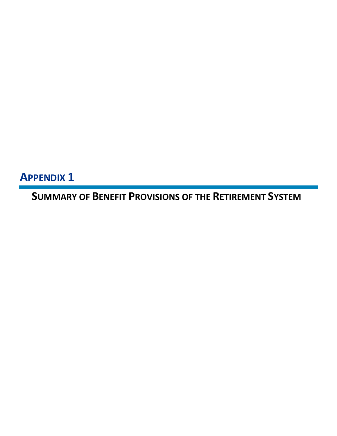**APPENDIX 1**

**SUMMARY OF BENEFIT PROVISIONS OF THE RETIREMENT SYSTEM**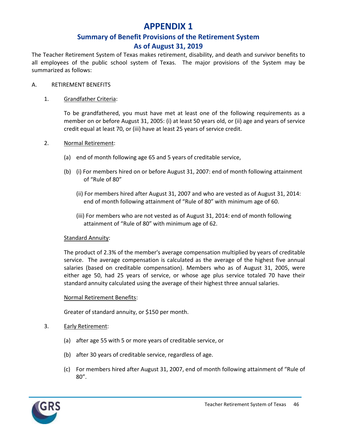### **APPENDIX 1**

### **Summary of Benefit Provisions of the Retirement System As of August 31, 2019**

The Teacher Retirement System of Texas makes retirement, disability, and death and survivor benefits to all employees of the public school system of Texas. The major provisions of the System may be summarized as follows:

### A. RETIREMENT BENEFITS

### 1. Grandfather Criteria:

To be grandfathered, you must have met at least one of the following requirements as a member on or before August 31, 2005: (i) at least 50 years old, or (ii) age and years of service credit equal at least 70, or (iii) have at least 25 years of service credit.

### 2. Normal Retirement:

- (a) end of month following age 65 and 5 years of creditable service,
- (b) (i) For members hired on or before August 31, 2007: end of month following attainment of "Rule of 80"
	- (ii) For members hired after August 31, 2007 and who are vested as of August 31, 2014: end of month following attainment of "Rule of 80" with minimum age of 60.
	- (iii) For members who are not vested as of August 31, 2014: end of month following attainment of "Rule of 80" with minimum age of 62.

### Standard Annuity:

The product of 2.3% of the member's average compensation multiplied by years of creditable service. The average compensation is calculated as the average of the highest five annual salaries (based on creditable compensation). Members who as of August 31, 2005, were either age 50, had 25 years of service, or whose age plus service totaled 70 have their standard annuity calculated using the average of their highest three annual salaries.

### Normal Retirement Benefits:

Greater of standard annuity, or \$150 per month.

- 3. Early Retirement:
	- (a) after age 55 with 5 or more years of creditable service, or
	- (b) after 30 years of creditable service, regardless of age.
	- (c) For members hired after August 31, 2007, end of month following attainment of "Rule of 80".

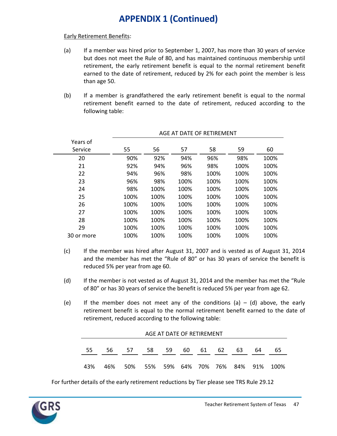#### Early Retirement Benefits:

- (a) If a member was hired prior to September 1, 2007, has more than 30 years of service but does not meet the Rule of 80, and has maintained continuous membership until retirement, the early retirement benefit is equal to the normal retirement benefit earned to the date of retirement, reduced by 2% for each point the member is less than age 50.
- (b) If a member is grandfathered the early retirement benefit is equal to the normal retirement benefit earned to the date of retirement, reduced according to the following table:

| Years of   |      |      |      |      |      |      |
|------------|------|------|------|------|------|------|
| Service    | 55   | 56   | 57   | 58   | 59   | 60   |
| 20         | 90%  | 92%  | 94%  | 96%  | 98%  | 100% |
| 21         | 92%  | 94%  | 96%  | 98%  | 100% | 100% |
| 22         | 94%  | 96%  | 98%  | 100% | 100% | 100% |
| 23         | 96%  | 98%  | 100% | 100% | 100% | 100% |
| 24         | 98%  | 100% | 100% | 100% | 100% | 100% |
| 25         | 100% | 100% | 100% | 100% | 100% | 100% |
| 26         | 100% | 100% | 100% | 100% | 100% | 100% |
| 27         | 100% | 100% | 100% | 100% | 100% | 100% |
| 28         | 100% | 100% | 100% | 100% | 100% | 100% |
| 29         | 100% | 100% | 100% | 100% | 100% | 100% |
| 30 or more | 100% | 100% | 100% | 100% | 100% | 100% |

#### AGE AT DATE OF RETIREMENT

- (c) If the member was hired after August 31, 2007 and is vested as of August 31, 2014 and the member has met the "Rule of 80" or has 30 years of service the benefit is reduced 5% per year from age 60.
- (d) If the member is not vested as of August 31, 2014 and the member has met the "Rule of 80" or has 30 years of service the benefit is reduced 5% per year from age 62.
- (e) If the member does not meet any of the conditions (a)  $-$  (d) above, the early retirement benefit is equal to the normal retirement benefit earned to the date of retirement, reduced according to the following table:

|     | AGE AT DATE OF RETIREMENT |    |                                      |    |     |    |    |    |    |    |
|-----|---------------------------|----|--------------------------------------|----|-----|----|----|----|----|----|
| 55  | 56.                       | 57 | 58                                   | 59 | 60. | 61 | 62 | 63 | 64 | 65 |
| 43% | 46%                       |    | 50% 55% 59% 64% 70% 76% 84% 91% 100% |    |     |    |    |    |    |    |

For further details of the early retirement reductions by Tier please see TRS Rule 29.12

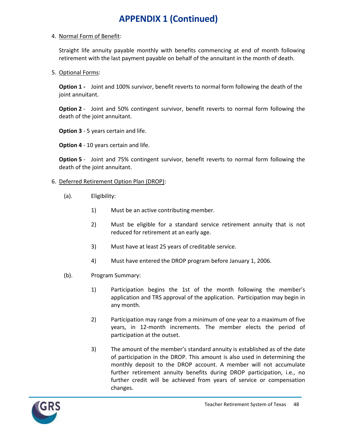#### 4. Normal Form of Benefit:

Straight life annuity payable monthly with benefits commencing at end of month following retirement with the last payment payable on behalf of the annuitant in the month of death.

#### 5. Optional Forms:

**Option 1 -** Joint and 100% survivor, benefit reverts to normal form following the death of the joint annuitant.

**Option 2** - Joint and 50% contingent survivor, benefit reverts to normal form following the death of the joint annuitant.

**Option 3** - 5 years certain and life.

**Option 4** - 10 years certain and life.

**Option 5** - Joint and 75% contingent survivor, benefit reverts to normal form following the death of the joint annuitant.

- 6. Deferred Retirement Option Plan (DROP):
	- (a). Eligibility:
		- 1) Must be an active contributing member.
		- 2) Must be eligible for a standard service retirement annuity that is not reduced for retirement at an early age.
		- 3) Must have at least 25 years of creditable service.
		- 4) Must have entered the DROP program before January 1, 2006.
	- (b). Program Summary:
		- 1) Participation begins the 1st of the month following the member's application and TRS approval of the application. Participation may begin in any month.
		- 2) Participation may range from a minimum of one year to a maximum of five years, in 12-month increments. The member elects the period of participation at the outset.
		- 3) The amount of the member's standard annuity is established as of the date of participation in the DROP. This amount is also used in determining the monthly deposit to the DROP account. A member will not accumulate further retirement annuity benefits during DROP participation, i.e., no further credit will be achieved from years of service or compensation changes.

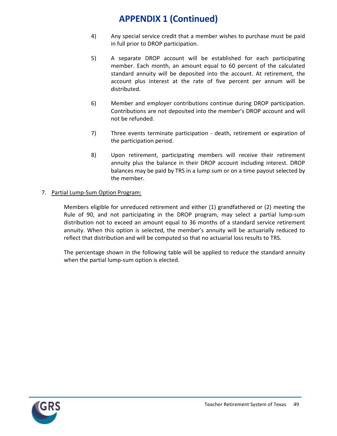- 4) Any special service credit that a member wishes to purchase must be paid in full prior to DROP participation.
- 5) A separate DROP account will be established for each participating member. Each month, an amount equal to 60 percent of the calculated standard annuity will be deposited into the account. At retirement, the account plus interest at the rate of five percent per annum will be distributed.
- 6) Member and employer contributions continue during DROP participation. Contributions are not deposited into the member's DROP account and will not be refunded.
- 7) Three events terminate participation death, retirement or expiration of the participation period.
- 8) Upon retirement, participating members will receive their retirement annuity plus the balance in their DROP account including interest. DROP balances may be paid by TRS in a lump sum or on a time payout selected by the member.

### 7. Partial Lump-Sum Option Program:

Members eligible for unreduced retirement and either (1) grandfathered or (2) meeting the Rule of 90, and not participating in the DROP program, may select a partial lump-sum distribution not to exceed an amount equal to 36 months of a standard service retirement annuity. When this option is selected, the member's annuity will be actuarially reduced to reflect that distribution and will be computed so that no actuarial loss results to TRS.

The percentage shown in the following table will be applied to reduce the standard annuity when the partial lump-sum option is elected.

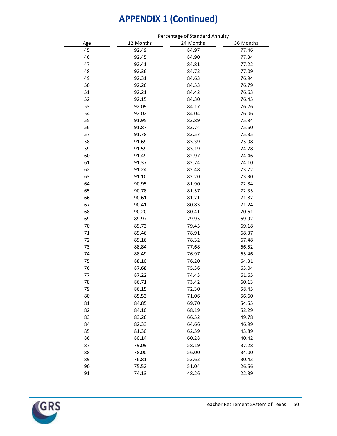|        |           | Felcentage of Standard Amily 1 |           |  |  |  |  |
|--------|-----------|--------------------------------|-----------|--|--|--|--|
| Age    | 12 Months | 24 Months                      | 36 Months |  |  |  |  |
| 45     | 92.49     | 84.97                          | 77.46     |  |  |  |  |
| 46     | 92.45     | 84.90                          | 77.34     |  |  |  |  |
| 47     | 92.41     | 84.81                          | 77.22     |  |  |  |  |
| 48     | 92.36     | 84.72                          | 77.09     |  |  |  |  |
| 49     | 92.31     | 84.63                          | 76.94     |  |  |  |  |
| 50     | 92.26     | 84.53                          | 76.79     |  |  |  |  |
| 51     | 92.21     | 84.42                          | 76.63     |  |  |  |  |
| 52     | 92.15     | 84.30                          | 76.45     |  |  |  |  |
| 53     | 92.09     | 84.17                          | 76.26     |  |  |  |  |
| 54     | 92.02     | 84.04                          | 76.06     |  |  |  |  |
| 55     | 91.95     | 83.89                          | 75.84     |  |  |  |  |
| 56     | 91.87     | 83.74                          | 75.60     |  |  |  |  |
| 57     | 91.78     | 83.57                          | 75.35     |  |  |  |  |
| 58     | 91.69     | 83.39                          | 75.08     |  |  |  |  |
| 59     | 91.59     | 83.19                          | 74.78     |  |  |  |  |
| 60     | 91.49     | 82.97                          | 74.46     |  |  |  |  |
| 61     | 91.37     | 82.74                          | 74.10     |  |  |  |  |
| 62     | 91.24     | 82.48                          | 73.72     |  |  |  |  |
| 63     | 91.10     | 82.20                          | 73.30     |  |  |  |  |
| 64     | 90.95     | 81.90                          | 72.84     |  |  |  |  |
| 65     | 90.78     | 81.57                          | 72.35     |  |  |  |  |
| 66     | 90.61     | 81.21                          | 71.82     |  |  |  |  |
| 67     | 90.41     | 80.83                          | 71.24     |  |  |  |  |
| 68     | 90.20     | 80.41                          | 70.61     |  |  |  |  |
| 69     | 89.97     | 79.95                          | 69.92     |  |  |  |  |
| 70     | 89.73     | 79.45                          | 69.18     |  |  |  |  |
| $71\,$ | 89.46     | 78.91                          | 68.37     |  |  |  |  |
| 72     | 89.16     | 78.32                          | 67.48     |  |  |  |  |
| 73     | 88.84     | 77.68                          | 66.52     |  |  |  |  |
| 74     | 88.49     | 76.97                          | 65.46     |  |  |  |  |
| 75     | 88.10     | 76.20                          | 64.31     |  |  |  |  |
| 76     | 87.68     | 75.36                          | 63.04     |  |  |  |  |
| 77     | 87.22     | 74.43                          | 61.65     |  |  |  |  |
| 78     | 86.71     | 73.42                          | 60.13     |  |  |  |  |
| 79     | 86.15     | 72.30                          | 58.45     |  |  |  |  |
| 80     | 85.53     | 71.06                          | 56.60     |  |  |  |  |
| 81     | 84.85     | 69.70                          | 54.55     |  |  |  |  |
| 82     | 84.10     | 68.19                          | 52.29     |  |  |  |  |
| 83     | 83.26     | 66.52                          | 49.78     |  |  |  |  |
| 84     | 82.33     | 64.66                          | 46.99     |  |  |  |  |
| 85     | 81.30     | 62.59                          | 43.89     |  |  |  |  |
| 86     | 80.14     | 60.28                          | 40.42     |  |  |  |  |
| 87     | 79.09     | 58.19                          | 37.28     |  |  |  |  |
| 88     | 78.00     | 56.00                          | 34.00     |  |  |  |  |
| 89     | 76.81     | 53.62                          | 30.43     |  |  |  |  |
| 90     | 75.52     | 51.04                          | 26.56     |  |  |  |  |
| 91     | 74.13     | 48.26                          | 22.39     |  |  |  |  |
|        |           |                                |           |  |  |  |  |



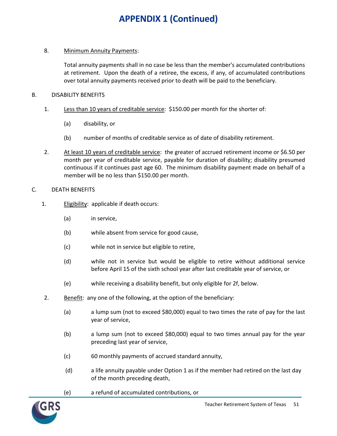#### 8. Minimum Annuity Payments:

Total annuity payments shall in no case be less than the member's accumulated contributions at retirement. Upon the death of a retiree, the excess, if any, of accumulated contributions over total annuity payments received prior to death will be paid to the beneficiary.

#### B. DISABILITY BENEFITS

- 1. Less than 10 years of creditable service: \$150.00 per month for the shorter of:
	- (a) disability, or
	- (b) number of months of creditable service as of date of disability retirement.
- 2. At least 10 years of creditable service: the greater of accrued retirement income or \$6.50 per month per year of creditable service, payable for duration of disability; disability presumed continuous if it continues past age 60. The minimum disability payment made on behalf of a member will be no less than \$150.00 per month.
- C. DEATH BENEFITS
	- 1. Eligibility: applicable if death occurs:
		- (a) in service,
		- (b) while absent from service for good cause,
		- (c) while not in service but eligible to retire,
		- (d) while not in service but would be eligible to retire without additional service before April 15 of the sixth school year after last creditable year of service, or
		- (e) while receiving a disability benefit, but only eligible for 2f, below.
	- 2. Benefit: any one of the following, at the option of the beneficiary:
		- (a) a lump sum (not to exceed \$80,000) equal to two times the rate of pay for the last year of service,
		- (b) a lump sum (not to exceed \$80,000) equal to two times annual pay for the year preceding last year of service,
		- (c) 60 monthly payments of accrued standard annuity,
		- (d) a life annuity payable under Option 1 as if the member had retired on the last day of the month preceding death,
		- (e) a refund of accumulated contributions, or

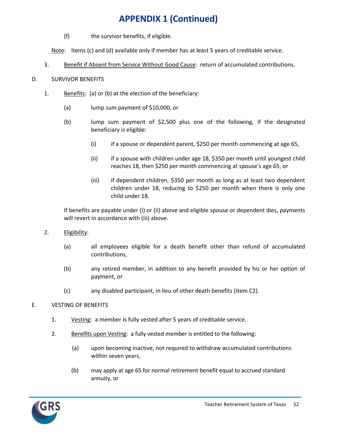(f) the survivor benefits, if eligible.

Note: Items (c) and (d) available only if member has at least 5 years of creditable service.

3. Benefit if Absent from Service Without Good Cause: return of accumulated contributions.

### D. SURVIVOR BENEFITS

- 1. Benefits: (a) or (b) at the election of the beneficiary:
	- (a) lump sum payment of \$10,000, or
	- (b) lump sum payment of \$2,500 plus one of the following, if the designated beneficiary is eligible:
		- (i) if a spouse or dependent parent, \$250 per month commencing at age 65,
		- (ii) if a spouse with children under age 18, \$350 per month until youngest child reaches 18, then \$250 per month commencing at spouse's age 65, or
		- (iii) if dependent children, \$350 per month as long as at least two dependent children under 18, reducing to \$250 per month when there is only one child under 18.

If benefits are payable under (i) or (ii) above and eligible spouse or dependent dies, payments will revert in accordance with (iii) above.

- 2. Eligibility:
	- (a) all employees eligible for a death benefit other than refund of accumulated contributions,
	- (b) any retired member, in addition to any benefit provided by his or her option of payment, or
	- (c) any disabled participant, in lieu of other death benefits (Item C2).

### E. VESTING OF BENEFITS

- 1. Vesting: a member is fully vested after 5 years of creditable service.
- 2. Benefits upon Vesting: a fully vested member is entitled to the following:
	- (a) upon becoming inactive, not required to withdraw accumulated contributions within seven years,
	- (b) may apply at age 65 for normal retirement benefit equal to accrued standard annuity, or

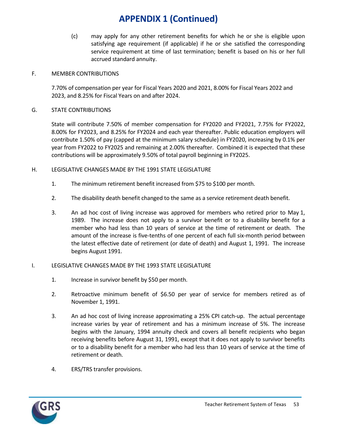(c) may apply for any other retirement benefits for which he or she is eligible upon satisfying age requirement (if applicable) if he or she satisfied the corresponding service requirement at time of last termination; benefit is based on his or her full accrued standard annuity.

#### F. MEMBER CONTRIBUTIONS

7.70% of compensation per year for Fiscal Years 2020 and 2021, 8.00% for Fiscal Years 2022 and 2023, and 8.25% for Fiscal Years on and after 2024.

### G. STATE CONTRIBUTIONS

State will contribute 7.50% of member compensation for FY2020 and FY2021, 7.75% for FY2022, 8.00% for FY2023, and 8.25% for FY2024 and each year thereafter. Public education employers will contribute 1.50% of pay (capped at the minimum salary schedule) in FY2020, increasing by 0.1% per year from FY2022 to FY2025 and remaining at 2.00% thereafter. Combined it is expected that these contributions will be approximately 9.50% of total payroll beginning in FY2025.

#### H. LEGISLATIVE CHANGES MADE BY THE 1991 STATE LEGISLATURE

- 1. The minimum retirement benefit increased from \$75 to \$100 per month.
- 2. The disability death benefit changed to the same as a service retirement death benefit.
- 3. An ad hoc cost of living increase was approved for members who retired prior to May 1, 1989. The increase does not apply to a survivor benefit or to a disability benefit for a member who had less than 10 years of service at the time of retirement or death. The amount of the increase is five-tenths of one percent of each full six-month period between the latest effective date of retirement (or date of death) and August 1, 1991. The increase begins August 1991.
- I. LEGISLATIVE CHANGES MADE BY THE 1993 STATE LEGISLATURE
	- 1. Increase in survivor benefit by \$50 per month.
	- 2. Retroactive minimum benefit of \$6.50 per year of service for members retired as of November 1, 1991.
	- 3. An ad hoc cost of living increase approximating a 25% CPI catch-up. The actual percentage increase varies by year of retirement and has a minimum increase of 5%. The increase begins with the January, 1994 annuity check and covers all benefit recipients who began receiving benefits before August 31, 1991, except that it does not apply to survivor benefits or to a disability benefit for a member who had less than 10 years of service at the time of retirement or death.
	- 4. ERS/TRS transfer provisions.

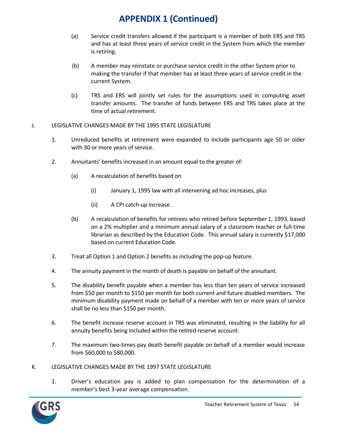- (a) Service credit transfers allowed if the participant is a member of both ERS and TRS and has at least three years of service credit in the System from which the member is retiring.
- (b) A member may reinstate or purchase service credit in the other System prior to making the transfer if that member has at least three years of service credit in the current System.
- (c) TRS and ERS will jointly set rules for the assumptions used in computing asset transfer amounts. The transfer of funds between ERS and TRS takes place at the time of actual retirement.

### J. LEGISLATIVE CHANGES MADE BY THE 1995 STATE LEGISLATURE

- 1. Unreduced benefits at retirement were expanded to include participants age 50 or older with 30 or more years of service.
- 2. Annuitants' benefits increased in an amount equal to the greater of:
	- (a) A recalculation of benefits based on
		- (i) January 1, 1995 law with all intervening ad hoc increases, plus
		- (ii) A CPI catch-up increase.
	- (b) A recalculation of benefits for retirees who retired before September 1, 1993, based on a 2% multiplier and a minimum annual salary of a classroom teacher or full-time librarian as described by the Education Code. This annual salary is currently \$17,000 based on current Education Code.
- 3. Treat all Option 1 and Option 2 benefits as including the pop-up feature.
- 4. The annuity payment in the month of death is payable on behalf of the annuitant.
- 5. The disability benefit payable when a member has less than ten years of service increased from \$50 per month to \$150 per month for both current and future disabled members. The minimum disability payment made on behalf of a member with ten or more years of service shall be no less than \$150 per month.
- 6. The benefit increase reserve account in TRS was eliminated, resulting in the liability for all annuity benefits being included within the retired reserve account.
- 7. The maximum two-times-pay death benefit payable on behalf of a member would increase from \$60,000 to \$80,000.
- K. LEGISLATIVE CHANGES MADE BY THE 1997 STATE LEGISLATURE
	- 1. Driver's education pay is added to plan compensation for the determination of a member's best 3-year average compensation.

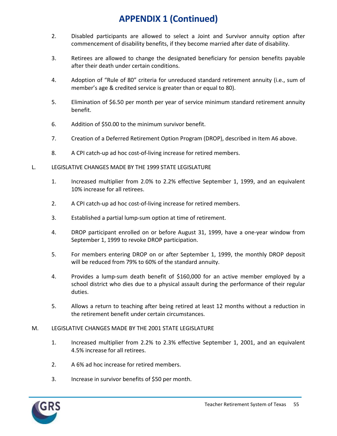- 2. Disabled participants are allowed to select a Joint and Survivor annuity option after commencement of disability benefits, if they become married after date of disability.
- 3. Retirees are allowed to change the designated beneficiary for pension benefits payable after their death under certain conditions.
- 4. Adoption of "Rule of 80" criteria for unreduced standard retirement annuity (i.e., sum of member's age & credited service is greater than or equal to 80).
- 5. Elimination of \$6.50 per month per year of service minimum standard retirement annuity benefit.
- 6. Addition of \$50.00 to the minimum survivor benefit.
- 7. Creation of a Deferred Retirement Option Program (DROP), described in Item A6 above.
- 8. A CPI catch-up ad hoc cost-of-living increase for retired members.
- L. LEGISLATIVE CHANGES MADE BY THE 1999 STATE LEGISLATURE
	- 1. Increased multiplier from 2.0% to 2.2% effective September 1, 1999, and an equivalent 10% increase for all retirees.
	- 2. A CPI catch-up ad hoc cost-of-living increase for retired members.
	- 3. Established a partial lump-sum option at time of retirement.
	- 4. DROP participant enrolled on or before August 31, 1999, have a one-year window from September 1, 1999 to revoke DROP participation.
	- 5. For members entering DROP on or after September 1, 1999, the monthly DROP deposit will be reduced from 79% to 60% of the standard annuity.
	- 4. Provides a lump-sum death benefit of \$160,000 for an active member employed by a school district who dies due to a physical assault during the performance of their regular duties.
	- 5. Allows a return to teaching after being retired at least 12 months without a reduction in the retirement benefit under certain circumstances.

### M. LEGISLATIVE CHANGES MADE BY THE 2001 STATE LEGISLATURE

- 1. Increased multiplier from 2.2% to 2.3% effective September 1, 2001, and an equivalent 4.5% increase for all retirees.
- 2. A 6% ad hoc increase for retired members.
- 3. Increase in survivor benefits of \$50 per month.

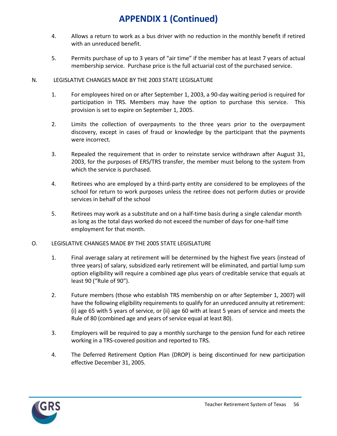- 4. Allows a return to work as a bus driver with no reduction in the monthly benefit if retired with an unreduced benefit.
- 5. Permits purchase of up to 3 years of "air time" if the member has at least 7 years of actual membership service. Purchase price is the full actuarial cost of the purchased service.

### N. LEGISLATIVE CHANGES MADE BY THE 2003 STATE LEGISLATURE

- 1. For employees hired on or after September 1, 2003, a 90-day waiting period is required for participation in TRS. Members may have the option to purchase this service. This provision is set to expire on September 1, 2005.
- 2. Limits the collection of overpayments to the three years prior to the overpayment discovery, except in cases of fraud or knowledge by the participant that the payments were incorrect.
- 3. Repealed the requirement that in order to reinstate service withdrawn after August 31, 2003, for the purposes of ERS/TRS transfer, the member must belong to the system from which the service is purchased.
- 4. Retirees who are employed by a third-party entity are considered to be employees of the school for return to work purposes unless the retiree does not perform duties or provide services in behalf of the school
- 5. Retirees may work as a substitute and on a half-time basis during a single calendar month as long as the total days worked do not exceed the number of days for one-half time employment for that month.
- O. LEGISLATIVE CHANGES MADE BY THE 2005 STATE LEGISLATURE
	- 1. Final average salary at retirement will be determined by the highest five years (instead of three years) of salary, subsidized early retirement will be eliminated, and partial lump sum option eligibility will require a combined age plus years of creditable service that equals at least 90 ("Rule of 90").
	- 2. Future members (those who establish TRS membership on or after September 1, 2007) will have the following eligibility requirements to qualify for an unreduced annuity at retirement: (i) age 65 with 5 years of service, or (ii) age 60 with at least 5 years of service and meets the Rule of 80 (combined age and years of service equal at least 80).
	- 3. Employers will be required to pay a monthly surcharge to the pension fund for each retiree working in a TRS-covered position and reported to TRS.
	- 4. The Deferred Retirement Option Plan (DROP) is being discontinued for new participation effective December 31, 2005.

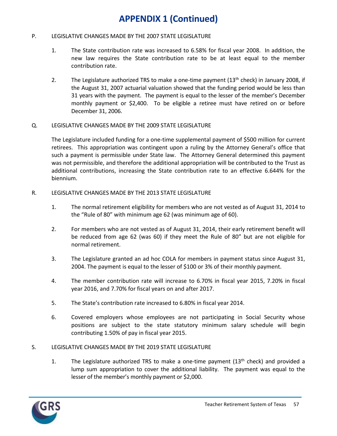#### P. LEGISLATIVE CHANGES MADE BY THE 2007 STATE LEGISLATURE

- 1. The State contribution rate was increased to 6.58% for fiscal year 2008. In addition, the new law requires the State contribution rate to be at least equal to the member contribution rate.
- 2. The Legislature authorized TRS to make a one-time payment  $(13<sup>th</sup>$  check) in January 2008, if the August 31, 2007 actuarial valuation showed that the funding period would be less than 31 years with the payment. The payment is equal to the lesser of the member's December monthly payment or \$2,400. To be eligible a retiree must have retired on or before December 31, 2006.

#### Q. LEGISLATIVE CHANGES MADE BY THE 2009 STATE LEGISLATURE

The Legislature included funding for a one-time supplemental payment of \$500 million for current retirees. This appropriation was contingent upon a ruling by the Attorney General's office that such a payment is permissible under State law. The Attorney General determined this payment was not permissible, and therefore the additional appropriation will be contributed to the Trust as additional contributions, increasing the State contribution rate to an effective 6.644% for the biennium.

#### R. LEGISLATIVE CHANGES MADE BY THE 2013 STATE LEGISLATURE

- 1. The normal retirement eligibility for members who are not vested as of August 31, 2014 to the "Rule of 80" with minimum age 62 (was minimum age of 60).
- 2. For members who are not vested as of August 31, 2014, their early retirement benefit will be reduced from age 62 (was 60) if they meet the Rule of 80" but are not eligible for normal retirement.
- 3. The Legislature granted an ad hoc COLA for members in payment status since August 31, 2004. The payment is equal to the lesser of \$100 or 3% of their monthly payment.
- 4. The member contribution rate will increase to 6.70% in fiscal year 2015, 7.20% in fiscal year 2016, and 7.70% for fiscal years on and after 2017.
- 5. The State's contribution rate increased to 6.80% in fiscal year 2014.
- 6. Covered employers whose employees are not participating in Social Security whose positions are subject to the state statutory minimum salary schedule will begin contributing 1.50% of pay in fiscal year 2015.

### S. LEGISLATIVE CHANGES MADE BY THE 2019 STATE LEGISLATURE

1. The Legislature authorized TRS to make a one-time payment  $(13<sup>th</sup>$  check) and provided a lump sum appropriation to cover the additional liability. The payment was equal to the lesser of the member's monthly payment or \$2,000.

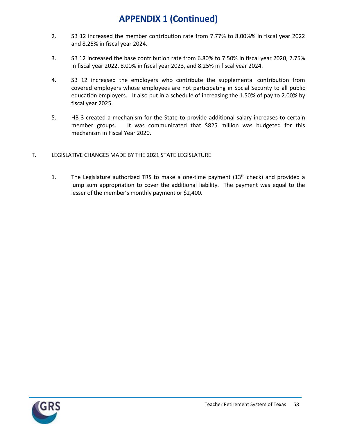- 2. SB 12 increased the member contribution rate from 7.77% to 8.00%% in fiscal year 2022 and 8.25% in fiscal year 2024.
- 3. SB 12 increased the base contribution rate from 6.80% to 7.50% in fiscal year 2020, 7.75% in fiscal year 2022, 8.00% in fiscal year 2023, and 8.25% in fiscal year 2024.
- 4. SB 12 increased the employers who contribute the supplemental contribution from covered employers whose employees are not participating in Social Security to all public education employers. It also put in a schedule of increasing the 1.50% of pay to 2.00% by fiscal year 2025.
- 5. HB 3 created a mechanism for the State to provide additional salary increases to certain member groups. It was communicated that \$825 million was budgeted for this mechanism in Fiscal Year 2020.
- T. LEGISLATIVE CHANGES MADE BY THE 2021 STATE LEGISLATURE
	- 1. The Legislature authorized TRS to make a one-time payment  $(13<sup>th</sup>$  check) and provided a lump sum appropriation to cover the additional liability. The payment was equal to the lesser of the member's monthly payment or \$2,400.

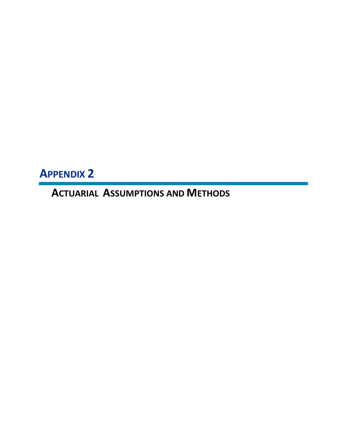**APPENDIX 2**

**ACTUARIAL ASSUMPTIONS AND METHODS**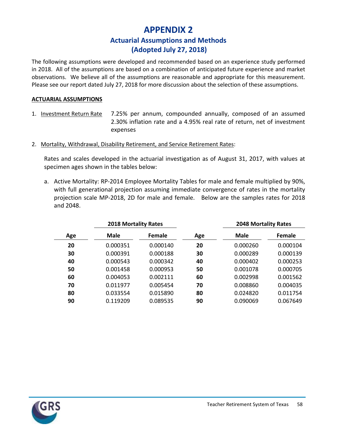### **APPENDIX 2 Actuarial Assumptions and Methods (Adopted July 27, 2018)**

The following assumptions were developed and recommended based on an experience study performed in 2018. All of the assumptions are based on a combination of anticipated future experience and market observations. We believe all of the assumptions are reasonable and appropriate for this measurement. Please see our report dated July 27, 2018 for more discussion about the selection of these assumptions.

### **ACTUARIAL ASSUMPTIONS**

- 1. Investment Return Rate 7.25% per annum, compounded annually, composed of an assumed 2.30% inflation rate and a 4.95% real rate of return, net of investment expenses
- 2. Mortality, Withdrawal, Disability Retirement, and Service Retirement Rates:

Rates and scales developed in the actuarial investigation as of August 31, 2017, with values at specimen ages shown in the tables below:

a. Active Mortality: RP-2014 Employee Mortality Tables for male and female multiplied by 90%, with full generational projection assuming immediate convergence of rates in the mortality projection scale MP-2018, 2D for male and female. Below are the samples rates for 2018 and 2048.

|     | <b>2018 Mortality Rates</b> |          |     | <b>2048 Mortality Rates</b> |          |  |
|-----|-----------------------------|----------|-----|-----------------------------|----------|--|
| Age | <b>Male</b>                 | Female   | Age | <b>Male</b>                 | Female   |  |
| 20  | 0.000351                    | 0.000140 | 20  | 0.000260                    | 0.000104 |  |
| 30  | 0.000391                    | 0.000188 | 30  | 0.000289                    | 0.000139 |  |
| 40  | 0.000543                    | 0.000342 | 40  | 0.000402                    | 0.000253 |  |
| 50  | 0.001458                    | 0.000953 | 50  | 0.001078                    | 0.000705 |  |
| 60  | 0.004053                    | 0.002111 | 60  | 0.002998                    | 0.001562 |  |
| 70  | 0.011977                    | 0.005454 | 70  | 0.008860                    | 0.004035 |  |
| 80  | 0.033554                    | 0.015890 | 80  | 0.024820                    | 0.011754 |  |
| 90  | 0.119209                    | 0.089535 | 90  | 0.090069                    | 0.067649 |  |

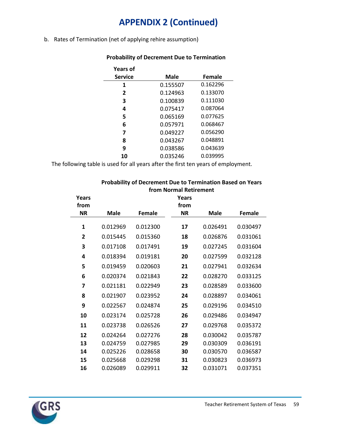b. Rates of Termination (net of applying rehire assumption)

| <b>Years of</b> |             |          |
|-----------------|-------------|----------|
| <b>Service</b>  | <b>Male</b> | Female   |
| 1               | 0.155507    | 0.162296 |
| $\overline{2}$  | 0.124963    | 0.133070 |
| 3               | 0.100839    | 0.111030 |
| 4               | 0.075417    | 0.087064 |
| 5               | 0.065169    | 0.077625 |
| 6               | 0.057971    | 0.068467 |
| 7               | 0.049227    | 0.056290 |
| 8               | 0.043267    | 0.048891 |
| 9               | 0.038586    | 0.043639 |
| 10              | 0.035246    | 0.039995 |
|                 |             |          |

### **Probability of Decrement Due to Termination**

The following table is used for all years after the first ten years of employment.

### **Probability of Decrement Due to Termination Based on Years from Normal Retirement**

| Years        |          |               | Years     |             |          |
|--------------|----------|---------------|-----------|-------------|----------|
| from         |          |               | from      |             |          |
| <b>NR</b>    | Male     | <b>Female</b> | <b>NR</b> | <b>Male</b> | Female   |
| 1            | 0.012969 | 0.012300      | 17        | 0.026491    | 0.030497 |
| $\mathbf{2}$ | 0.015445 | 0.015360      | 18        | 0.026876    | 0.031061 |
| 3            | 0.017108 | 0.017491      | 19        | 0.027245    | 0.031604 |
| 4            | 0.018394 | 0.019181      | 20        | 0.027599    | 0.032128 |
| 5            | 0.019459 | 0.020603      | 21        | 0.027941    | 0.032634 |
| 6            | 0.020374 | 0.021843      | 22        | 0.028270    | 0.033125 |
| 7            | 0.021181 | 0.022949      | 23        | 0.028589    | 0.033600 |
| 8            | 0.021907 | 0.023952      | 24        | 0.028897    | 0.034061 |
| 9            | 0.022567 | 0.024874      | 25        | 0.029196    | 0.034510 |
| 10           | 0.023174 | 0.025728      | 26        | 0.029486    | 0.034947 |
| 11           | 0.023738 | 0.026526      | 27        | 0.029768    | 0.035372 |
| 12           | 0.024264 | 0.027276      | 28        | 0.030042    | 0.035787 |
| 13           | 0.024759 | 0.027985      | 29        | 0.030309    | 0.036191 |
| 14           | 0.025226 | 0.028658      | 30        | 0.030570    | 0.036587 |
| 15           | 0.025668 | 0.029298      | 31        | 0.030823    | 0.036973 |
| 16           | 0.026089 | 0.029911      | 32        | 0.031071    | 0.037351 |

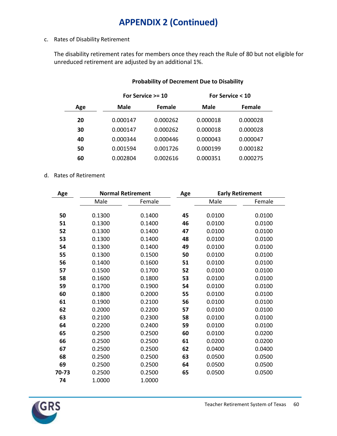### c. Rates of Disability Retirement

The disability retirement rates for members once they reach the Rule of 80 but not eligible for unreduced retirement are adjusted by an additional 1%.

|     |          | For Service $>=$ 10 | For Service < 10 |          |  |
|-----|----------|---------------------|------------------|----------|--|
| Age | Male     | Female              | <b>Male</b>      | Female   |  |
| 20  | 0.000147 | 0.000262            | 0.000018         | 0.000028 |  |
| 30  | 0.000147 | 0.000262            | 0.000018         | 0.000028 |  |
| 40  | 0.000344 | 0.000446            | 0.000043         | 0.000047 |  |
| 50  | 0.001594 | 0.001726            | 0.000199         | 0.000182 |  |
| 60  | 0.002804 | 0.002616            | 0.000351         | 0.000275 |  |

### **Probability of Decrement Due to Disability**

### d. Rates of Retirement

| Age   |        | <b>Normal Retirement</b> | Age |        | <b>Early Retirement</b> |
|-------|--------|--------------------------|-----|--------|-------------------------|
|       | Male   | Female                   |     | Male   | Female                  |
|       |        |                          |     |        |                         |
| 50    | 0.1300 | 0.1400                   | 45  | 0.0100 | 0.0100                  |
| 51    | 0.1300 | 0.1400                   | 46  | 0.0100 | 0.0100                  |
| 52    | 0.1300 | 0.1400                   | 47  | 0.0100 | 0.0100                  |
| 53    | 0.1300 | 0.1400                   | 48  | 0.0100 | 0.0100                  |
| 54    | 0.1300 | 0.1400                   | 49  | 0.0100 | 0.0100                  |
| 55    | 0.1300 | 0.1500                   | 50  | 0.0100 | 0.0100                  |
| 56    | 0.1400 | 0.1600                   | 51  | 0.0100 | 0.0100                  |
| 57    | 0.1500 | 0.1700                   | 52  | 0.0100 | 0.0100                  |
| 58    | 0.1600 | 0.1800                   | 53  | 0.0100 | 0.0100                  |
| 59    | 0.1700 | 0.1900                   | 54  | 0.0100 | 0.0100                  |
| 60    | 0.1800 | 0.2000                   | 55  | 0.0100 | 0.0100                  |
| 61    | 0.1900 | 0.2100                   | 56  | 0.0100 | 0.0100                  |
| 62    | 0.2000 | 0.2200                   | 57  | 0.0100 | 0.0100                  |
| 63    | 0.2100 | 0.2300                   | 58  | 0.0100 | 0.0100                  |
| 64    | 0.2200 | 0.2400                   | 59  | 0.0100 | 0.0100                  |
| 65    | 0.2500 | 0.2500                   | 60  | 0.0100 | 0.0200                  |
| 66    | 0.2500 | 0.2500                   | 61  | 0.0200 | 0.0200                  |
| 67    | 0.2500 | 0.2500                   | 62  | 0.0400 | 0.0400                  |
| 68    | 0.2500 | 0.2500                   | 63  | 0.0500 | 0.0500                  |
| 69    | 0.2500 | 0.2500                   | 64  | 0.0500 | 0.0500                  |
| 70-73 | 0.2500 | 0.2500                   | 65  | 0.0500 | 0.0500                  |
| 74    | 1.0000 | 1.0000                   |     |        |                         |

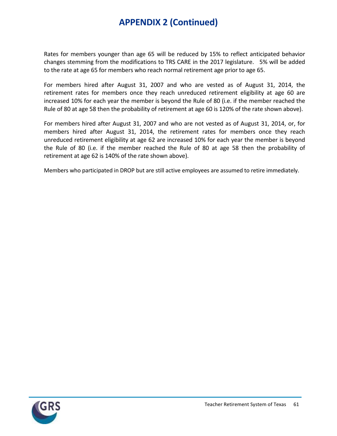Rates for members younger than age 65 will be reduced by 15% to reflect anticipated behavior changes stemming from the modifications to TRS CARE in the 2017 legislature. 5% will be added to the rate at age 65 for members who reach normal retirement age prior to age 65.

For members hired after August 31, 2007 and who are vested as of August 31, 2014, the retirement rates for members once they reach unreduced retirement eligibility at age 60 are increased 10% for each year the member is beyond the Rule of 80 (i.e. if the member reached the Rule of 80 at age 58 then the probability of retirement at age 60 is 120% of the rate shown above).

For members hired after August 31, 2007 and who are not vested as of August 31, 2014, or, for members hired after August 31, 2014, the retirement rates for members once they reach unreduced retirement eligibility at age 62 are increased 10% for each year the member is beyond the Rule of 80 (i.e. if the member reached the Rule of 80 at age 58 then the probability of retirement at age 62 is 140% of the rate shown above).

Members who participated in DROP but are still active employees are assumed to retire immediately.

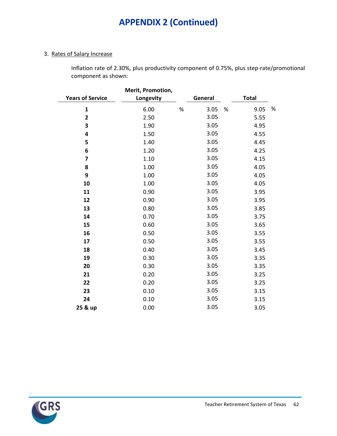### 3. Rates of Salary Increase

Inflation rate of 2.30%, plus productivity component of 0.75%, plus step-rate/promotional component as shown:

| <b>Years of Service</b> | Merit, Promotion,<br>Longevity |      | General |      | <b>Total</b> |   |
|-------------------------|--------------------------------|------|---------|------|--------------|---|
| $\mathbf 1$             | 6.00                           | $\%$ | 3.05    | $\%$ | 9.05         | % |
| $\overline{\mathbf{c}}$ | 2.50                           |      | 3.05    |      | 5.55         |   |
| 3                       | 1.90                           |      | 3.05    |      | 4.95         |   |
| 4                       | 1.50                           |      | 3.05    |      | 4.55         |   |
| 5                       | 1.40                           |      | 3.05    |      | 4.45         |   |
| 6                       | 1.20                           |      | 3.05    |      | 4.25         |   |
| 7                       | 1.10                           |      | 3.05    |      | 4.15         |   |
| 8                       | 1.00                           |      | 3.05    |      | 4.05         |   |
| 9                       | 1.00                           |      | 3.05    |      | 4.05         |   |
| 10                      | 1.00                           |      | 3.05    |      | 4.05         |   |
| 11                      | 0.90                           |      | 3.05    |      | 3.95         |   |
| 12                      | 0.90                           |      | 3.05    |      | 3.95         |   |
| 13                      | 0.80                           |      | 3.05    |      | 3.85         |   |
| 14                      | 0.70                           |      | 3.05    |      | 3.75         |   |
| 15                      | 0.60                           |      | 3.05    |      | 3.65         |   |
| 16                      | 0.50                           |      | 3.05    |      | 3.55         |   |
| 17                      | 0.50                           |      | 3.05    |      | 3.55         |   |
| 18                      | 0.40                           |      | 3.05    |      | 3.45         |   |
| 19                      | 0.30                           |      | 3.05    |      | 3.35         |   |
| 20                      | 0.30                           |      | 3.05    |      | 3.35         |   |
| 21                      | 0.20                           |      | 3.05    |      | 3.25         |   |
| 22                      | 0.20                           |      | 3.05    |      | 3.25         |   |
| 23                      | 0.10                           |      | 3.05    |      | 3.15         |   |
| 24                      | 0.10                           |      | 3.05    |      | 3.15         |   |
| 25 & up                 | 0.00                           |      | 3.05    |      | 3.05         |   |
|                         |                                |      |         |      |              |   |

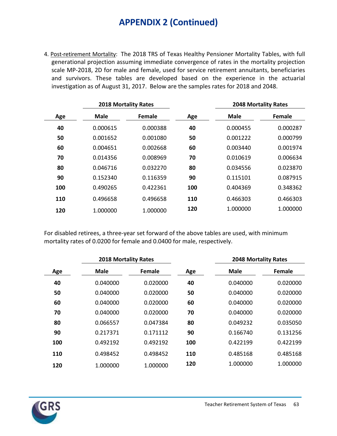4. Post-retirement Mortality: The 2018 TRS of Texas Healthy Pensioner Mortality Tables, with full generational projection assuming immediate convergence of rates in the mortality projection scale MP-2018, 2D for male and female, used for service retirement annuitants, beneficiaries and survivors. These tables are developed based on the experience in the actuarial investigation as of August 31, 2017. Below are the samples rates for 2018 and 2048.

|     | <b>2018 Mortality Rates</b> |          |     | <b>2048 Mortality Rates</b> |          |
|-----|-----------------------------|----------|-----|-----------------------------|----------|
| Age | <b>Male</b>                 | Female   | Age | Male                        | Female   |
| 40  | 0.000615                    | 0.000388 | 40  | 0.000455                    | 0.000287 |
| 50  | 0.001652                    | 0.001080 | 50  | 0.001222                    | 0.000799 |
| 60  | 0.004651                    | 0.002668 | 60  | 0.003440                    | 0.001974 |
| 70  | 0.014356                    | 0.008969 | 70  | 0.010619                    | 0.006634 |
| 80  | 0.046716                    | 0.032270 | 80  | 0.034556                    | 0.023870 |
| 90  | 0.152340                    | 0.116359 | 90  | 0.115101                    | 0.087915 |
| 100 | 0.490265                    | 0.422361 | 100 | 0.404369                    | 0.348362 |
| 110 | 0.496658                    | 0.496658 | 110 | 0.466303                    | 0.466303 |
| 120 | 1.000000                    | 1.000000 | 120 | 1.000000                    | 1.000000 |
|     |                             |          |     |                             |          |

For disabled retirees, a three-year set forward of the above tables are used, with minimum mortality rates of 0.0200 for female and 0.0400 for male, respectively.

|     | <b>2018 Mortality Rates</b> |          |     | <b>2048 Mortality Rates</b> |          |
|-----|-----------------------------|----------|-----|-----------------------------|----------|
| Age | Male                        | Female   | Age | Male                        | Female   |
| 40  | 0.040000                    | 0.020000 | 40  | 0.040000                    | 0.020000 |
| 50  | 0.040000                    | 0.020000 | 50  | 0.040000                    | 0.020000 |
| 60  | 0.040000                    | 0.020000 | 60  | 0.040000                    | 0.020000 |
| 70  | 0.040000                    | 0.020000 | 70  | 0.040000                    | 0.020000 |
| 80  | 0.066557                    | 0.047384 | 80  | 0.049232                    | 0.035050 |
| 90  | 0.217371                    | 0.171112 | 90  | 0.166740                    | 0.131256 |
| 100 | 0.492192                    | 0.492192 | 100 | 0.422199                    | 0.422199 |
| 110 | 0.498452                    | 0.498452 | 110 | 0.485168                    | 0.485168 |
| 120 | 1.000000                    | 1.000000 | 120 | 1.000000                    | 1.000000 |

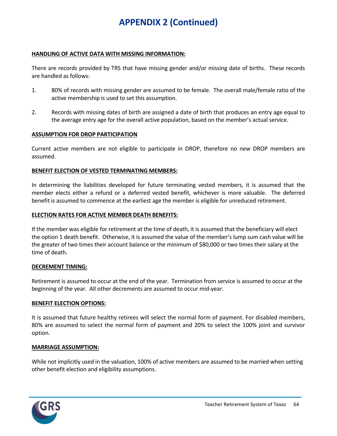#### **HANDLING OF ACTIVE DATA WITH MISSING INFORMATION:**

There are records provided by TRS that have missing gender and/or missing date of births. These records are handled as follows:

- 1. 80% of records with missing gender are assumed to be female. The overall male/female ratio of the active membership is used to set this assumption.
- 2. Records with missing dates of birth are assigned a date of birth that produces an entry age equal to the average entry age for the overall active population, based on the member's actual service.

#### **ASSUMPTION FOR DROP PARTICIPATION**

Current active members are not eligible to participate in DROP, therefore no new DROP members are assumed.

#### **BENEFIT ELECTION OF VESTED TERMINATING MEMBERS:**

In determining the liabilities developed for future terminating vested members, it is assumed that the member elects either a refund or a deferred vested benefit, whichever is more valuable. The deferred benefit is assumed to commence at the earliest age the member is eligible for unreduced retirement.

#### **ELECTION RATES FOR ACTIVE MEMBER DEATH BENEFITS:**

If the member was eligible for retirement at the time of death, it is assumed that the beneficiary will elect the option 1 death benefit. Otherwise, it is assumed the value of the member's lump sum cash value will be the greater of two times their account balance or the minimum of \$80,000 or two times their salary at the time of death.

#### **DECREMENT TIMING:**

Retirement is assumed to occur at the end of the year. Termination from service is assumed to occur at the beginning of the year. All other decrements are assumed to occur mid-year.

#### **BENEFIT ELECTION OPTIONS:**

It is assumed that future healthy retirees will select the normal form of payment. For disabled members, 80% are assumed to select the normal form of payment and 20% to select the 100% joint and survivor option.

#### **MARRIAGE ASSUMPTION:**

While not implicitly used in the valuation, 100% of active members are assumed to be married when setting other benefit election and eligibility assumptions.

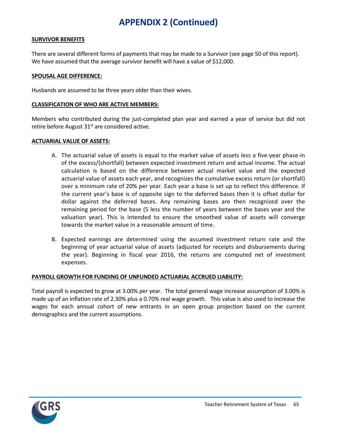#### **SURVIVOR BENEFITS**

There are several different forms of payments that may be made to a Survivor (see page 50 of this report). We have assumed that the average survivor benefit will have a value of \$12,000.

#### **SPOUSAL AGE DIFFERENCE:**

Husbands are assumed to be three years older than their wives.

#### **CLASSIFICATION OF WHO ARE ACTIVE MEMBERS:**

Members who contributed during the just-completed plan year and earned a year of service but did not retire before August  $31<sup>st</sup>$  are considered active.

#### **ACTUARIAL VALUE OF ASSETS:**

- A. The actuarial value of assets is equal to the market value of assets less a five-year phase-in of the excess/(shortfall) between expected investment return and actual income. The actual calculation is based on the difference between actual market value and the expected actuarial value of assets each year, and recognizes the cumulative excess return (or shortfall) over a minimum rate of 20% per year. Each year a base is set up to reflect this difference. If the current year's base is of opposite sign to the deferred bases then it is offset dollar for dollar against the deferred bases. Any remaining bases are then recognized over the remaining period for the base (5 less the number of years between the bases year and the valuation year). This is intended to ensure the smoothed value of assets will converge towards the market value in a reasonable amount of time.
- B. Expected earnings are determined using the assumed investment return rate and the beginning of year actuarial value of assets (adjusted for receipts and disbursements during the year). Beginning in fiscal year 2016, the returns are computed net of investment expenses.

#### **PAYROLL GROWTH FOR FUNDING OF UNFUNDED ACTUARIAL ACCRUED LIABILITY:**

Total payroll is expected to grow at 3.00% per year. The total general wage increase assumption of 3.00% is made up of an inflation rate of 2.30% plus a 0.70% real wage growth. This value is also used to increase the wages for each annual cohort of new entrants in an open group projection based on the current demographics and the current assumptions.

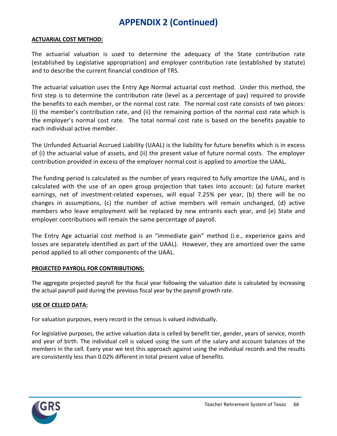#### **ACTUARIAL COST METHOD:**

The actuarial valuation is used to determine the adequacy of the State contribution rate (established by Legislative appropriation) and employer contribution rate (established by statute) and to describe the current financial condition of TRS.

The actuarial valuation uses the Entry Age Normal actuarial cost method. Under this method, the first step is to determine the contribution rate (level as a percentage of pay) required to provide the benefits to each member, or the normal cost rate. The normal cost rate consists of two pieces: (i) the member's contribution rate, and (ii) the remaining portion of the normal cost rate which is the employer's normal cost rate. The total normal cost rate is based on the benefits payable to each individual active member.

The Unfunded Actuarial Accrued Liability (UAAL) is the liability for future benefits which is in excess of (i) the actuarial value of assets, and (ii) the present value of future normal costs. The employer contribution provided in excess of the employer normal cost is applied to amortize the UAAL.

The funding period is calculated as the number of years required to fully amortize the UAAL, and is calculated with the use of an open group projection that takes into account: (a) future market earnings, net of investment-related expenses, will equal 7.25% per year, (b) there will be no changes in assumptions, (c) the number of active members will remain unchanged, (d) active members who leave employment will be replaced by new entrants each year, and (e) State and employer contributions will remain the same percentage of payroll.

The Entry Age actuarial cost method is an "immediate gain" method (i.e., experience gains and losses are separately identified as part of the UAAL). However, they are amortized over the same period applied to all other components of the UAAL.

### **PROJECTED PAYROLL FOR CONTRIBUTIONS:**

The aggregate projected payroll for the fiscal year following the valuation date is calculated by increasing the actual payroll paid during the previous fiscal year by the payroll growth rate.

#### **USE OF CELLED DATA:**

For valuation purposes, every record in the census is valued individually.

For legislative purposes, the active valuation data is celled by benefit tier, gender, years of service, month and year of birth. The individual cell is valued using the sum of the salary and account balances of the members in the cell. Every year we test this approach against using the individual records and the results are consistently less than 0.02% different in total present value of benefits.

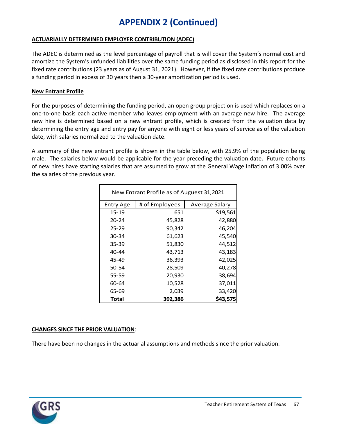### **ACTUARIALLY DETERMINED EMPLOYER CONTRIBUTION (ADEC)**

The ADEC is determined as the level percentage of payroll that is will cover the System's normal cost and amortize the System's unfunded liabilities over the same funding period as disclosed in this report for the fixed rate contributions (23 years as of August 31, 2021). However, if the fixed rate contributions produce a funding period in excess of 30 years then a 30-year amortization period is used.

### **New Entrant Profile**

For the purposes of determining the funding period, an open group projection is used which replaces on a one-to-one basis each active member who leaves employment with an average new hire. The average new hire is determined based on a new entrant profile, which is created from the valuation data by determining the entry age and entry pay for anyone with eight or less years of service as of the valuation date, with salaries normalized to the valuation date.

A summary of the new entrant profile is shown in the table below, with 25.9% of the population being male. The salaries below would be applicable for the year preceding the valuation date. Future cohorts of new hires have starting salaries that are assumed to grow at the General Wage Inflation of 3.00% over the salaries of the previous year.

| New Entrant Profile as of Auguest 31,2021 |                |                |
|-------------------------------------------|----------------|----------------|
| <b>Entry Age</b>                          | # of Employees | Average Salary |
| 15-19                                     | 651            | \$19,561       |
| $20 - 24$                                 | 45,828         | 42,880         |
| $25 - 29$                                 | 90,342         | 46,204         |
| 30-34                                     | 61,623         | 45,540         |
| 35-39                                     | 51,830         | 44,512         |
| 40-44                                     | 43,713         | 43,183         |
| 45-49                                     | 36,393         | 42,025         |
| 50-54                                     | 28,509         | 40,278         |
| 55-59                                     | 20,930         | 38,694         |
| 60-64                                     | 10,528         | 37,011         |
| 65-69                                     | 2,039          | 33,420         |
| Total                                     | 392,386        | \$43,575       |

### **CHANGES SINCE THE PRIOR VALUATION**:

There have been no changes in the actuarial assumptions and methods since the prior valuation.

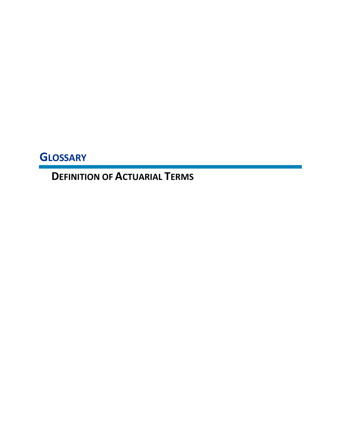**GLOSSARY**

**DEFINITION OF ACTUARIAL TERMS**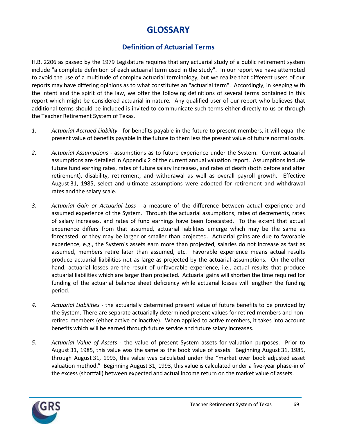# **GLOSSARY**

### **Definition of Actuarial Terms**

H.B. 2206 as passed by the 1979 Legislature requires that any actuarial study of a public retirement system include "a complete definition of each actuarial term used in the study". In our report we have attempted to avoid the use of a multitude of complex actuarial terminology, but we realize that different users of our reports may have differing opinions as to what constitutes an "actuarial term". Accordingly, in keeping with the intent and the spirit of the law, we offer the following definitions of several terms contained in this report which might be considered actuarial in nature. Any qualified user of our report who believes that additional terms should be included is invited to communicate such terms either directly to us or through the Teacher Retirement System of Texas.

- *1. Actuarial Accrued Liability* for benefits payable in the future to present members, it will equal the present value of benefits payable in the future to them less the present value of future normal costs.
- *2. Actuarial Assumptions* assumptions as to future experience under the System. Current actuarial assumptions are detailed in Appendix 2 of the current annual valuation report. Assumptions include future fund earning rates, rates of future salary increases, and rates of death (both before and after retirement), disability, retirement, and withdrawal as well as overall payroll growth. Effective August 31, 1985, select and ultimate assumptions were adopted for retirement and withdrawal rates and the salary scale.
- *3. Actuarial Gain or Actuarial Loss* a measure of the difference between actual experience and assumed experience of the System. Through the actuarial assumptions, rates of decrements, rates of salary increases, and rates of fund earnings have been forecasted. To the extent that actual experience differs from that assumed, actuarial liabilities emerge which may be the same as forecasted, or they may be larger or smaller than projected. Actuarial gains are due to favorable experience, e.g., the System's assets earn more than projected, salaries do not increase as fast as assumed, members retire later than assumed, etc. Favorable experience means actual results produce actuarial liabilities not as large as projected by the actuarial assumptions. On the other hand, actuarial losses are the result of unfavorable experience, i.e., actual results that produce actuarial liabilities which are larger than projected. Actuarial gains will shorten the time required for funding of the actuarial balance sheet deficiency while actuarial losses will lengthen the funding period.
- *4. Actuarial Liabilities* the actuarially determined present value of future benefits to be provided by the System. There are separate actuarially determined present values for retired members and nonretired members (either active or inactive). When applied to active members, it takes into account benefits which will be earned through future service and future salary increases.
- *5. Actuarial Value of Assets* the value of present System assets for valuation purposes. Prior to August 31, 1985, this value was the same as the book value of assets. Beginning August 31, 1985, through August 31, 1993, this value was calculated under the "market over book adjusted asset valuation method." Beginning August 31, 1993, this value is calculated under a five-year phase-in of the excess (shortfall) between expected and actual income return on the market value of assets.